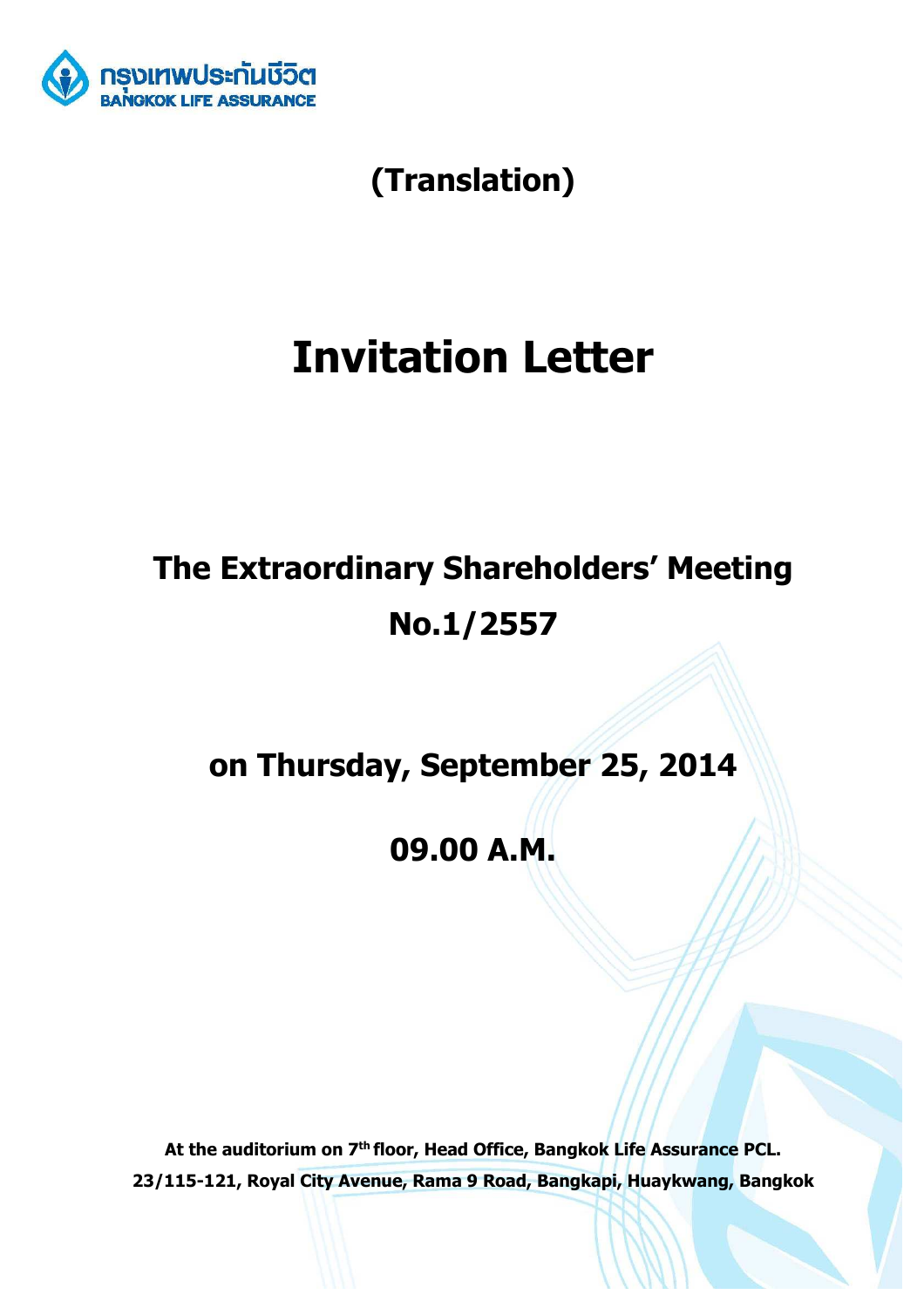

**(Translation)** 

# **Invitation Letter**

# **The Extraordinary Shareholders' Meeting No.1/2557**

**on Thursday, September 25, 2014** 

**09.00 A.M.** 

**At the auditorium on 7th floor, Head Office, Bangkok Life Assurance PCL. 23/115-121, Royal City Avenue, Rama 9 Road, Bangkapi, Huaykwang, Bangkok**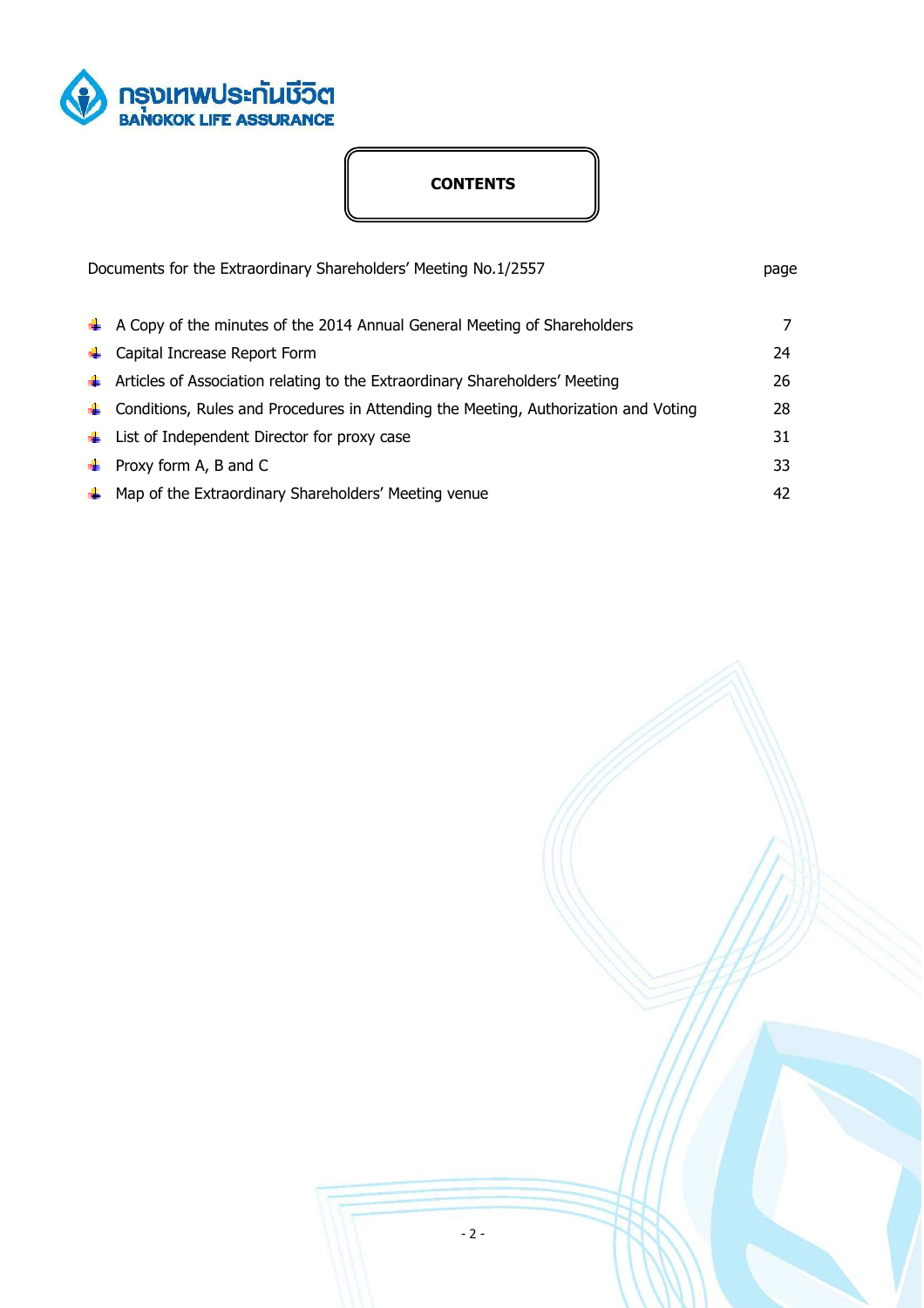

# **CONTENTS**

| Documents for the Extraordinary Shareholders' Meeting No.1/2557 |                                                                                             | page |
|-----------------------------------------------------------------|---------------------------------------------------------------------------------------------|------|
|                                                                 | $\ddot{\bullet}$ A Copy of the minutes of the 2014 Annual General Meeting of Shareholders   | 7    |
| ж.                                                              | Capital Increase Report Form                                                                | 24   |
|                                                                 | ← Articles of Association relating to the Extraordinary Shareholders' Meeting               | 26   |
|                                                                 | $\ddag$ Conditions, Rules and Procedures in Attending the Meeting, Authorization and Voting | 28   |
|                                                                 | $\downarrow$ List of Independent Director for proxy case                                    | 31   |
|                                                                 | $\bullet$ Proxy form A, B and C                                                             | 33   |
|                                                                 | $\leftarrow$ Map of the Extraordinary Shareholders' Meeting venue                           | 42   |

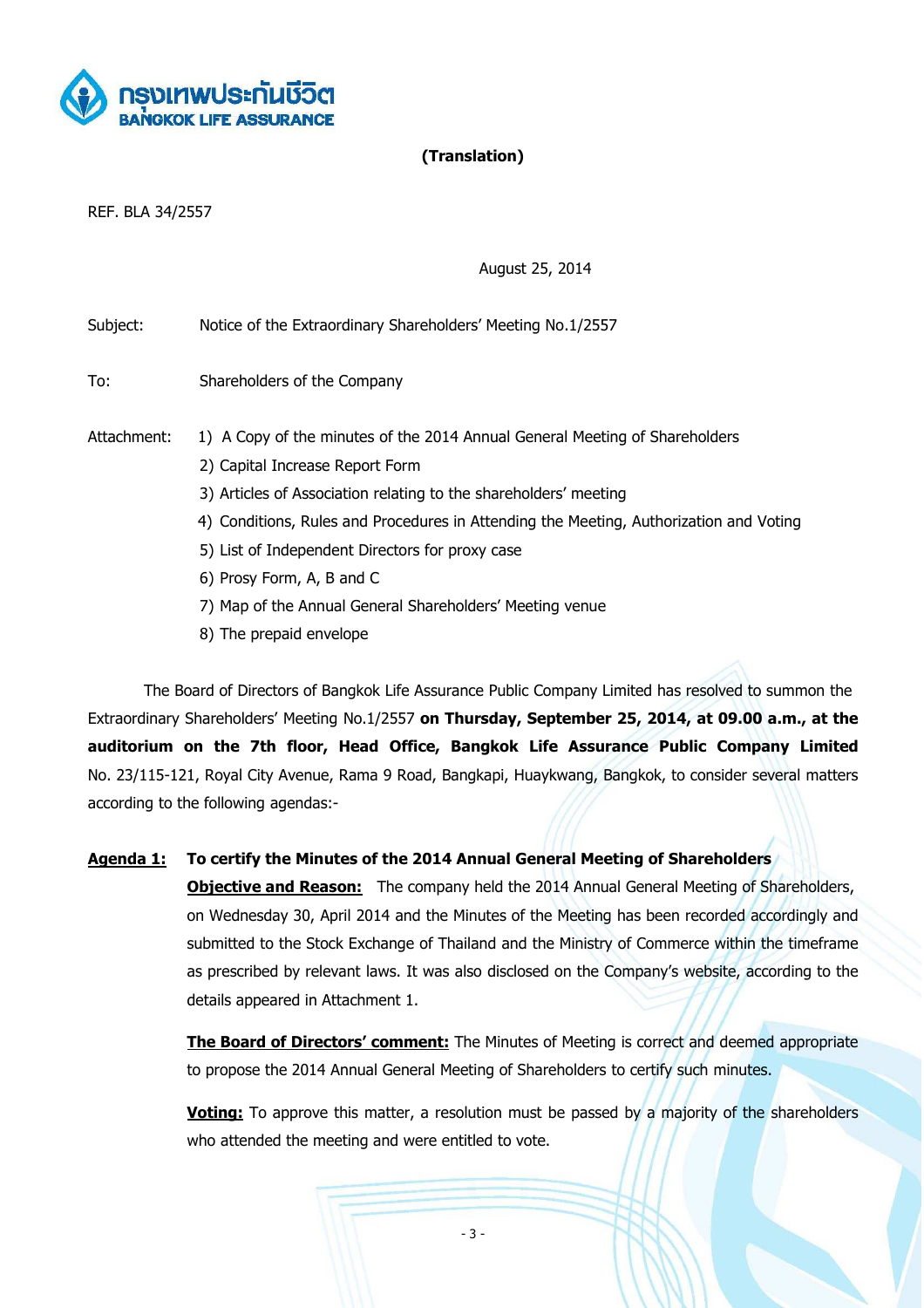

# **(Translation)**

REF. BLA 34/2557

August 25, 2014

Subject: Notice of the Extraordinary Shareholders' Meeting No.1/2557

To: Shareholders of the Company

- Attachment: 1) A Copy of the minutes of the 2014 Annual General Meeting of Shareholders
	- 2) Capital Increase Report Form
	- 3) Articles of Association relating to the shareholders' meeting
	- 4) Conditions, Rules and Procedures in Attending the Meeting, Authorization and Voting
	- 5) List of Independent Directors for proxy case
	- 6) Prosy Form, A, B and C
	- 7) Map of the Annual General Shareholders' Meeting venue
	- 8) The prepaid envelope

The Board of Directors of Bangkok Life Assurance Public Company Limited has resolved to summon the Extraordinary Shareholders' Meeting No.1/2557 **on Thursday, September 25, 2014, at 09.00 a.m., at the auditorium on the 7th floor, Head Office, Bangkok Life Assurance Public Company Limited**  No. 23/115-121, Royal City Avenue, Rama 9 Road, Bangkapi, Huaykwang, Bangkok, to consider several matters according to the following agendas:-

**Agenda 1: To certify the Minutes of the 2014 Annual General Meeting of Shareholders Objective and Reason:** The company held the 2014 Annual General Meeting of Shareholders, on Wednesday 30, April 2014 and the Minutes of the Meeting has been recorded accordingly and submitted to the Stock Exchange of Thailand and the Ministry of Commerce within the timeframe as prescribed by relevant laws. It was also disclosed on the Company's website, according to the details appeared in Attachment 1.

> **The Board of Directors' comment:** The Minutes of Meeting is correct and deemed appropriate to propose the 2014 Annual General Meeting of Shareholders to certify such minutes.

> **Voting:** To approve this matter, a resolution must be passed by a majority of the shareholders who attended the meeting and were entitled to vote.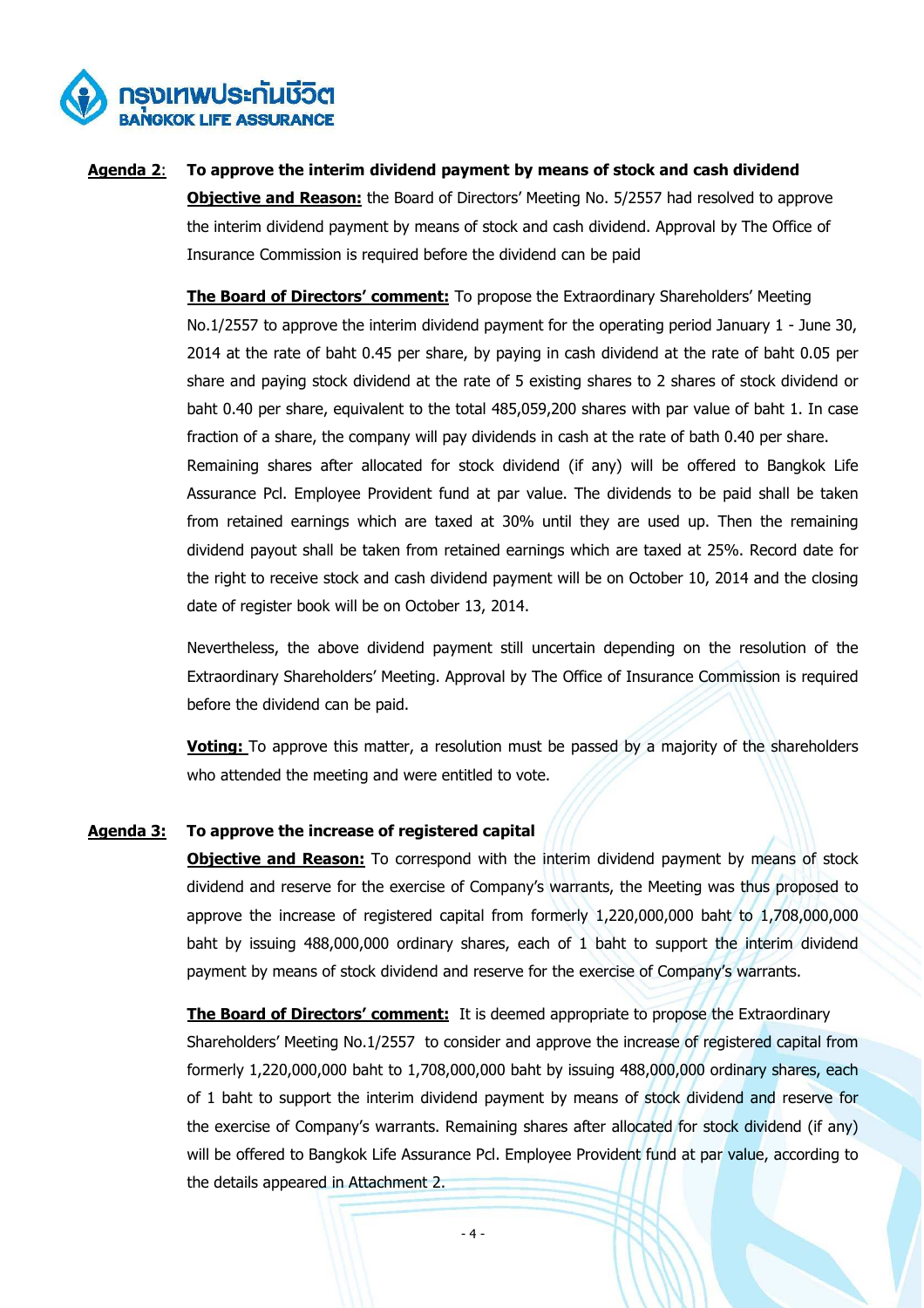

**Agenda 2**: **To approve the interim dividend payment by means of stock and cash dividend Objective and Reason:** the Board of Directors' Meeting No. 5/2557 had resolved to approve the interim dividend payment by means of stock and cash dividend. Approval by The Office of Insurance Commission is required before the dividend can be paid

> **The Board of Directors' comment:** To propose the Extraordinary Shareholders' Meeting No.1/2557 to approve the interim dividend payment for the operating period January 1 - June 30, 2014 at the rate of baht 0.45 per share, by paying in cash dividend at the rate of baht 0.05 per share and paying stock dividend at the rate of 5 existing shares to 2 shares of stock dividend or baht 0.40 per share, equivalent to the total 485,059,200 shares with par value of baht 1. In case fraction of a share, the company will pay dividends in cash at the rate of bath 0.40 per share. Remaining shares after allocated for stock dividend (if any) will be offered to Bangkok Life Assurance Pcl. Employee Provident fund at par value. The dividends to be paid shall be taken from retained earnings which are taxed at 30% until they are used up. Then the remaining dividend payout shall be taken from retained earnings which are taxed at 25%. Record date for the right to receive stock and cash dividend payment will be on October 10, 2014 and the closing date of register book will be on October 13, 2014.

> Nevertheless, the above dividend payment still uncertain depending on the resolution of the Extraordinary Shareholders' Meeting. Approval by The Office of Insurance Commission is required before the dividend can be paid.

> **Voting:** To approve this matter, a resolution must be passed by a majority of the shareholders who attended the meeting and were entitled to vote.

# **Agenda 3: To approve the increase of registered capital**

**Objective and Reason:** To correspond with the interim dividend payment by means of stock dividend and reserve for the exercise of Company's warrants, the Meeting was thus proposed to approve the increase of registered capital from formerly 1,220,000,000 baht to 1,708,000,000 baht by issuing 488,000,000 ordinary shares, each of 1 baht to support the interim dividend payment by means of stock dividend and reserve for the exercise of Company's warrants.

**The Board of Directors' comment:** It is deemed appropriate to propose the Extraordinary Shareholders' Meeting No.1/2557 to consider and approve the increase of registered capital from formerly 1,220,000,000 baht to 1,708,000,000 baht by issuing 488,000,000 ordinary shares, each of 1 baht to support the interim dividend payment by means of stock dividend and reserve for the exercise of Company's warrants. Remaining shares after allocated for stock dividend (if any) will be offered to Bangkok Life Assurance Pcl. Employee Provident fund at par value, according to the details appeared in Attachment 2.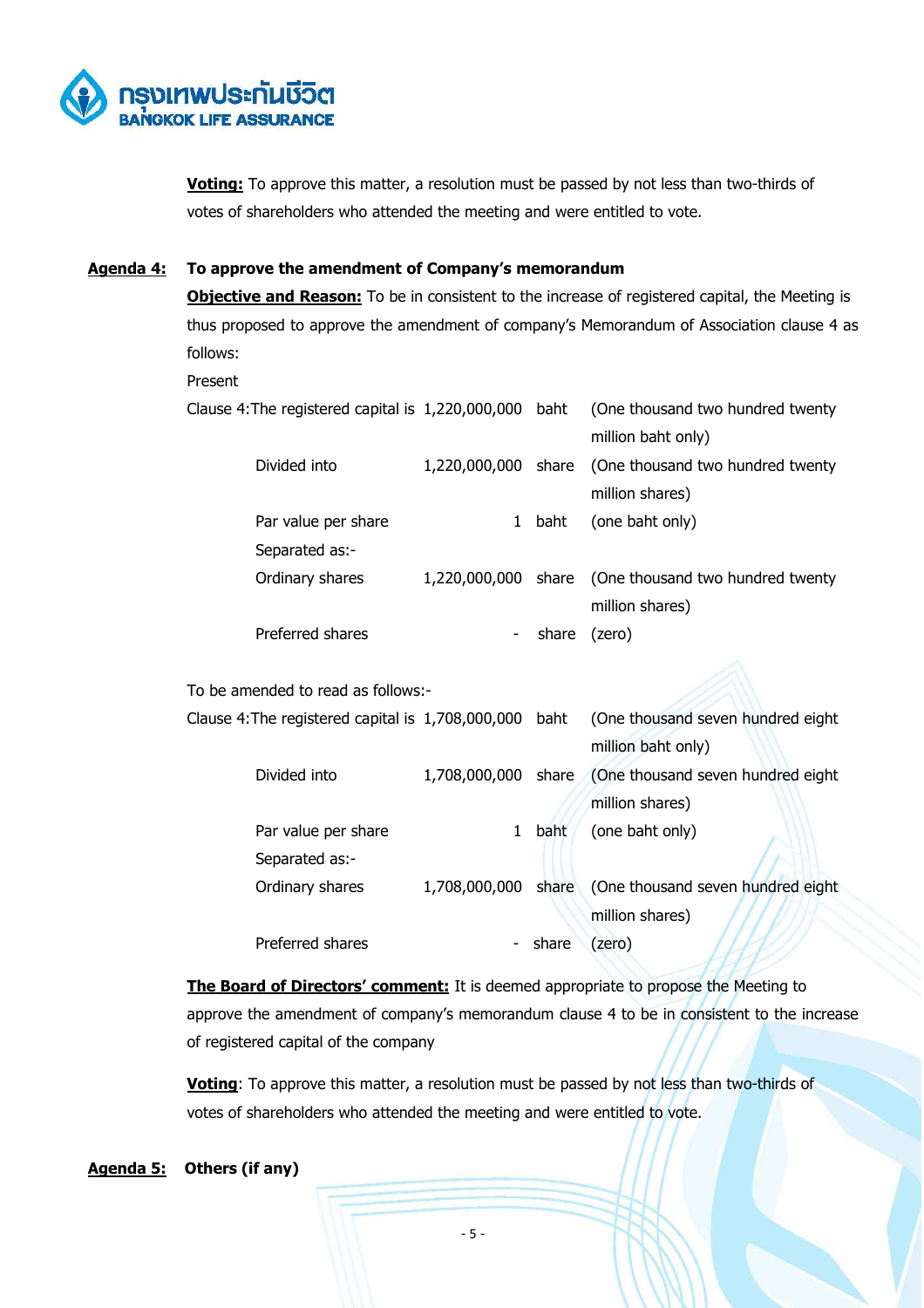

**Voting:** To approve this matter, a resolution must be passed by not less than two-thirds of votes of shareholders who attended the meeting and were entitled to vote.

# **Agenda 4: To approve the amendment of Company's memorandum**

**Objective and Reason:** To be in consistent to the increase of registered capital, the Meeting is thus proposed to approve the amendment of company's Memorandum of Association clause 4 as follows:

#### Present

| Clause 4: The registered capital is 1,220,000,000 baht |   |       | (One thousand two hundred twenty                     |
|--------------------------------------------------------|---|-------|------------------------------------------------------|
|                                                        |   |       | million baht only)                                   |
| Divided into                                           |   |       | 1,220,000,000 share (One thousand two hundred twenty |
|                                                        |   |       | million shares)                                      |
| Par value per share                                    | 1 | baht  | (one baht only)                                      |
| Separated as:-                                         |   |       |                                                      |
| Ordinary shares                                        |   |       | 1,220,000,000 share (One thousand two hundred twenty |
|                                                        |   |       | million shares)                                      |
| Preferred shares                                       | - | share | (zero)                                               |
|                                                        |   |       |                                                      |

To be amended to read as follows:-

| Clause 4: The registered capital is 1,708,000,000 baht |                     |             | (One thousand seven hundred eight                     |
|--------------------------------------------------------|---------------------|-------------|-------------------------------------------------------|
|                                                        |                     |             | million baht only)                                    |
| Divided into                                           |                     |             | 1,708,000,000 share (One thousand seven hundred eight |
|                                                        |                     |             | million shares)                                       |
| Par value per share                                    | 1                   | <b>baht</b> | (one baht only)                                       |
| Separated as:-                                         |                     |             |                                                       |
| Ordinary shares                                        | 1,708,000,000 share |             | (One thousand seven hundred eight)                    |
|                                                        |                     |             | million shares)                                       |
| Preferred shares                                       |                     | share       | (zero)                                                |

**The Board of Directors' comment:** It is deemed appropriate to propose the Meeting to approve the amendment of company's memorandum clause 4 to be in consistent to the increase of registered capital of the company

**Voting**: To approve this matter, a resolution must be passed by not less than two-thirds of votes of shareholders who attended the meeting and were entitled to vote.

#### **Agenda 5: Others (if any)**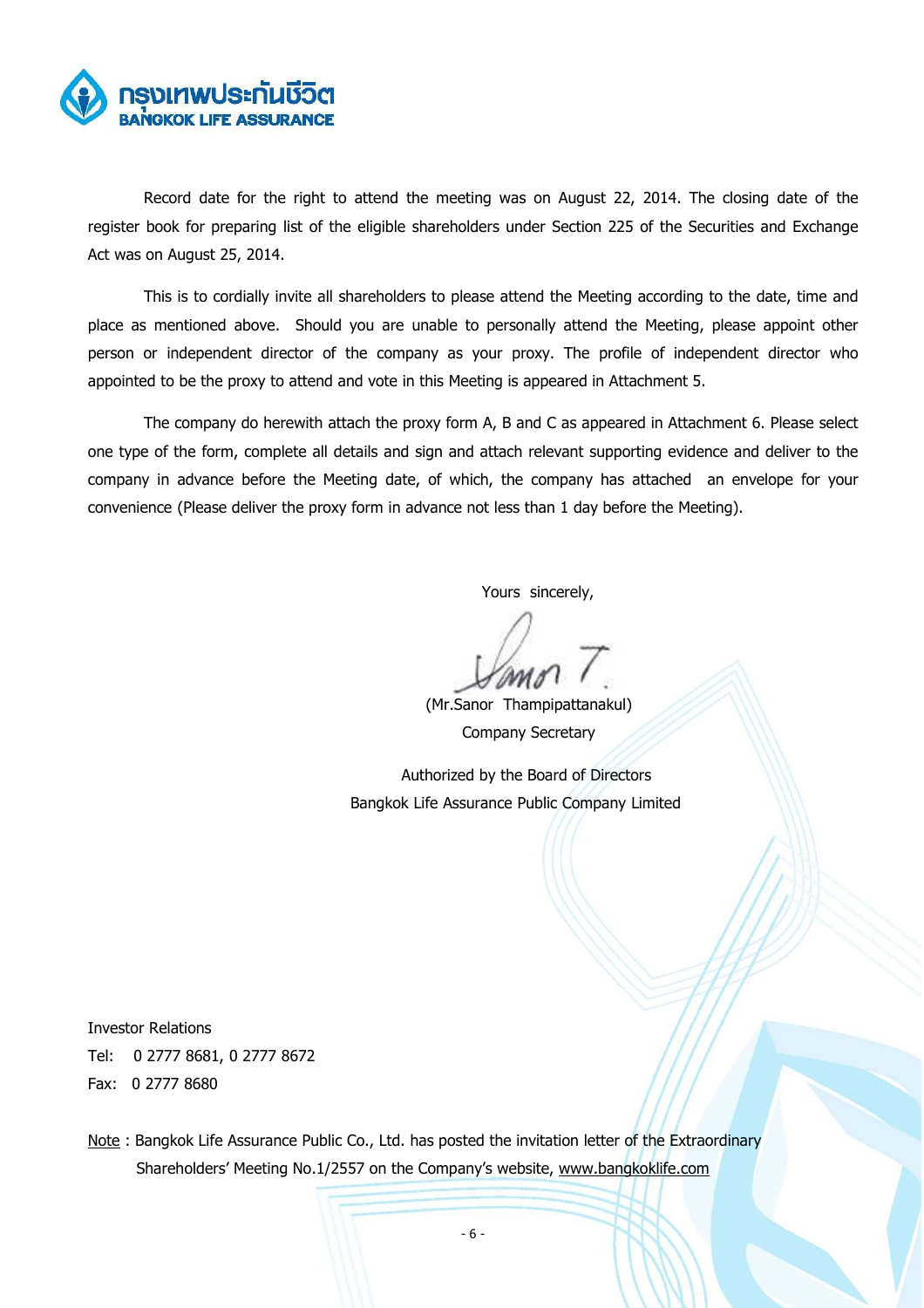

Record date for the right to attend the meeting was on August 22, 2014. The closing date of the register book for preparing list of the eligible shareholders under Section 225 of the Securities and Exchange Act was on August 25, 2014.

This is to cordially invite all shareholders to please attend the Meeting according to the date, time and place as mentioned above. Should you are unable to personally attend the Meeting, please appoint other person or independent director of the company as your proxy. The profile of independent director who appointed to be the proxy to attend and vote in this Meeting is appeared in Attachment 5.

The company do herewith attach the proxy form A, B and C as appeared in Attachment 6. Please select one type of the form, complete all details and sign and attach relevant supporting evidence and deliver to the company in advance before the Meeting date, of which, the company has attached an envelope for your convenience (Please deliver the proxy form in advance not less than 1 day before the Meeting).

Yours sincerely,

 (Mr.Sanor Thampipattanakul) Company Secretary

 Authorized by the Board of Directors Bangkok Life Assurance Public Company Limited

Investor Relations

Tel: 0 2777 8681, 0 2777 8672 Fax: 0 2777 8680

Note: Bangkok Life Assurance Public Co., Ltd. has posted the invitation letter of the Extraordinary Shareholders' Meeting No.1/2557 on the Company's website, www.bangkoklife.com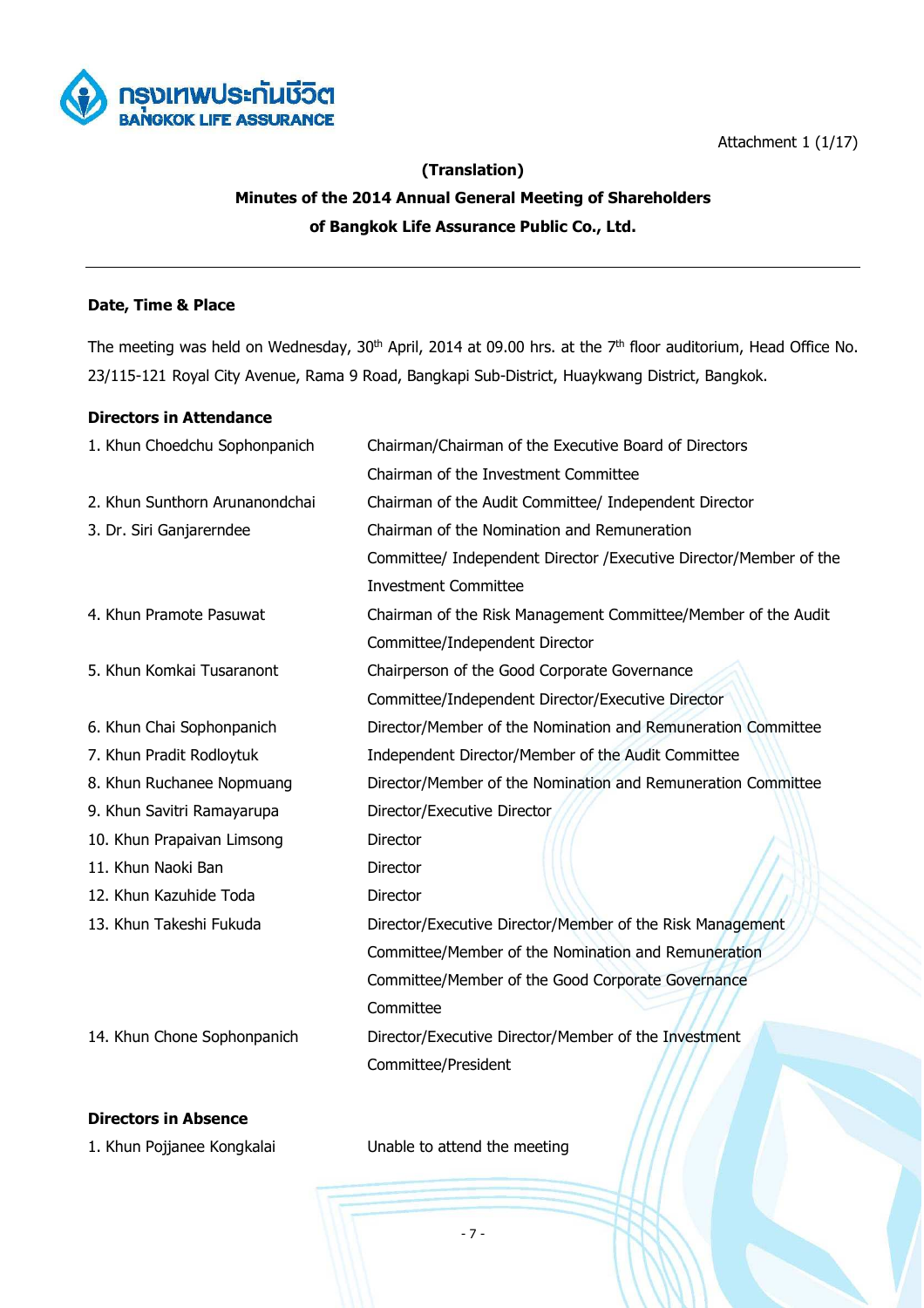



# **(Translation)**

# **Minutes of the 2014 Annual General Meeting of Shareholders of Bangkok Life Assurance Public Co., Ltd.**

# **Date, Time & Place**

The meeting was held on Wednesday, 30<sup>th</sup> April, 2014 at 09.00 hrs. at the 7<sup>th</sup> floor auditorium, Head Office No. 23/115-121 Royal City Avenue, Rama 9 Road, Bangkapi Sub-District, Huaykwang District, Bangkok.

# **Directors in Attendance**

| 1. Khun Choedchu Sophonpanich  | Chairman/Chairman of the Executive Board of Directors              |  |  |
|--------------------------------|--------------------------------------------------------------------|--|--|
|                                | Chairman of the Investment Committee                               |  |  |
| 2. Khun Sunthorn Arunanondchai | Chairman of the Audit Committee/ Independent Director              |  |  |
| 3. Dr. Siri Ganjarerndee       | Chairman of the Nomination and Remuneration                        |  |  |
|                                | Committee/ Independent Director / Executive Director/Member of the |  |  |
|                                | <b>Investment Committee</b>                                        |  |  |
| 4. Khun Pramote Pasuwat        | Chairman of the Risk Management Committee/Member of the Audit      |  |  |
|                                | Committee/Independent Director                                     |  |  |
| 5. Khun Komkai Tusaranont      | Chairperson of the Good Corporate Governance                       |  |  |
|                                | Committee/Independent Director/Executive Director                  |  |  |
| 6. Khun Chai Sophonpanich      | Director/Member of the Nomination and Remuneration Committee       |  |  |
| 7. Khun Pradit Rodloytuk       | Independent Director/Member of the Audit Committee                 |  |  |
| 8. Khun Ruchanee Nopmuang      | Director/Member of the Nomination and Remuneration Committee       |  |  |
| 9. Khun Savitri Ramayarupa     | Director/Executive Director                                        |  |  |
| 10. Khun Prapaivan Limsong     | Director                                                           |  |  |
| 11. Khun Naoki Ban             | Director                                                           |  |  |
| 12. Khun Kazuhide Toda         | Director                                                           |  |  |
| 13. Khun Takeshi Fukuda        | Director/Executive Director/Member of the Risk Management          |  |  |
|                                | Committee/Member of the Nomination and Remuneration                |  |  |
|                                | Committee/Member of the Good Corporate Governance                  |  |  |
|                                | Committee                                                          |  |  |
| 14. Khun Chone Sophonpanich    | Director/Executive Director/Member of the Investment               |  |  |
|                                | Committee/President                                                |  |  |

# **Directors in Absence**

1. Khun Pojjanee Kongkalai Unable to attend the meeting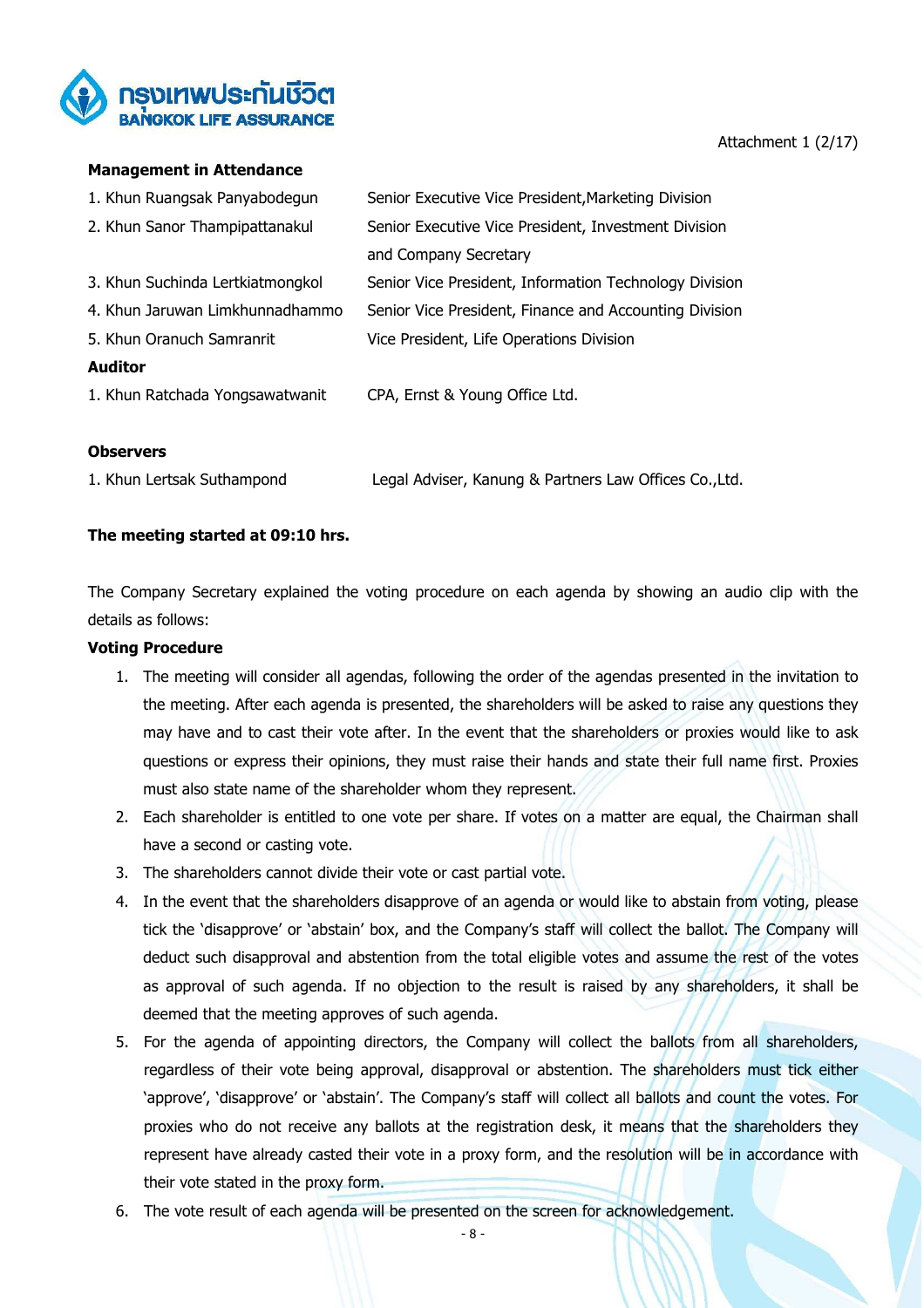

# Attachment 1 (2/17)

#### **Management in Attendance**

| 1. Khun Ruangsak Panyabodegun    | Senior Executive Vice President, Marketing Division    |
|----------------------------------|--------------------------------------------------------|
| 2. Khun Sanor Thampipattanakul   | Senior Executive Vice President, Investment Division   |
|                                  | and Company Secretary                                  |
| 3. Khun Suchinda Lertkiatmongkol | Senior Vice President, Information Technology Division |
| 4. Khun Jaruwan Limkhunnadhammo  | Senior Vice President, Finance and Accounting Division |
| 5. Khun Oranuch Samranrit        | Vice President, Life Operations Division               |
| <b>Auditor</b>                   |                                                        |
| 1. Khun Ratchada Yongsawatwanit  | CPA, Ernst & Young Office Ltd.                         |
|                                  |                                                        |

#### **Observers**

| 1. Khun Lertsak Suthampond | Legal Adviser, Kanung & Partners Law Offices Co., Ltd. |
|----------------------------|--------------------------------------------------------|
|----------------------------|--------------------------------------------------------|

# **The meeting started at 09:10 hrs.**

The Company Secretary explained the voting procedure on each agenda by showing an audio clip with the details as follows:

# **Voting Procedure**

- 1. The meeting will consider all agendas, following the order of the agendas presented in the invitation to the meeting. After each agenda is presented, the shareholders will be asked to raise any questions they may have and to cast their vote after. In the event that the shareholders or proxies would like to ask questions or express their opinions, they must raise their hands and state their full name first. Proxies must also state name of the shareholder whom they represent.
- 2. Each shareholder is entitled to one vote per share. If votes on a matter are equal, the Chairman shall have a second or casting vote.
- 3. The shareholders cannot divide their vote or cast partial vote.
- 4. In the event that the shareholders disapprove of an agenda or would like to abstain from voting, please tick the 'disapprove' or 'abstain' box, and the Company's staff will collect the ballot. The Company will deduct such disapproval and abstention from the total eligible votes and assume the rest of the votes as approval of such agenda. If no objection to the result is raised by any shareholders, it shall be deemed that the meeting approves of such agenda.
- 5. For the agenda of appointing directors, the Company will collect the ballots from all shareholders, regardless of their vote being approval, disapproval or abstention. The shareholders must tick either 'approve', 'disapprove' or 'abstain'. The Company's staff will collect all ballots and count the votes. For proxies who do not receive any ballots at the registration desk, it means that the shareholders they represent have already casted their vote in a proxy form, and the resolution will be in accordance with their vote stated in the proxy form.
- 6. The vote result of each agenda will be presented on the screen for acknowledgement.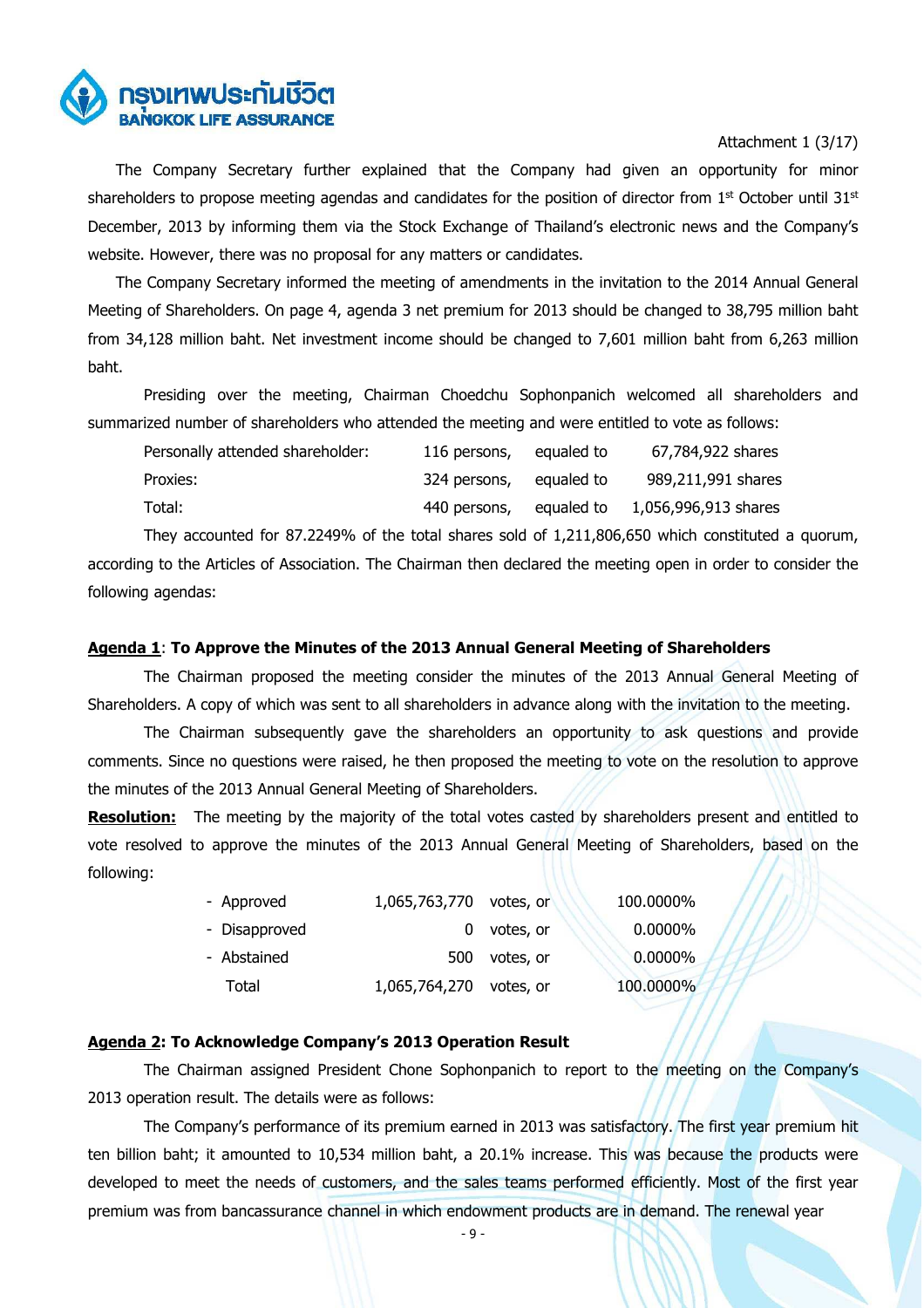

# Attachment 1 (3/17)

The Company Secretary further explained that the Company had given an opportunity for minor shareholders to propose meeting agendas and candidates for the position of director from 1<sup>st</sup> October until 31<sup>st</sup> December, 2013 by informing them via the Stock Exchange of Thailand's electronic news and the Company's website. However, there was no proposal for any matters or candidates.

The Company Secretary informed the meeting of amendments in the invitation to the 2014 Annual General Meeting of Shareholders. On page 4, agenda 3 net premium for 2013 should be changed to 38,795 million baht from 34,128 million baht. Net investment income should be changed to 7,601 million baht from 6,263 million baht.

 Presiding over the meeting, Chairman Choedchu Sophonpanich welcomed all shareholders and summarized number of shareholders who attended the meeting and were entitled to vote as follows:

| Personally attended shareholder: | 116 persons, | equaled to | 67,784,922 shares    |
|----------------------------------|--------------|------------|----------------------|
| Proxies:                         | 324 persons, | eaualed to | 989,211,991 shares   |
| Total:                           | 440 persons, | equaled to | 1,056,996,913 shares |

They accounted for 87.2249% of the total shares sold of 1,211,806,650 which constituted a quorum, according to the Articles of Association. The Chairman then declared the meeting open in order to consider the following agendas:

#### **Agenda 1**: **To Approve the Minutes of the 2013 Annual General Meeting of Shareholders**

The Chairman proposed the meeting consider the minutes of the 2013 Annual General Meeting of Shareholders. A copy of which was sent to all shareholders in advance along with the invitation to the meeting.

The Chairman subsequently gave the shareholders an opportunity to ask questions and provide comments. Since no questions were raised, he then proposed the meeting to vote on the resolution to approve the minutes of the 2013 Annual General Meeting of Shareholders.

**Resolution:** The meeting by the majority of the total votes casted by shareholders present and entitled to vote resolved to approve the minutes of the 2013 Annual General Meeting of Shareholders, based on the following:

| - Approved    | 1,065,763,770           | votes, or | 100.0000%  |
|---------------|-------------------------|-----------|------------|
| - Disapproved |                         | votes, or | 0.0000%    |
| - Abstained   | 500                     | votes, or | $0.0000\%$ |
| Total         | 1,065,764,270 votes, or |           | 100.0000%  |

#### **Agenda 2: To Acknowledge Company's 2013 Operation Result**

The Chairman assigned President Chone Sophonpanich to report to the meeting on the Company's 2013 operation result. The details were as follows:

 The Company's performance of its premium earned in 2013 was satisfactory. The first year premium hit ten billion baht; it amounted to 10,534 million baht, a 20.1% increase. This was because the products were developed to meet the needs of customers, and the sales teams performed efficiently. Most of the first year premium was from bancassurance channel in which endowment products are in demand. The renewal year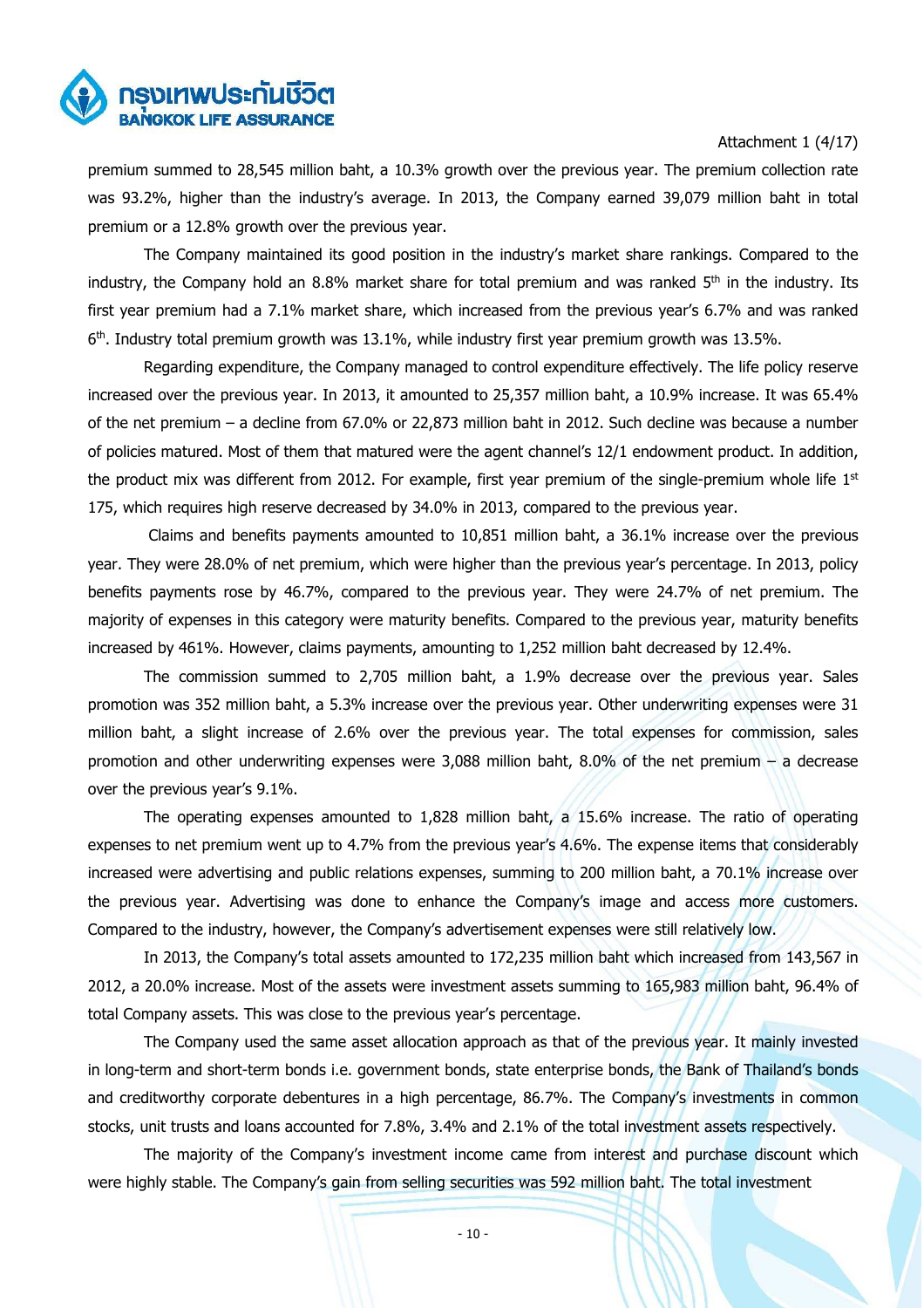

### Attachment 1 (4/17)

premium summed to 28,545 million baht, a 10.3% growth over the previous year. The premium collection rate was 93.2%, higher than the industry's average. In 2013, the Company earned 39,079 million baht in total premium or a 12.8% growth over the previous year.

The Company maintained its good position in the industry's market share rankings. Compared to the industry, the Company hold an 8.8% market share for total premium and was ranked  $5<sup>th</sup>$  in the industry. Its first year premium had a 7.1% market share, which increased from the previous year's 6.7% and was ranked 6<sup>th</sup>. Industry total premium growth was 13.1%, while industry first year premium growth was 13.5%.

 Regarding expenditure, the Company managed to control expenditure effectively. The life policy reserve increased over the previous year. In 2013, it amounted to 25,357 million baht, a 10.9% increase. It was 65.4% of the net premium – a decline from 67.0% or 22,873 million baht in 2012. Such decline was because a number of policies matured. Most of them that matured were the agent channel's 12/1 endowment product. In addition, the product mix was different from 2012. For example, first year premium of the single-premium whole life  $1<sup>st</sup>$ 175, which requires high reserve decreased by 34.0% in 2013, compared to the previous year.

 Claims and benefits payments amounted to 10,851 million baht, a 36.1% increase over the previous year. They were 28.0% of net premium, which were higher than the previous year's percentage. In 2013, policy benefits payments rose by 46.7%, compared to the previous year. They were 24.7% of net premium. The majority of expenses in this category were maturity benefits. Compared to the previous year, maturity benefits increased by 461%. However, claims payments, amounting to 1,252 million baht decreased by 12.4%.

 The commission summed to 2,705 million baht, a 1.9% decrease over the previous year. Sales promotion was 352 million baht, a 5.3% increase over the previous year. Other underwriting expenses were 31 million baht, a slight increase of 2.6% over the previous year. The total expenses for commission, sales promotion and other underwriting expenses were 3,088 million baht, 8.0% of the net premium – a decrease over the previous year's 9.1%.

 The operating expenses amounted to 1,828 million baht, a 15.6% increase. The ratio of operating expenses to net premium went up to 4.7% from the previous year's 4.6%. The expense items that considerably increased were advertising and public relations expenses, summing to 200 million baht, a 70.1% increase over the previous year. Advertising was done to enhance the Company's image and access more customers. Compared to the industry, however, the Company's advertisement expenses were still relatively low.

 In 2013, the Company's total assets amounted to 172,235 million baht which increased from 143,567 in 2012, a 20.0% increase. Most of the assets were investment assets summing to 165,983 million baht, 96.4% of total Company assets. This was close to the previous year's percentage.

 The Company used the same asset allocation approach as that of the previous year. It mainly invested in long-term and short-term bonds i.e. government bonds, state enterprise bonds, the Bank of Thailand's bonds and creditworthy corporate debentures in a high percentage, 86.7%. The Company's investments in common stocks, unit trusts and loans accounted for 7.8%, 3.4% and 2.1% of the total investment assets respectively.

 The majority of the Company's investment income came from interest and purchase discount which were highly stable. The Company's gain from selling securities was 592 million baht. The total investment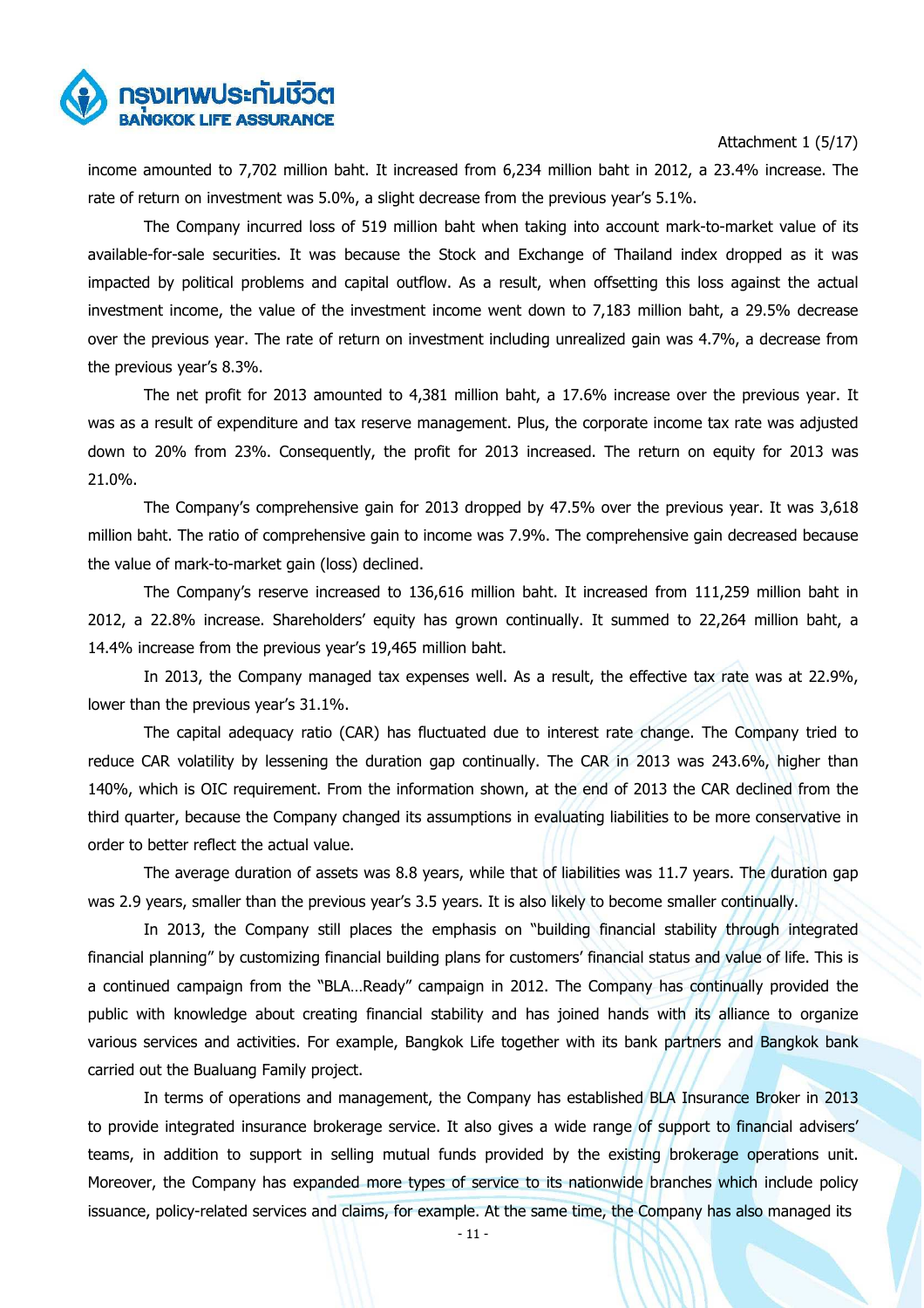

Attachment 1 (5/17)

income amounted to 7,702 million baht. It increased from 6,234 million baht in 2012, a 23.4% increase. The rate of return on investment was 5.0%, a slight decrease from the previous year's 5.1%.

 The Company incurred loss of 519 million baht when taking into account mark-to-market value of its available-for-sale securities. It was because the Stock and Exchange of Thailand index dropped as it was impacted by political problems and capital outflow. As a result, when offsetting this loss against the actual investment income, the value of the investment income went down to 7,183 million baht, a 29.5% decrease over the previous year. The rate of return on investment including unrealized gain was 4.7%, a decrease from the previous year's 8.3%.

 The net profit for 2013 amounted to 4,381 million baht, a 17.6% increase over the previous year. It was as a result of expenditure and tax reserve management. Plus, the corporate income tax rate was adjusted down to 20% from 23%. Consequently, the profit for 2013 increased. The return on equity for 2013 was 21.0%.

 The Company's comprehensive gain for 2013 dropped by 47.5% over the previous year. It was 3,618 million baht. The ratio of comprehensive gain to income was 7.9%. The comprehensive gain decreased because the value of mark-to-market gain (loss) declined.

 The Company's reserve increased to 136,616 million baht. It increased from 111,259 million baht in 2012, a 22.8% increase. Shareholders' equity has grown continually. It summed to 22,264 million baht, a 14.4% increase from the previous year's 19,465 million baht.

 In 2013, the Company managed tax expenses well. As a result, the effective tax rate was at 22.9%, lower than the previous year's 31.1%.

 The capital adequacy ratio (CAR) has fluctuated due to interest rate change. The Company tried to reduce CAR volatility by lessening the duration gap continually. The CAR in 2013 was 243.6%, higher than 140%, which is OIC requirement. From the information shown, at the end of 2013 the CAR declined from the third quarter, because the Company changed its assumptions in evaluating liabilities to be more conservative in order to better reflect the actual value.

 The average duration of assets was 8.8 years, while that of liabilities was 11.7 years. The duration gap was 2.9 years, smaller than the previous year's 3.5 years. It is also likely to become smaller continually.

 In 2013, the Company still places the emphasis on "building financial stability through integrated financial planning" by customizing financial building plans for customers' financial status and value of life. This is a continued campaign from the "BLA…Ready" campaign in 2012. The Company has continually provided the public with knowledge about creating financial stability and has joined hands with its alliance to organize various services and activities. For example, Bangkok Life together with its bank partners and Bangkok bank carried out the Bualuang Family project.

 In terms of operations and management, the Company has established BLA Insurance Broker in 2013 to provide integrated insurance brokerage service. It also gives a wide range of support to financial advisers' teams, in addition to support in selling mutual funds provided by the existing brokerage operations unit. Moreover, the Company has expanded more types of service to its nationwide branches which include policy issuance, policy-related services and claims, for example. At the same time, the Company has also managed its

- 11 -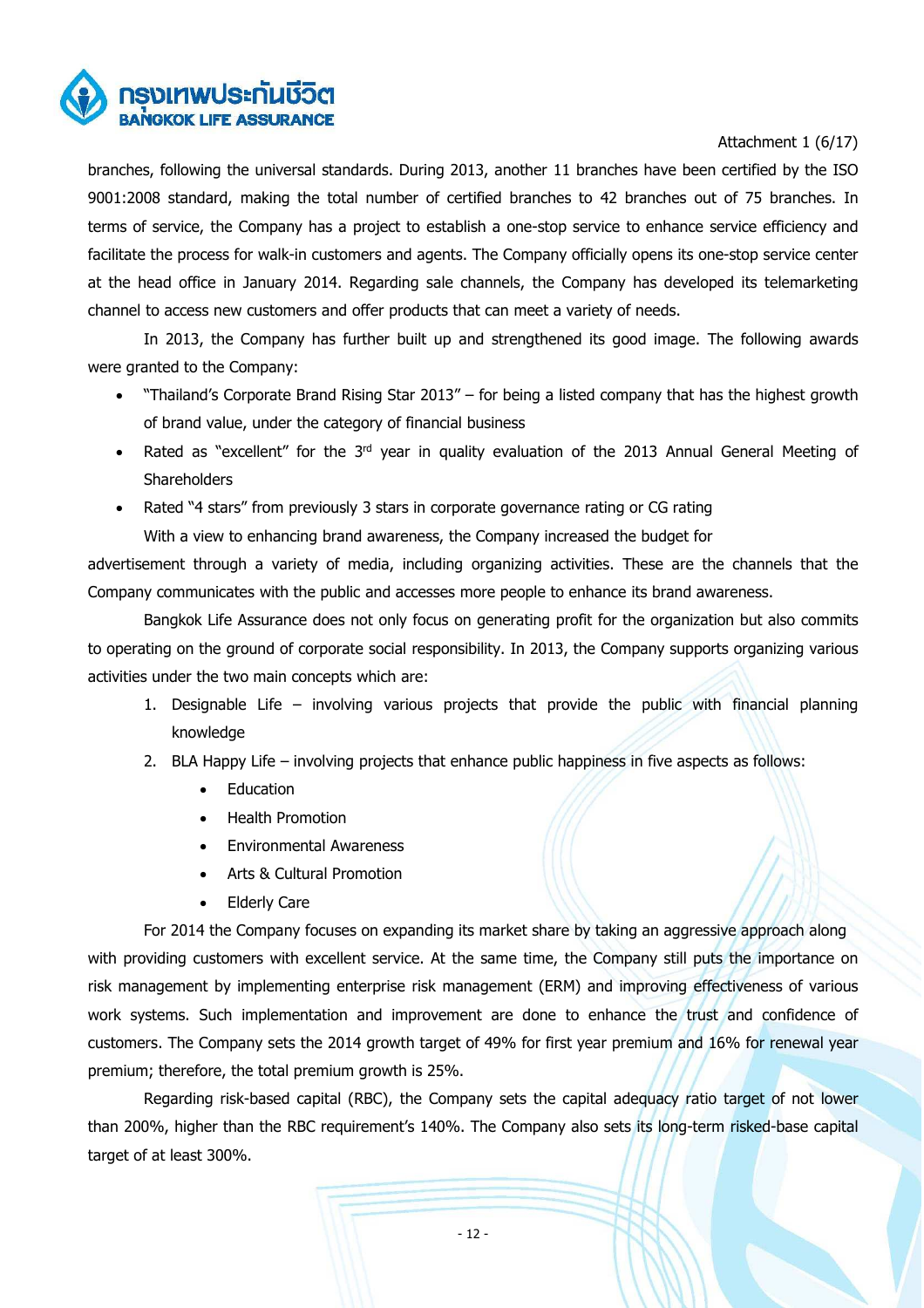

# Attachment 1 (6/17)

branches, following the universal standards. During 2013, another 11 branches have been certified by the ISO 9001:2008 standard, making the total number of certified branches to 42 branches out of 75 branches. In terms of service, the Company has a project to establish a one-stop service to enhance service efficiency and facilitate the process for walk-in customers and agents. The Company officially opens its one-stop service center at the head office in January 2014. Regarding sale channels, the Company has developed its telemarketing channel to access new customers and offer products that can meet a variety of needs.

 In 2013, the Company has further built up and strengthened its good image. The following awards were granted to the Company:

- "Thailand's Corporate Brand Rising Star 2013" for being a listed company that has the highest growth of brand value, under the category of financial business
- Rated as "excellent" for the 3<sup>rd</sup> year in quality evaluation of the 2013 Annual General Meeting of **Shareholders**
- Rated "4 stars" from previously 3 stars in corporate governance rating or CG rating With a view to enhancing brand awareness, the Company increased the budget for

advertisement through a variety of media, including organizing activities. These are the channels that the Company communicates with the public and accesses more people to enhance its brand awareness.

 Bangkok Life Assurance does not only focus on generating profit for the organization but also commits to operating on the ground of corporate social responsibility. In 2013, the Company supports organizing various activities under the two main concepts which are:

- 1. Designable Life involving various projects that provide the public with financial planning knowledge
- 2. BLA Happy Life involving projects that enhance public happiness in five aspects as follows:
	- **Education**
	- Health Promotion
	- Environmental Awareness
	- Arts & Cultural Promotion
	- Elderly Care

For 2014 the Company focuses on expanding its market share by taking an aggressive approach along with providing customers with excellent service. At the same time, the Company still puts the importance on risk management by implementing enterprise risk management (ERM) and improving effectiveness of various work systems. Such implementation and improvement are done to enhance the trust and confidence of customers. The Company sets the 2014 growth target of 49% for first year premium and 16% for renewal year premium; therefore, the total premium growth is 25%.

 Regarding risk-based capital (RBC), the Company sets the capital adequacy ratio target of not lower than 200%, higher than the RBC requirement's 140%. The Company also sets its long-term risked-base capital target of at least 300%.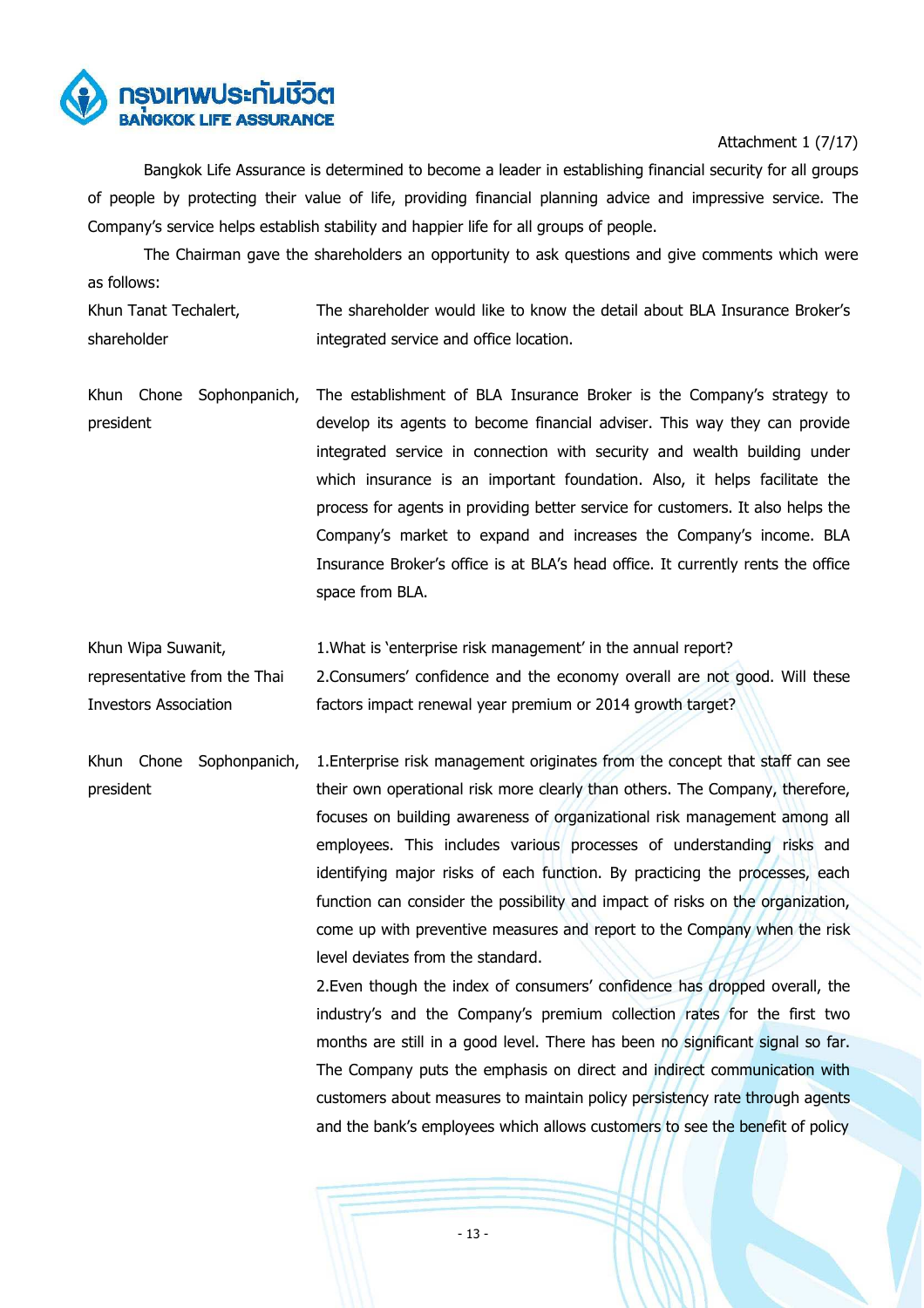

# Attachment 1 (7/17)

Bangkok Life Assurance is determined to become a leader in establishing financial security for all groups of people by protecting their value of life, providing financial planning advice and impressive service. The Company's service helps establish stability and happier life for all groups of people.

 The Chairman gave the shareholders an opportunity to ask questions and give comments which were as follows:

Khun Tanat Techalert, shareholder The shareholder would like to know the detail about BLA Insurance Broker's integrated service and office location.

- Khun Chone Sophonpanich, president The establishment of BLA Insurance Broker is the Company's strategy to develop its agents to become financial adviser. This way they can provide integrated service in connection with security and wealth building under which insurance is an important foundation. Also, it helps facilitate the process for agents in providing better service for customers. It also helps the Company's market to expand and increases the Company's income. BLA Insurance Broker's office is at BLA's head office. It currently rents the office space from BLA.
- Khun Wipa Suwanit, representative from the Thai Investors Association 1.What is 'enterprise risk management' in the annual report? 2.Consumers' confidence and the economy overall are not good. Will these factors impact renewal year premium or 2014 growth target?

Khun Chone Sophonpanich, president 1.Enterprise risk management originates from the concept that staff can see their own operational risk more clearly than others. The Company, therefore, focuses on building awareness of organizational risk management among all employees. This includes various processes of understanding risks and identifying major risks of each function. By practicing the processes, each function can consider the possibility and impact of risks on the organization, come up with preventive measures and report to the Company when the risk level deviates from the standard.

> 2.Even though the index of consumers' confidence has dropped overall, the industry's and the Company's premium collection rates for the first two months are still in a good level. There has been no significant signal so far. The Company puts the emphasis on direct and indirect communication with customers about measures to maintain policy persistency rate through agents and the bank's employees which allows customers to see the benefit of policy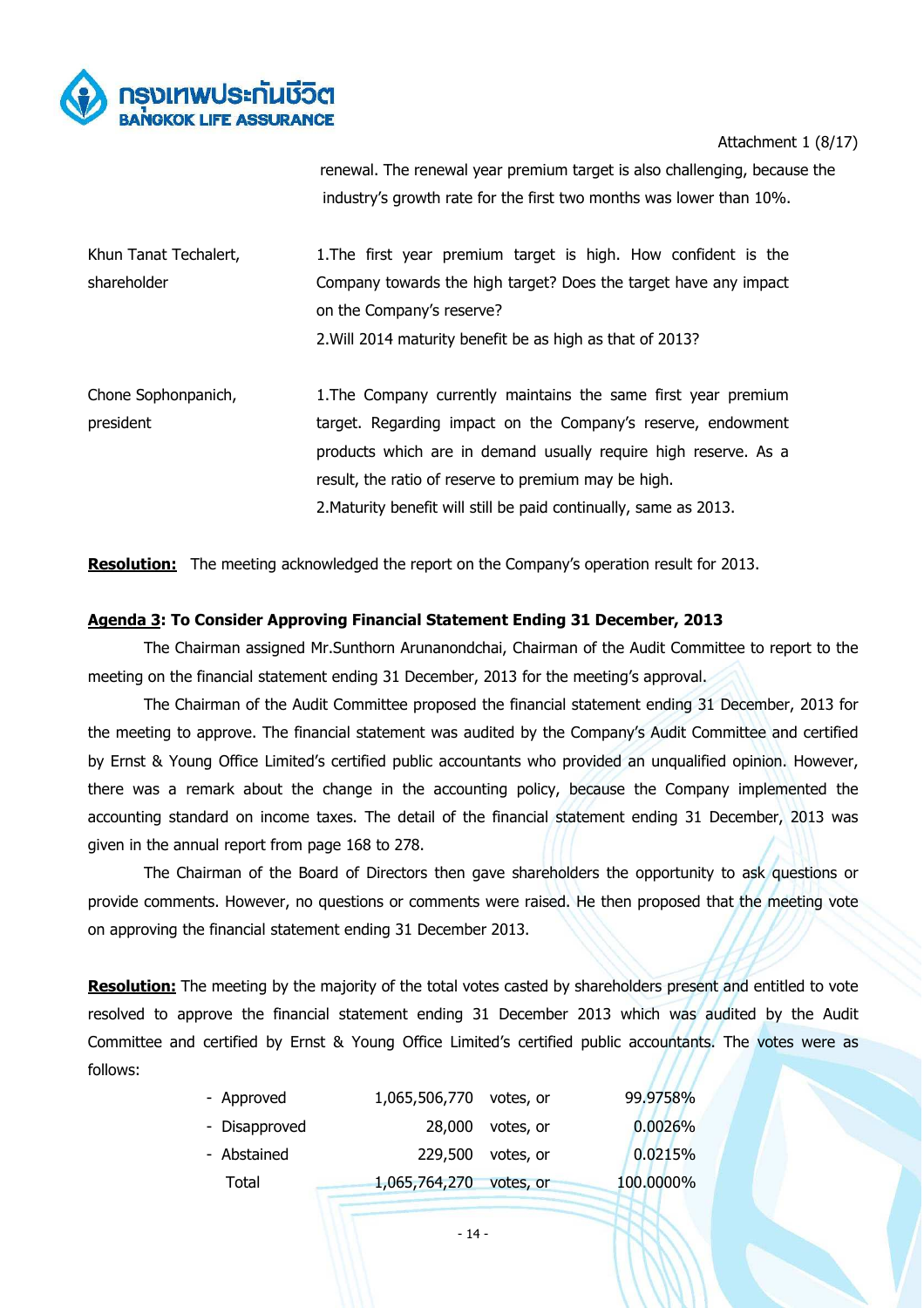

Attachment 1 (8/17)

renewal. The renewal year premium target is also challenging, because the industry's growth rate for the first two months was lower than 10%.

| Khun Tanat Techalert, | 1. The first year premium target is high. How confident is the   |
|-----------------------|------------------------------------------------------------------|
| shareholder           | Company towards the high target? Does the target have any impact |
|                       | on the Company's reserve?                                        |
|                       | 2. Will 2014 maturity benefit be as high as that of 2013?        |
|                       |                                                                  |

Chone Sophonpanich, president 1.The Company currently maintains the same first year premium target. Regarding impact on the Company's reserve, endowment products which are in demand usually require high reserve. As a result, the ratio of reserve to premium may be high. 2.Maturity benefit will still be paid continually, same as 2013.

**Resolution:** The meeting acknowledged the report on the Company's operation result for 2013.

# **Agenda 3: To Consider Approving Financial Statement Ending 31 December, 2013**

 The Chairman assigned Mr.Sunthorn Arunanondchai, Chairman of the Audit Committee to report to the meeting on the financial statement ending 31 December, 2013 for the meeting's approval.

 The Chairman of the Audit Committee proposed the financial statement ending 31 December, 2013 for the meeting to approve. The financial statement was audited by the Company's Audit Committee and certified by Ernst & Young Office Limited's certified public accountants who provided an unqualified opinion. However, there was a remark about the change in the accounting policy, because the Company implemented the accounting standard on income taxes. The detail of the financial statement ending 31 December, 2013 was given in the annual report from page 168 to 278.

 The Chairman of the Board of Directors then gave shareholders the opportunity to ask questions or provide comments. However, no questions or comments were raised. He then proposed that the meeting vote on approving the financial statement ending 31 December 2013.

**Resolution:** The meeting by the majority of the total votes casted by shareholders present and entitled to vote resolved to approve the financial statement ending 31 December 2013 which was audited by the Audit Committee and certified by Ernst & Young Office Limited's certified public accountants. The votes were as follows:

| - Approved    | 1,065,506,770 votes, or |                   | 99,9758%  |
|---------------|-------------------------|-------------------|-----------|
| - Disapproved |                         | 28,000 votes, or  | 0.0026%   |
| - Abstained   |                         | 229,500 votes, or | 0.0215%   |
| Total         | 1,065,764,270 votes, or |                   | 100.0000% |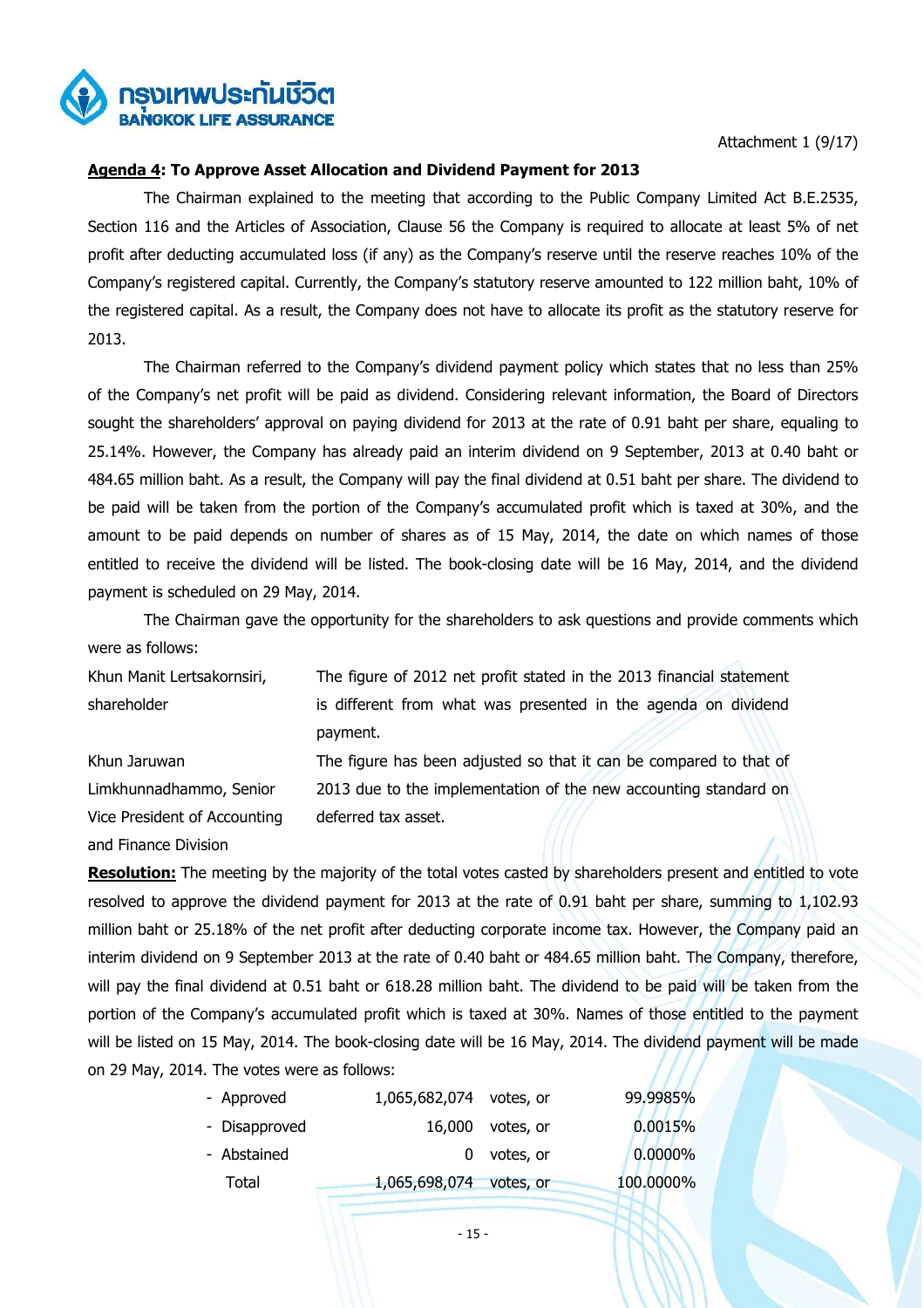

Attachment 1 (9/17)

### **Agenda 4: To Approve Asset Allocation and Dividend Payment for 2013**

The Chairman explained to the meeting that according to the Public Company Limited Act B.E.2535, Section 116 and the Articles of Association, Clause 56 the Company is required to allocate at least 5% of net profit after deducting accumulated loss (if any) as the Company's reserve until the reserve reaches 10% of the Company's registered capital. Currently, the Company's statutory reserve amounted to 122 million baht, 10% of the registered capital. As a result, the Company does not have to allocate its profit as the statutory reserve for 2013.

The Chairman referred to the Company's dividend payment policy which states that no less than 25% of the Company's net profit will be paid as dividend. Considering relevant information, the Board of Directors sought the shareholders' approval on paying dividend for 2013 at the rate of 0.91 baht per share, equaling to 25.14%. However, the Company has already paid an interim dividend on 9 September, 2013 at 0.40 baht or 484.65 million baht. As a result, the Company will pay the final dividend at 0.51 baht per share. The dividend to be paid will be taken from the portion of the Company's accumulated profit which is taxed at 30%, and the amount to be paid depends on number of shares as of 15 May, 2014, the date on which names of those entitled to receive the dividend will be listed. The book-closing date will be 16 May, 2014, and the dividend payment is scheduled on 29 May, 2014.

 The Chairman gave the opportunity for the shareholders to ask questions and provide comments which were as follows:

Khun Manit Lertsakornsiri, shareholder The figure of 2012 net profit stated in the 2013 financial statement is different from what was presented in the agenda on dividend payment.

Khun Jaruwan Limkhunnadhammo, Senior Vice President of Accounting and Finance Division

The figure has been adjusted so that it can be compared to that of 2013 due to the implementation of the new accounting standard on deferred tax asset.

**Resolution:** The meeting by the majority of the total votes casted by shareholders present and entitled to vote resolved to approve the dividend payment for 2013 at the rate of 0.91 baht per share, summing to 1,102.93 million baht or 25.18% of the net profit after deducting corporate income tax. However, the Company paid an interim dividend on 9 September 2013 at the rate of 0.40 baht or 484.65 million baht. The Company, therefore, will pay the final dividend at 0.51 baht or 618.28 million baht. The dividend to be paid will be taken from the portion of the Company's accumulated profit which is taxed at 30%. Names of those entitled to the payment will be listed on 15 May, 2014. The book-closing date will be 16 May, 2014. The dividend payment will be made on 29 May, 2014. The votes were as follows:

| - Approved    | 1,065,682,074 votes, or |                    | 99,9985%  |
|---------------|-------------------------|--------------------|-----------|
| - Disapproved |                         | $16,000$ votes, or | 0.0015%   |
| - Abstained   |                         | $0$ votes, or      | 0.0000%   |
| Total         | 1,065,698,074 votes, or |                    | 100.0000% |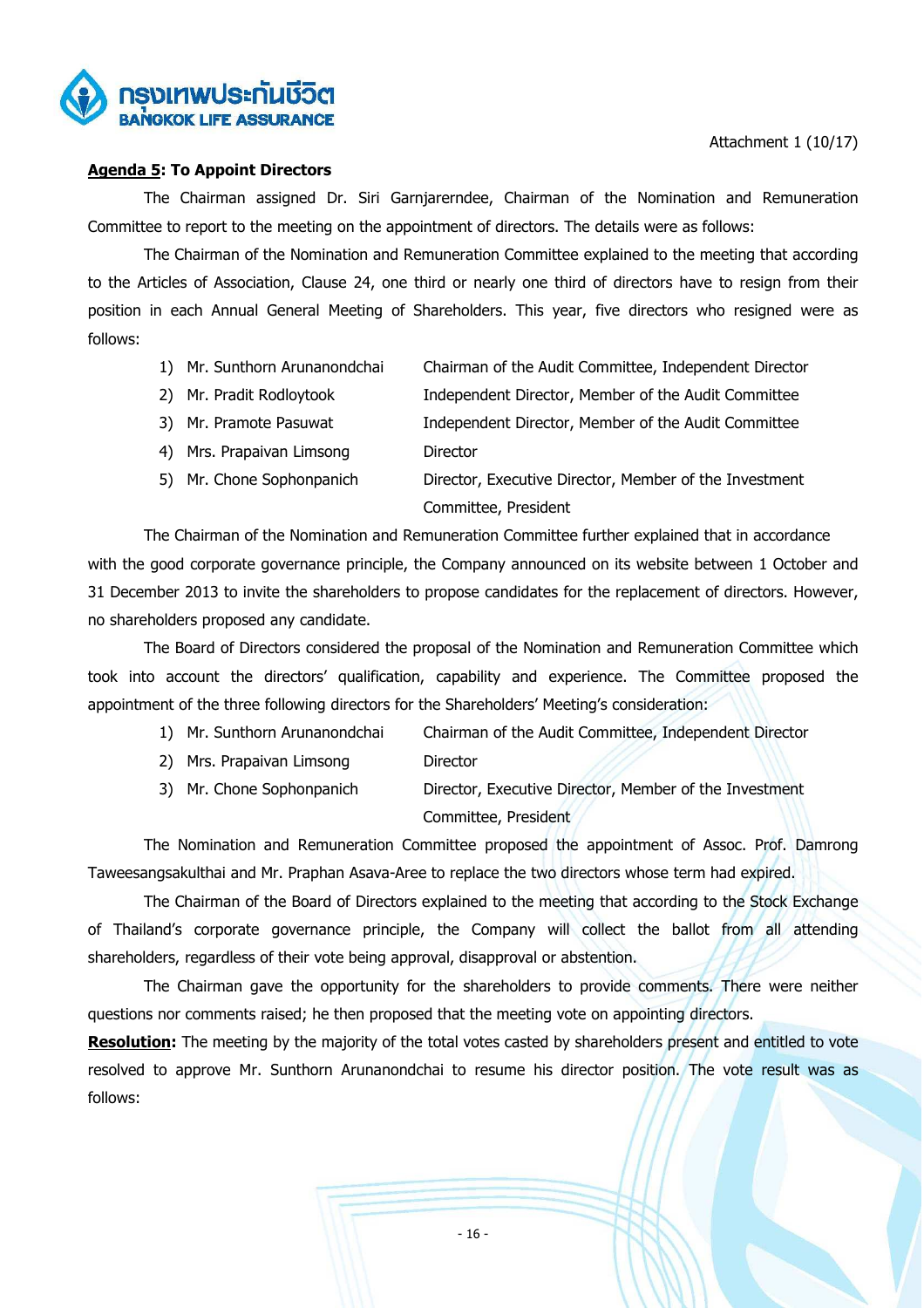

# **Agenda 5: To Appoint Directors**

 The Chairman assigned Dr. Siri Garnjarerndee, Chairman of the Nomination and Remuneration Committee to report to the meeting on the appointment of directors. The details were as follows:

 The Chairman of the Nomination and Remuneration Committee explained to the meeting that according to the Articles of Association, Clause 24, one third or nearly one third of directors have to resign from their position in each Annual General Meeting of Shareholders. This year, five directors who resigned were as follows:

- 1) Mr. Sunthorn Arunanondchai Chairman of the Audit Committee, Independent Director
- 2) Mr. Pradit Rodloytook Independent Director, Member of the Audit Committee
- 3) Mr. Pramote Pasuwat Independent Director, Member of the Audit Committee
- 4) Mrs. Prapaivan Limsong Director
- 5) Mr. Chone Sophonpanich Director, Executive Director, Member of the Investment Committee, President

The Chairman of the Nomination and Remuneration Committee further explained that in accordance with the good corporate governance principle, the Company announced on its website between 1 October and 31 December 2013 to invite the shareholders to propose candidates for the replacement of directors. However, no shareholders proposed any candidate.

 The Board of Directors considered the proposal of the Nomination and Remuneration Committee which took into account the directors' qualification, capability and experience. The Committee proposed the appointment of the three following directors for the Shareholders' Meeting's consideration:

- 1) Mr. Sunthorn Arunanondchai Chairman of the Audit Committee, Independent Director
- 2) Mrs. Prapaivan Limsong Director
- 3) Mr. Chone Sophonpanich Director, Executive Director, Member of the Investment Committee, President

 The Nomination and Remuneration Committee proposed the appointment of Assoc. Prof. Damrong Taweesangsakulthai and Mr. Praphan Asava-Aree to replace the two directors whose term had expired.

 The Chairman of the Board of Directors explained to the meeting that according to the Stock Exchange of Thailand's corporate governance principle, the Company will collect the ballot from all attending shareholders, regardless of their vote being approval, disapproval or abstention.

 The Chairman gave the opportunity for the shareholders to provide comments. There were neither questions nor comments raised; he then proposed that the meeting vote on appointing directors.

**Resolution:** The meeting by the majority of the total votes casted by shareholders present and entitled to vote resolved to approve Mr. Sunthorn Arunanondchai to resume his director position. The vote result was as follows: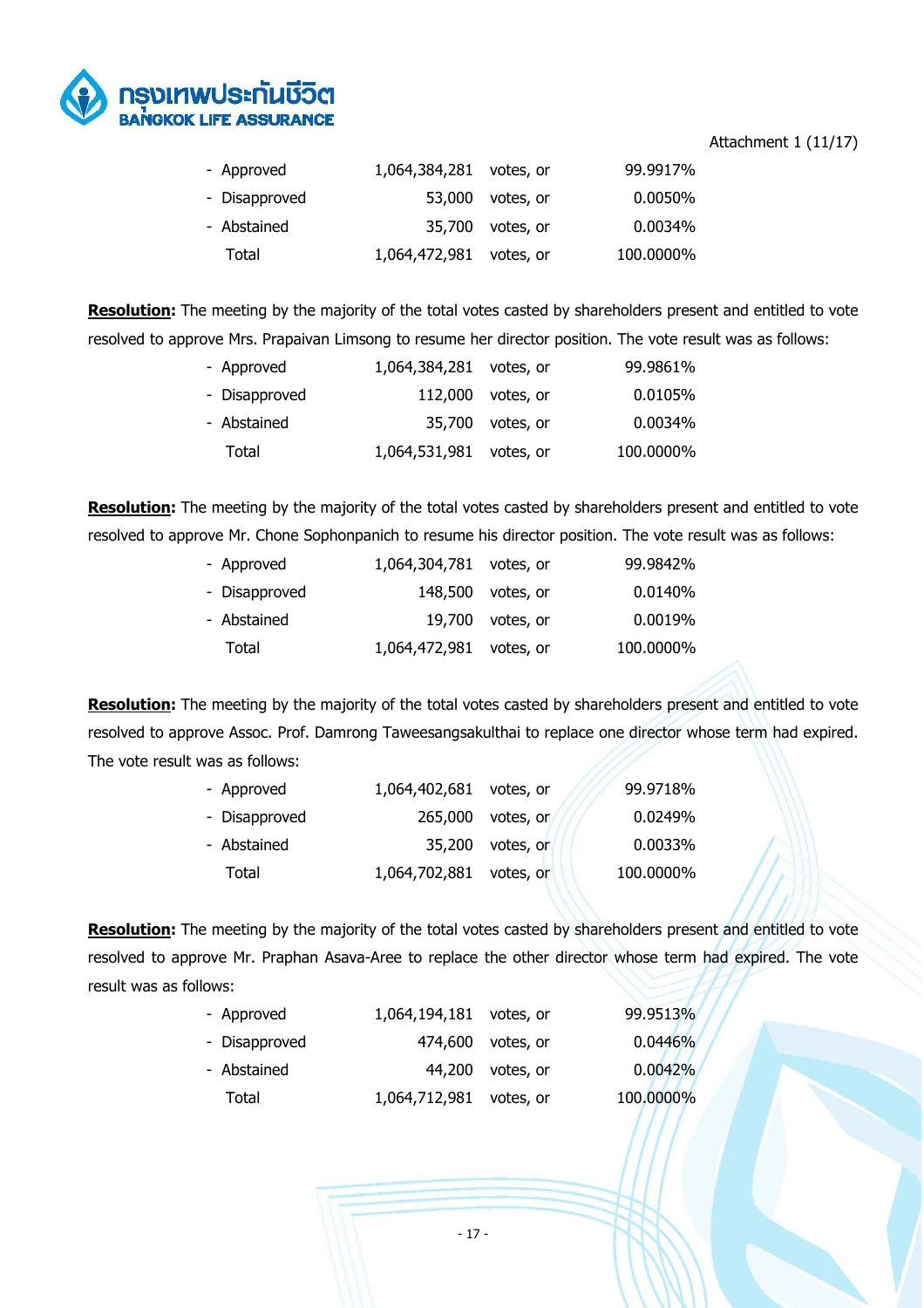

### Attachment 1 (11/17)

| - Approved    | 1,064,384,281 votes, or |                  | 99.9917%  |
|---------------|-------------------------|------------------|-----------|
| - Disapproved |                         | 53,000 votes, or | 0.0050%   |
| - Abstained   |                         | 35,700 votes, or | 0.0034%   |
| Total         | 1,064,472,981 votes, or |                  | 100.0000% |

**Resolution:** The meeting by the majority of the total votes casted by shareholders present and entitled to vote resolved to approve Mrs. Prapaivan Limsong to resume her director position. The vote result was as follows:

| - Approved    | 1,064,384,281 votes, or |                     | 99.9861%  |
|---------------|-------------------------|---------------------|-----------|
| - Disapproved |                         | $112,000$ votes, or | 0.0105%   |
| - Abstained   |                         | 35,700 votes, or    | 0.0034%   |
| Total         | 1,064,531,981 votes, or |                     | 100.0000% |

**Resolution:** The meeting by the majority of the total votes casted by shareholders present and entitled to vote resolved to approve Mr. Chone Sophonpanich to resume his director position. The vote result was as follows:

| - Approved    | 1,064,304,781 votes, or |                    | 99.9842%  |
|---------------|-------------------------|--------------------|-----------|
| - Disapproved |                         | 148,500 votes, or  | 0.0140%   |
| - Abstained   |                         | $19,700$ votes, or | 0.0019%   |
| Total         | 1,064,472,981 votes, or |                    | 100.0000% |

**Resolution:** The meeting by the majority of the total votes casted by shareholders present and entitled to vote resolved to approve Assoc. Prof. Damrong Taweesangsakulthai to replace one director whose term had expired. The vote result was as follows:

| - Approved    | 1,064,402,681 votes, or |                   | 99.9718%  |
|---------------|-------------------------|-------------------|-----------|
| - Disapproved |                         | 265,000 votes, or | 0.0249%   |
| - Abstained   |                         | 35,200 votes, or  | 0.0033%   |
| Total         | 1,064,702,881 votes, or |                   | 100.0000% |

**Resolution:** The meeting by the majority of the total votes casted by shareholders present and entitled to vote resolved to approve Mr. Praphan Asava-Aree to replace the other director whose term had expired. The vote result was as follows:

| - Approved    | 1,064,194,181 votes, or |                   | 99.9513%  |
|---------------|-------------------------|-------------------|-----------|
| - Disapproved |                         | 474,600 votes, or | 0.0446%   |
| - Abstained   |                         | 44,200 votes, or  | 0.0042%   |
| Total         | 1,064,712,981 votes, or |                   | 100.0000% |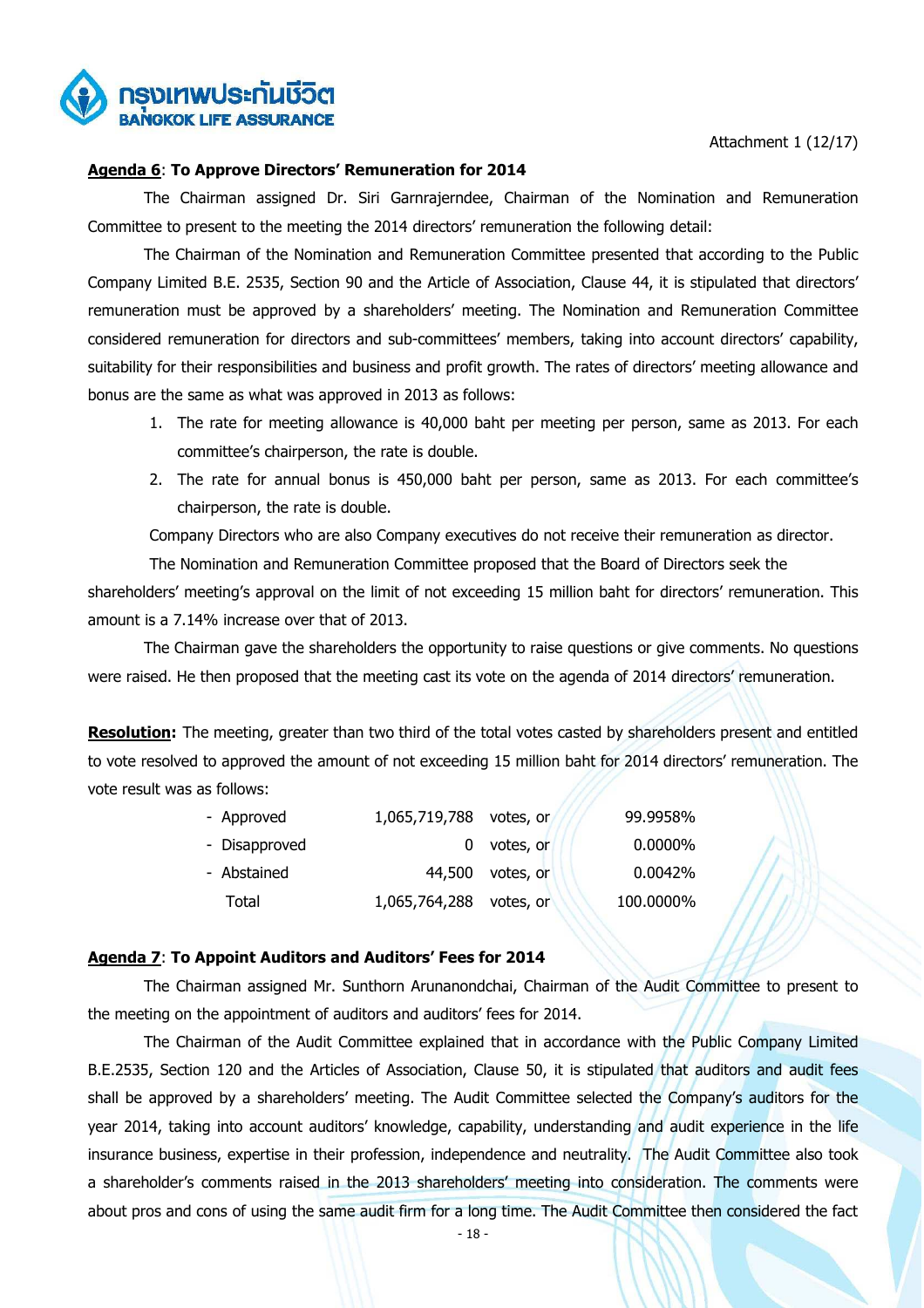

Attachment 1 (12/17)

#### **Agenda 6**: **To Approve Directors' Remuneration for 2014**

 The Chairman assigned Dr. Siri Garnrajerndee, Chairman of the Nomination and Remuneration Committee to present to the meeting the 2014 directors' remuneration the following detail:

 The Chairman of the Nomination and Remuneration Committee presented that according to the Public Company Limited B.E. 2535, Section 90 and the Article of Association, Clause 44, it is stipulated that directors' remuneration must be approved by a shareholders' meeting. The Nomination and Remuneration Committee considered remuneration for directors and sub-committees' members, taking into account directors' capability, suitability for their responsibilities and business and profit growth. The rates of directors' meeting allowance and bonus are the same as what was approved in 2013 as follows:

- 1. The rate for meeting allowance is 40,000 baht per meeting per person, same as 2013. For each committee's chairperson, the rate is double.
- 2. The rate for annual bonus is 450,000 baht per person, same as 2013. For each committee's chairperson, the rate is double.

Company Directors who are also Company executives do not receive their remuneration as director.

The Nomination and Remuneration Committee proposed that the Board of Directors seek the shareholders' meeting's approval on the limit of not exceeding 15 million baht for directors' remuneration. This amount is a 7.14% increase over that of 2013.

 The Chairman gave the shareholders the opportunity to raise questions or give comments. No questions were raised. He then proposed that the meeting cast its vote on the agenda of 2014 directors' remuneration.

**Resolution:** The meeting, greater than two third of the total votes casted by shareholders present and entitled to vote resolved to approved the amount of not exceeding 15 million baht for 2014 directors' remuneration. The vote result was as follows:

| - Approved    | 1,065,719,788 | votes, or | 99.9958%   |
|---------------|---------------|-----------|------------|
| - Disapproved |               | votes, or | $0.0000\%$ |
| - Abstained   | 44,500        | votes, or | 0.0042%    |
| Total         | 1,065,764,288 | votes, or | 100.0000%  |

# **Agenda 7**: **To Appoint Auditors and Auditors' Fees for 2014**

 The Chairman assigned Mr. Sunthorn Arunanondchai, Chairman of the Audit Committee to present to the meeting on the appointment of auditors and auditors' fees for 2014.

 The Chairman of the Audit Committee explained that in accordance with the Public Company Limited B.E.2535, Section 120 and the Articles of Association, Clause 50, it is stipulated that auditors and audit fees shall be approved by a shareholders' meeting. The Audit Committee selected the Company's auditors for the year 2014, taking into account auditors' knowledge, capability, understanding and audit experience in the life insurance business, expertise in their profession, independence and neutrality. The Audit Committee also took a shareholder's comments raised in the 2013 shareholders' meeting into consideration. The comments were about pros and cons of using the same audit firm for a long time. The Audit Committee then considered the fact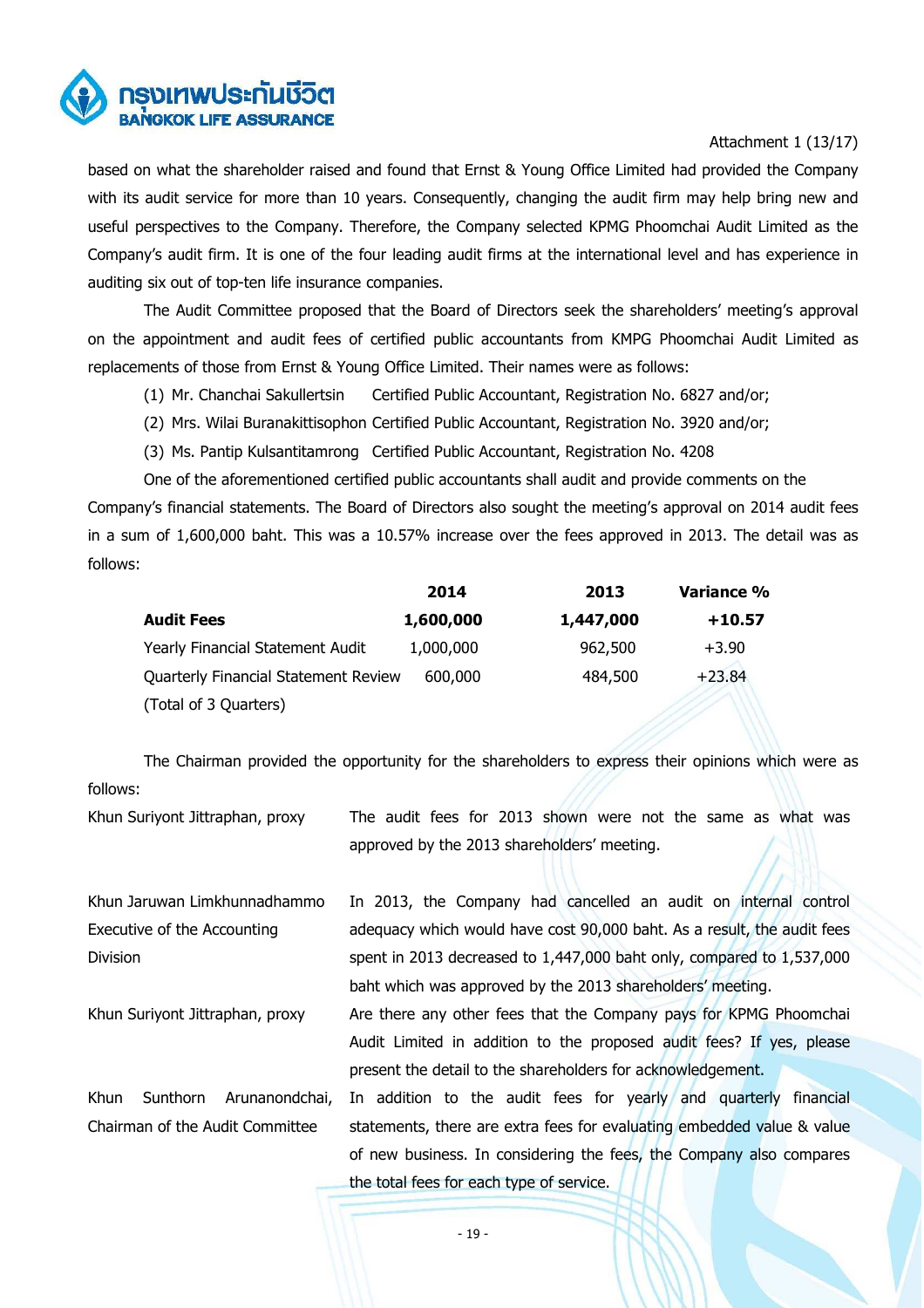

# Attachment 1 (13/17)

based on what the shareholder raised and found that Ernst & Young Office Limited had provided the Company with its audit service for more than 10 years. Consequently, changing the audit firm may help bring new and useful perspectives to the Company. Therefore, the Company selected KPMG Phoomchai Audit Limited as the Company's audit firm. It is one of the four leading audit firms at the international level and has experience in auditing six out of top-ten life insurance companies.

 The Audit Committee proposed that the Board of Directors seek the shareholders' meeting's approval on the appointment and audit fees of certified public accountants from KMPG Phoomchai Audit Limited as replacements of those from Ernst & Young Office Limited. Their names were as follows:

- (1) Mr. Chanchai Sakullertsin Certified Public Accountant, Registration No. 6827 and/or;
- (2) Mrs. Wilai Buranakittisophon Certified Public Accountant, Registration No. 3920 and/or;
- (3) Ms. Pantip Kulsantitamrong Certified Public Accountant, Registration No. 4208

One of the aforementioned certified public accountants shall audit and provide comments on the Company's financial statements. The Board of Directors also sought the meeting's approval on 2014 audit fees in a sum of 1,600,000 baht. This was a 10.57% increase over the fees approved in 2013. The detail was as follows:

|                                      | 2014      | 2013      | Variance % |
|--------------------------------------|-----------|-----------|------------|
| <b>Audit Fees</b>                    | 1,600,000 | 1,447,000 | $+10.57$   |
| Yearly Financial Statement Audit     | 1,000,000 | 962,500   | $+3.90$    |
| Quarterly Financial Statement Review | 600,000   | 484,500   | $+23.84$   |
| (Total of 3 Quarters)                |           |           |            |

The Chairman provided the opportunity for the shareholders to express their opinions which were as follows:

Khun Suriyont Jittraphan, proxy The audit fees for 2013 shown were not the same as what was approved by the 2013 shareholders' meeting.

Khun Jaruwan Limkhunnadhammo Executive of the Accounting Division In 2013, the Company had cancelled an audit on internal control adequacy which would have cost 90,000 baht. As a result, the audit fees spent in 2013 decreased to 1,447,000 baht only, compared to 1,537,000 baht which was approved by the 2013 shareholders' meeting. Khun Suriyont Jittraphan, proxy Are there any other fees that the Company pays for KPMG Phoomchai Audit Limited in addition to the proposed audit fees? If yes, please present the detail to the shareholders for acknowledgement. Khun Sunthorn Arunanondchai, Chairman of the Audit Committee In addition to the audit fees for yearly and quarterly financial statements, there are extra fees for evaluating embedded value & value of new business. In considering the fees, the Company also compares the total fees for each type of service.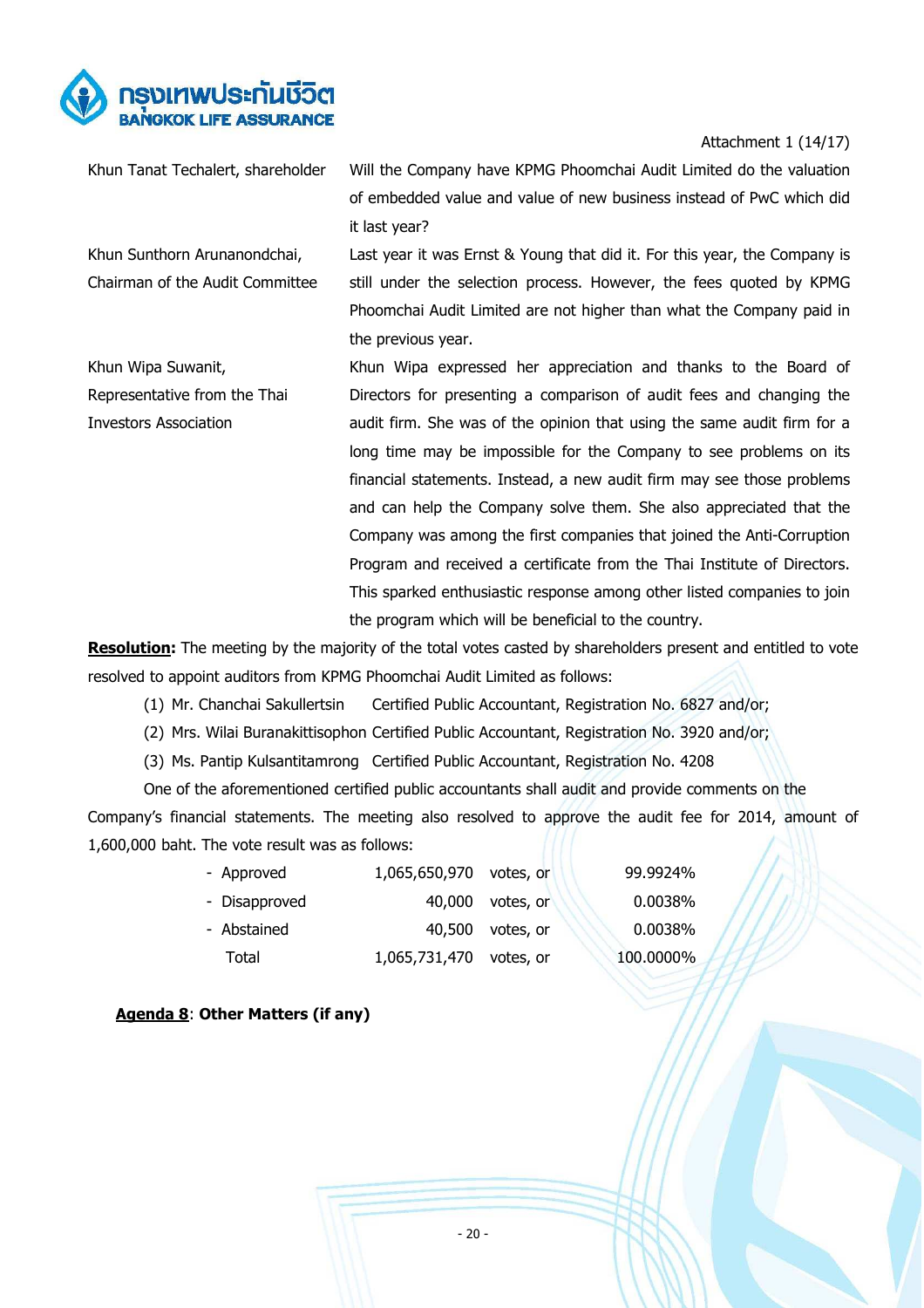

Attachment 1 (14/17)

Khun Sunthorn Arunanondchai, Chairman of the Audit Committee

Khun Tanat Techalert, shareholder Will the Company have KPMG Phoomchai Audit Limited do the valuation of embedded value and value of new business instead of PwC which did it last year?

> Last year it was Ernst & Young that did it. For this year, the Company is still under the selection process. However, the fees quoted by KPMG Phoomchai Audit Limited are not higher than what the Company paid in the previous year.

Khun Wipa Suwanit, Representative from the Thai Investors Association Khun Wipa expressed her appreciation and thanks to the Board of Directors for presenting a comparison of audit fees and changing the audit firm. She was of the opinion that using the same audit firm for a long time may be impossible for the Company to see problems on its financial statements. Instead, a new audit firm may see those problems and can help the Company solve them. She also appreciated that the Company was among the first companies that joined the Anti-Corruption Program and received a certificate from the Thai Institute of Directors. This sparked enthusiastic response among other listed companies to join the program which will be beneficial to the country.

**Resolution:** The meeting by the majority of the total votes casted by shareholders present and entitled to vote resolved to appoint auditors from KPMG Phoomchai Audit Limited as follows:

- (1) Mr. Chanchai Sakullertsin Certified Public Accountant, Registration No. 6827 and/or;
- (2) Mrs. Wilai Buranakittisophon Certified Public Accountant, Registration No. 3920 and/or;
- (3) Ms. Pantip Kulsantitamrong Certified Public Accountant, Registration No. 4208

One of the aforementioned certified public accountants shall audit and provide comments on the Company's financial statements. The meeting also resolved to approve the audit fee for 2014, amount of 1,600,000 baht. The vote result was as follows:

| - Approved    | 1,065,650,970 votes, or |                  | 99.9924%  |
|---------------|-------------------------|------------------|-----------|
| - Disapproved |                         | 40,000 votes, or | 0.0038%   |
| - Abstained   |                         | 40,500 votes, or | 0.0038%   |
| Total         | 1,065,731,470 votes, or |                  | 100.0000% |

# **Agenda 8**: **Other Matters (if any)**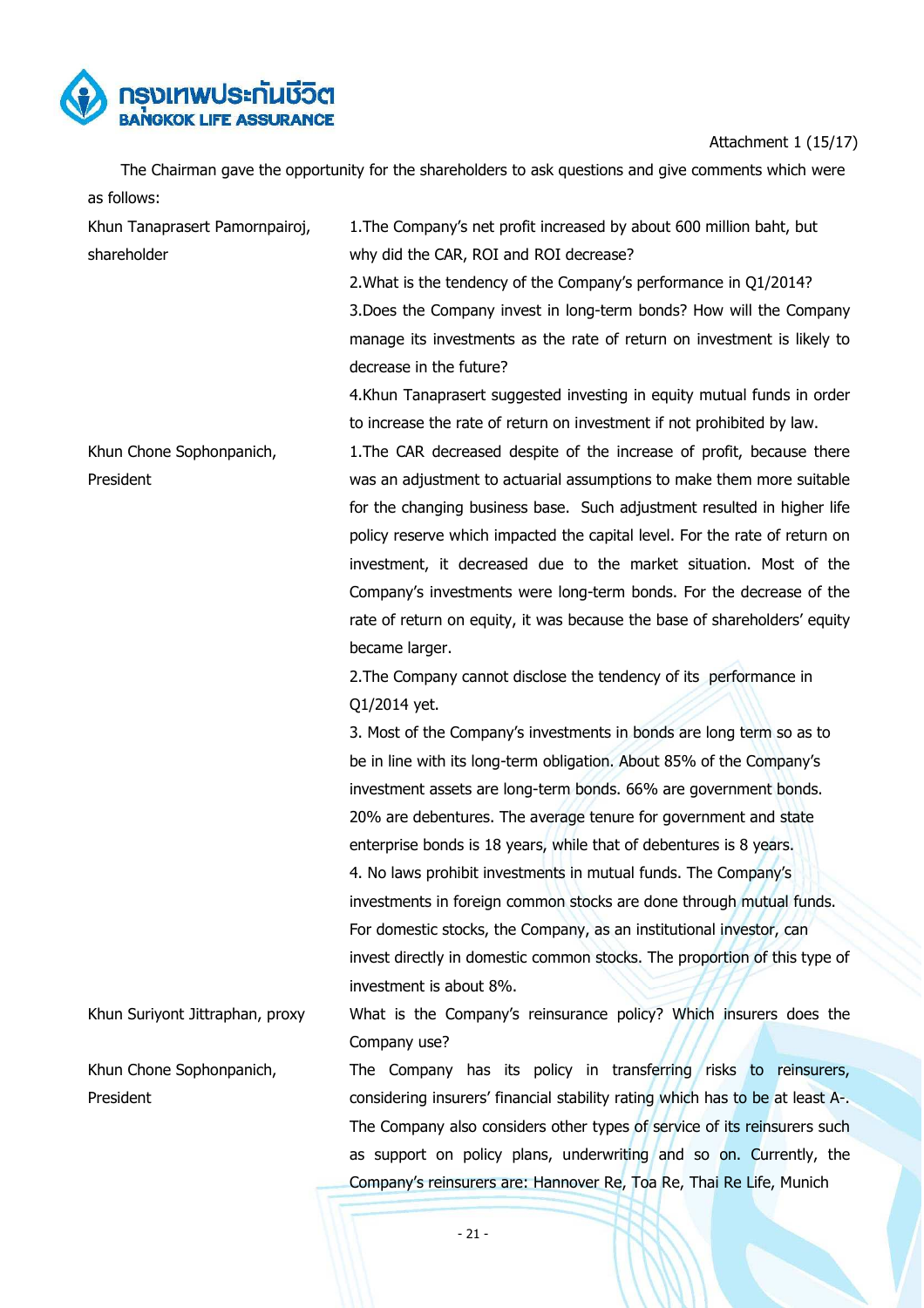

Attachment 1 (15/17)

 The Chairman gave the opportunity for the shareholders to ask questions and give comments which were as follows:

| Khun Tanaprasert Pamornpairoj,  | 1. The Company's net profit increased by about 600 million baht, but          |
|---------------------------------|-------------------------------------------------------------------------------|
| shareholder                     | why did the CAR, ROI and ROI decrease?                                        |
|                                 | 2. What is the tendency of the Company's performance in Q1/2014?              |
|                                 | 3. Does the Company invest in long-term bonds? How will the Company           |
|                                 | manage its investments as the rate of return on investment is likely to       |
|                                 | decrease in the future?                                                       |
|                                 | 4. Khun Tanaprasert suggested investing in equity mutual funds in order       |
|                                 | to increase the rate of return on investment if not prohibited by law.        |
| Khun Chone Sophonpanich,        | 1. The CAR decreased despite of the increase of profit, because there         |
| President                       | was an adjustment to actuarial assumptions to make them more suitable         |
|                                 | for the changing business base. Such adjustment resulted in higher life       |
|                                 | policy reserve which impacted the capital level. For the rate of return on    |
|                                 | investment, it decreased due to the market situation. Most of the             |
|                                 | Company's investments were long-term bonds. For the decrease of the           |
|                                 | rate of return on equity, it was because the base of shareholders' equity     |
|                                 | became larger.                                                                |
|                                 | 2. The Company cannot disclose the tendency of its performance in             |
|                                 | Q1/2014 yet.                                                                  |
|                                 | 3. Most of the Company's investments in bonds are long term so as to          |
|                                 | be in line with its long-term obligation. About 85% of the Company's          |
|                                 | investment assets are long-term bonds. 66% are government bonds.              |
|                                 | 20% are debentures. The average tenure for government and state               |
|                                 | enterprise bonds is 18 years, while that of debentures is 8 years.            |
|                                 | 4. No laws prohibit investments in mutual funds. The Company's                |
|                                 |                                                                               |
|                                 | investments in foreign common stocks are done through mutual funds.           |
|                                 | For domestic stocks, the Company, as an institutional investor, can           |
|                                 | invest directly in domestic common stocks. The proportion of this type of     |
|                                 | investment is about 8%.                                                       |
| Khun Suriyont Jittraphan, proxy | What is the Company's reinsurance policy? Which insurers does the             |
|                                 | Company use?                                                                  |
| Khun Chone Sophonpanich,        | The Company has its policy in transferring risks to reinsurers,               |
| President                       | considering insurers' financial stability rating which has to be at least A-. |
|                                 | The Company also considers other types of service of its reinsurers such      |
|                                 | as support on policy plans, underwriting and so on. Currently, the            |
|                                 | Company's reinsurers are: Hannover Re, Toa Re, Thai Re Life, Munich           |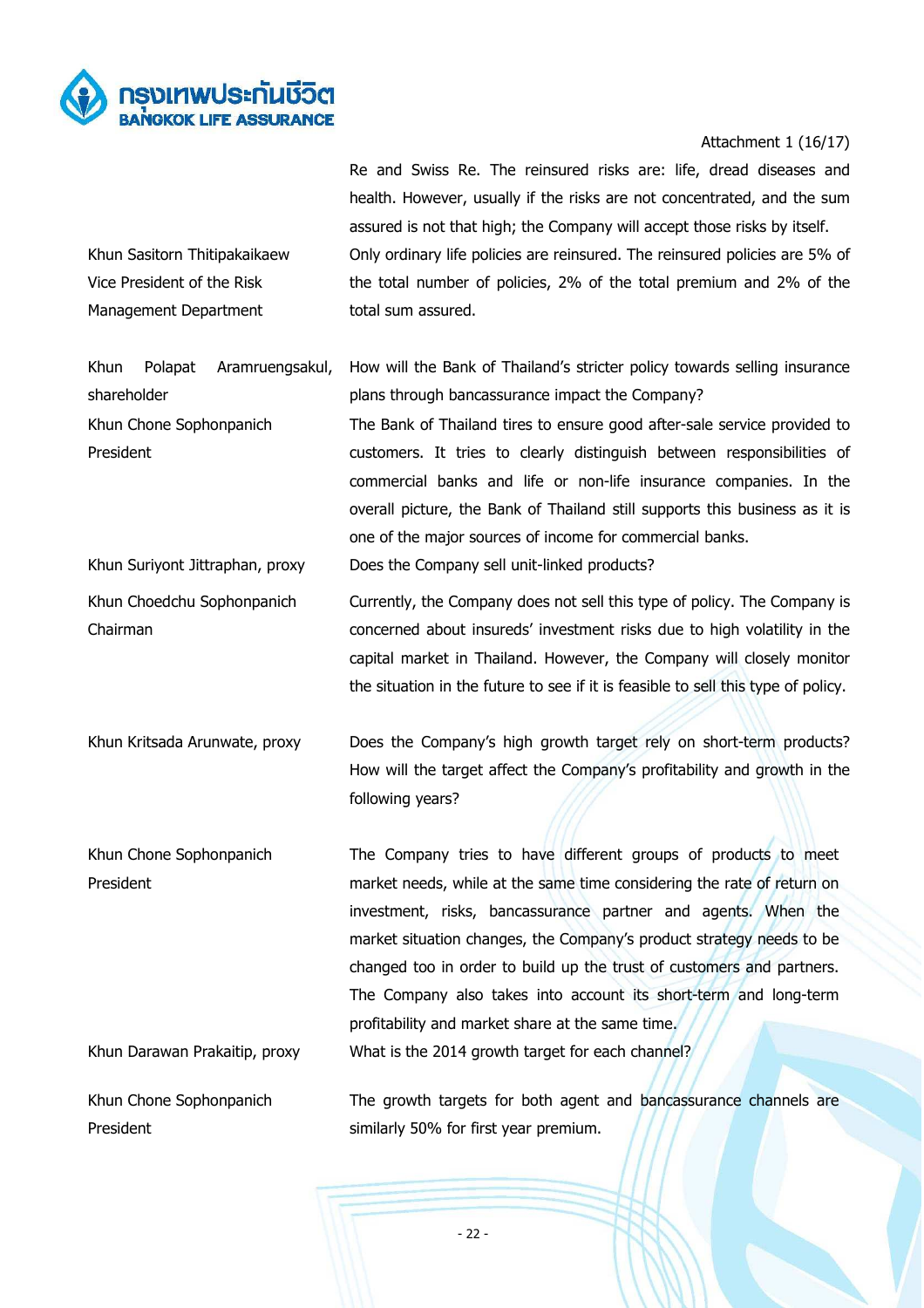

Khun Sasitorn Thitipakaikaew Vice President of the Risk Management Department

# Attachment 1 (16/17)

Re and Swiss Re. The reinsured risks are: life, dread diseases and health. However, usually if the risks are not concentrated, and the sum assured is not that high; the Company will accept those risks by itself. Only ordinary life policies are reinsured. The reinsured policies are 5% of the total number of policies, 2% of the total premium and 2% of the total sum assured.

Khun Polapat Aramruengsakul, shareholder How will the Bank of Thailand's stricter policy towards selling insurance plans through bancassurance impact the Company?

Khun Chone Sophonpanich President The Bank of Thailand tires to ensure good after-sale service provided to customers. It tries to clearly distinguish between responsibilities of commercial banks and life or non-life insurance companies. In the overall picture, the Bank of Thailand still supports this business as it is one of the major sources of income for commercial banks. Khun Suriyont Jittraphan, proxy Does the Company sell unit-linked products?

Khun Choedchu Sophonpanich Chairman Currently, the Company does not sell this type of policy. The Company is concerned about insureds' investment risks due to high volatility in the capital market in Thailand. However, the Company will closely monitor the situation in the future to see if it is feasible to sell this type of policy.

Khun Kritsada Arunwate, proxy Does the Company's high growth target rely on short-term products? How will the target affect the Company's profitability and growth in the following years?

Khun Chone Sophonpanich President The Company tries to have different groups of products to meet market needs, while at the same time considering the rate of return on investment, risks, bancassurance partner and agents. When the market situation changes, the Company's product strategy needs to be changed too in order to build up the trust of customers and partners. The Company also takes into account its short-term and long-term profitability and market share at the same time. Khun Darawan Prakaitip, proxy What is the 2014 growth target for each channel?

Khun Chone Sophonpanich President The growth targets for both agent and bancassurance channels are similarly 50% for first year premium.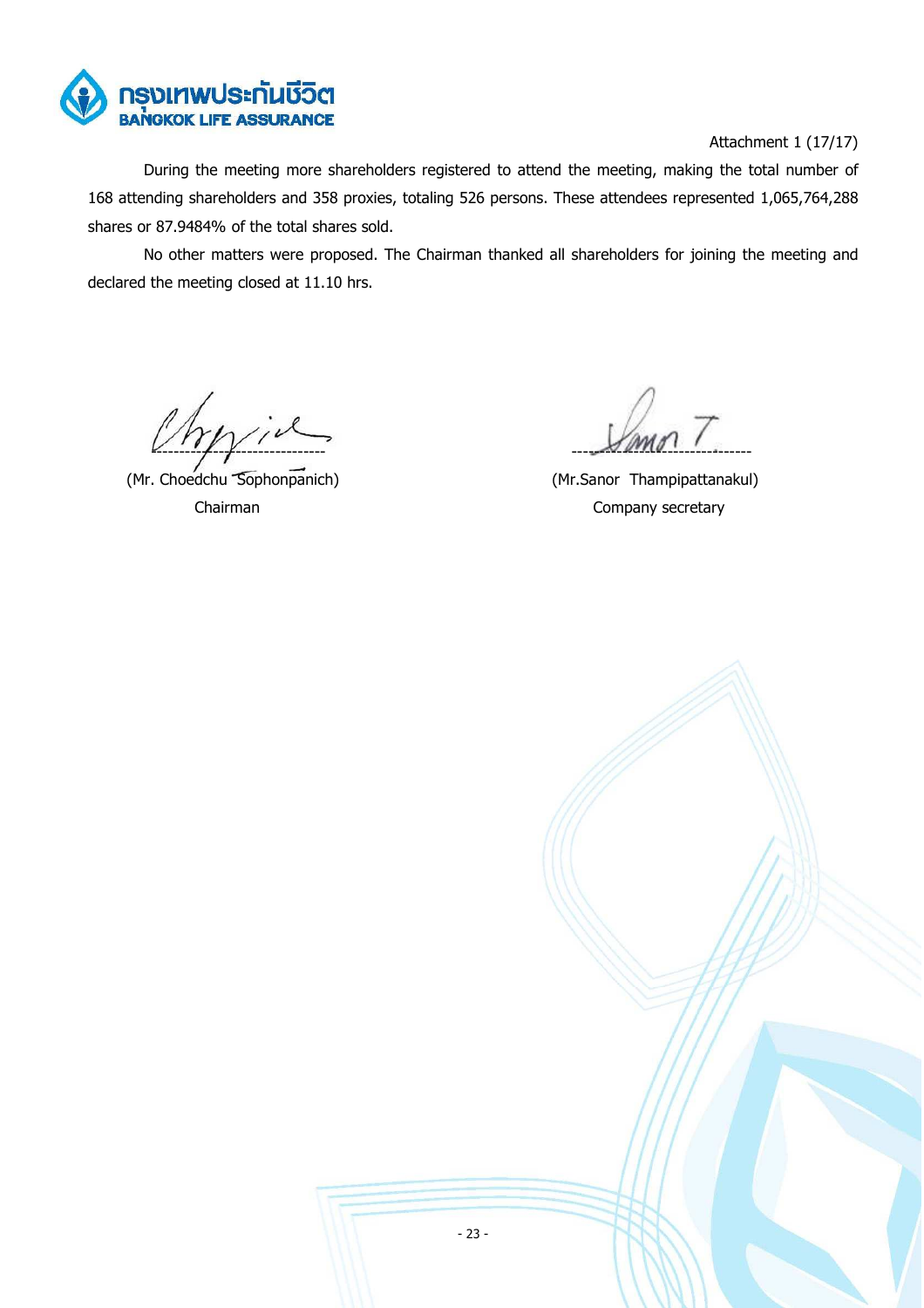

# Attachment 1 (17/17)

During the meeting more shareholders registered to attend the meeting, making the total number of 168 attending shareholders and 358 proxies, totaling 526 persons. These attendees represented 1,065,764,288 shares or 87.9484% of the total shares sold.

No other matters were proposed. The Chairman thanked all shareholders for joining the meeting and declared the meeting closed at 11.10 hrs.

 $\frac{1}{2}$   $\frac{1}{2}$   $\frac{1}{2}$   $\frac{1}{2}$   $\frac{1}{2}$   $\frac{1}{2}$   $\frac{1}{2}$   $\frac{1}{2}$   $\frac{1}{2}$   $\frac{1}{2}$   $\frac{1}{2}$   $\frac{1}{2}$   $\frac{1}{2}$   $\frac{1}{2}$   $\frac{1}{2}$   $\frac{1}{2}$   $\frac{1}{2}$   $\frac{1}{2}$   $\frac{1}{2}$   $\frac{1}{2}$   $\frac{1}{2}$   $\frac{1}{2}$ 

(Mr. Choedchu Sophonpanich) (Mr.Sanor Thampipattanakul)

Chairman Company secretary

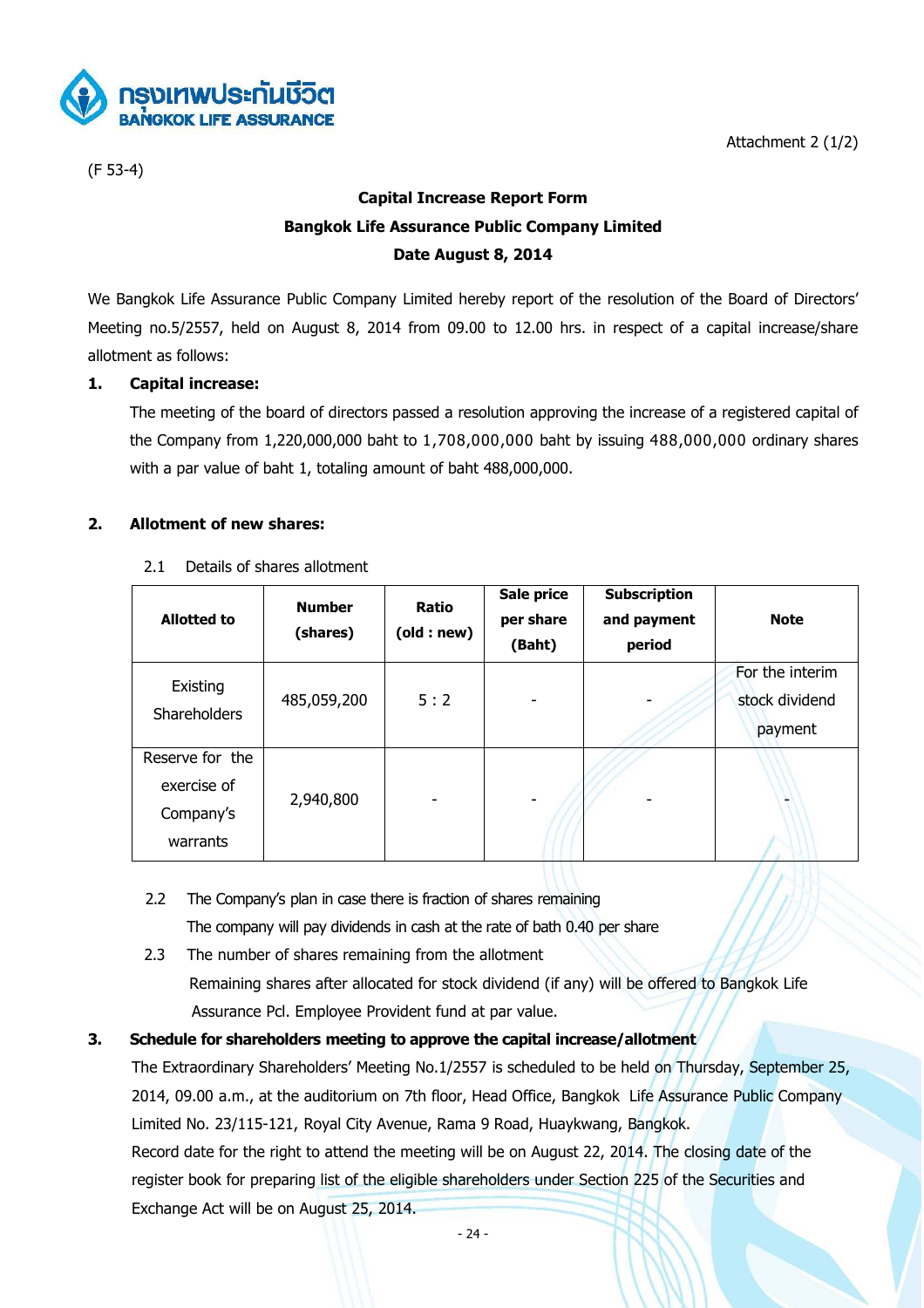(F 53-4)

# Attachment 2 (1/2)

# **Capital Increase Report Form Bangkok Life Assurance Public Company Limited Date August 8, 2014**

We Bangkok Life Assurance Public Company Limited hereby report of the resolution of the Board of Directors' Meeting no.5/2557, held on August 8, 2014 from 09.00 to 12.00 hrs. in respect of a capital increase/share allotment as follows:

# **1. Capital increase:**

 The meeting of the board of directors passed a resolution approving the increase of a registered capital of the Company from 1,220,000,000 baht to 1,708,000,000 baht by issuing 488,000,000 ordinary shares with a par value of baht 1, totaling amount of baht 488,000,000.

# **2. Allotment of new shares:**

2.1 Details of shares allotment

| <b>Allotted to</b>                                      | <b>Number</b><br>(shares) | Ratio<br>(old:new) | Sale price<br>per share<br>(Baht) | <b>Subscription</b><br>and payment<br>period | <b>Note</b>                                  |
|---------------------------------------------------------|---------------------------|--------------------|-----------------------------------|----------------------------------------------|----------------------------------------------|
| Existing<br><b>Shareholders</b>                         | 485,059,200               | 5:2                | -                                 |                                              | For the interim<br>stock dividend<br>payment |
| Reserve for the<br>exercise of<br>Company's<br>warrants | 2,940,800                 |                    | ۰                                 |                                              | $\overline{\phantom{a}}$                     |

- 2.2 The Company's plan in case there is fraction of shares remaining The company will pay dividends in cash at the rate of bath 0.40 per share
- 2.3 The number of shares remaining from the allotment Remaining shares after allocated for stock dividend (if any) will be offered to Bangkok Life Assurance Pcl. Employee Provident fund at par value.

# **3. Schedule for shareholders meeting to approve the capital increase/allotment**

 The Extraordinary Shareholders' Meeting No.1/2557 is scheduled to be held on Thursday, September 25, 2014, 09.00 a.m., at the auditorium on 7th floor, Head Office, Bangkok Life Assurance Public Company Limited No. 23/115-121, Royal City Avenue, Rama 9 Road, Huaykwang, Bangkok.

 Record date for the right to attend the meeting will be on August 22, 2014. The closing date of the register book for preparing list of the eligible shareholders under Section 225 of the Securities and Exchange Act will be on August 25, 2014.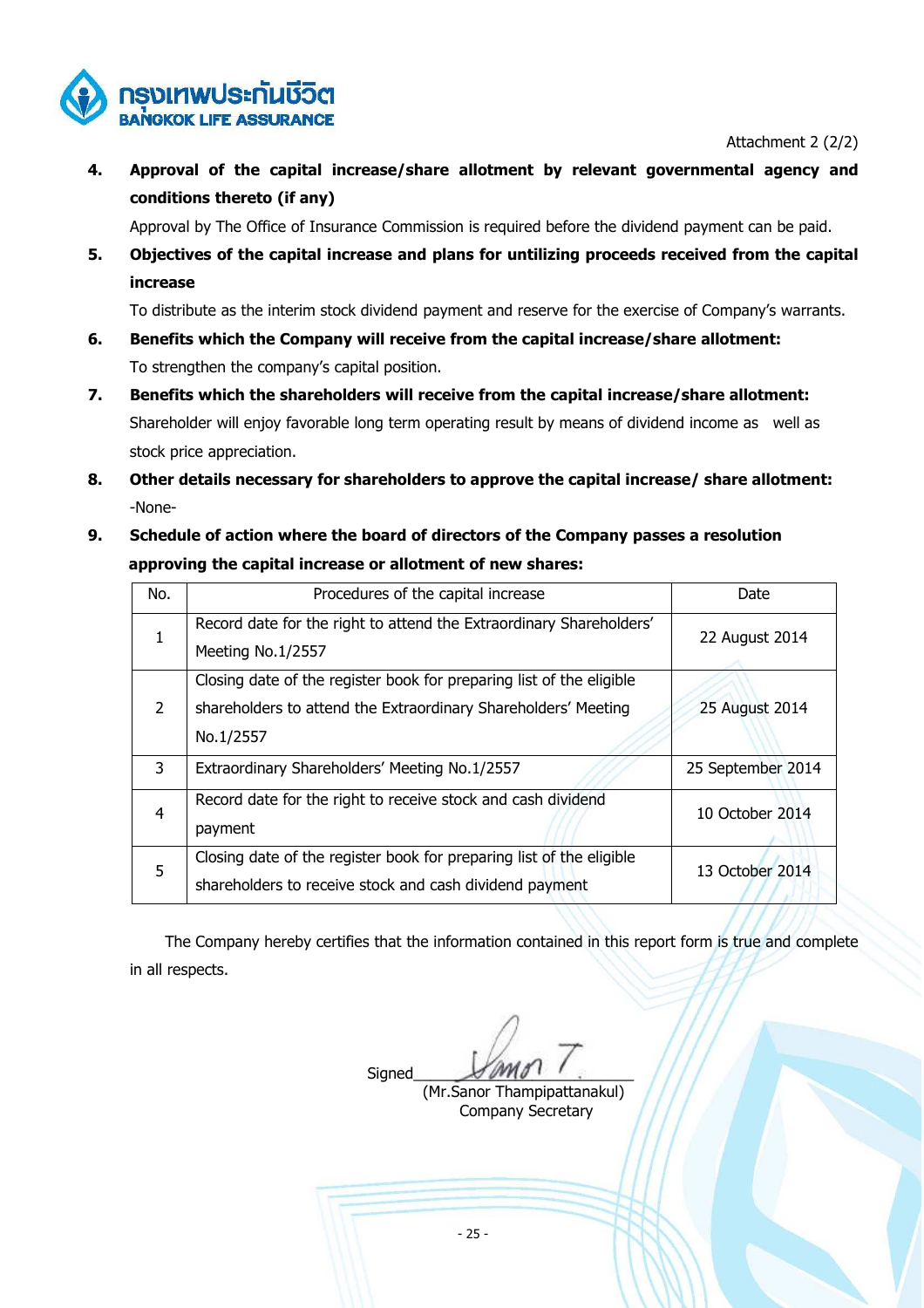

Attachment 2 (2/2)

**4. Approval of the capital increase/share allotment by relevant governmental agency and conditions thereto (if any)** 

Approval by The Office of Insurance Commission is required before the dividend payment can be paid.

**5. Objectives of the capital increase and plans for untilizing proceeds received from the capital increase** 

To distribute as the interim stock dividend payment and reserve for the exercise of Company's warrants.

- **6. Benefits which the Company will receive from the capital increase/share allotment:**  To strengthen the company's capital position.
- **7. Benefits which the shareholders will receive from the capital increase/share allotment:**  Shareholder will enjoy favorable long term operating result by means of dividend income as well as stock price appreciation.
- **8. Other details necessary for shareholders to approve the capital increase/ share allotment:**  -None-
- **9. Schedule of action where the board of directors of the Company passes a resolution approving the capital increase or allotment of new shares:**

| No. | Procedures of the capital increase                                                                                                     | Date              |
|-----|----------------------------------------------------------------------------------------------------------------------------------------|-------------------|
| 1   | Record date for the right to attend the Extraordinary Shareholders'<br>Meeting No.1/2557                                               | 22 August 2014    |
| 2   | Closing date of the register book for preparing list of the eligible<br>shareholders to attend the Extraordinary Shareholders' Meeting | 25 August 2014    |
|     | No.1/2557                                                                                                                              |                   |
| 3   | Extraordinary Shareholders' Meeting No.1/2557                                                                                          | 25 September 2014 |
| 4   | Record date for the right to receive stock and cash dividend<br>payment                                                                | 10 October 2014   |
| 5   | Closing date of the register book for preparing list of the eligible<br>shareholders to receive stock and cash dividend payment        | 13 October 2014   |

 The Company hereby certifies that the information contained in this report form is true and complete in all respects.

 $Signal \sim 1$ 

 (Mr.Sanor Thampipattanakul) Company Secretary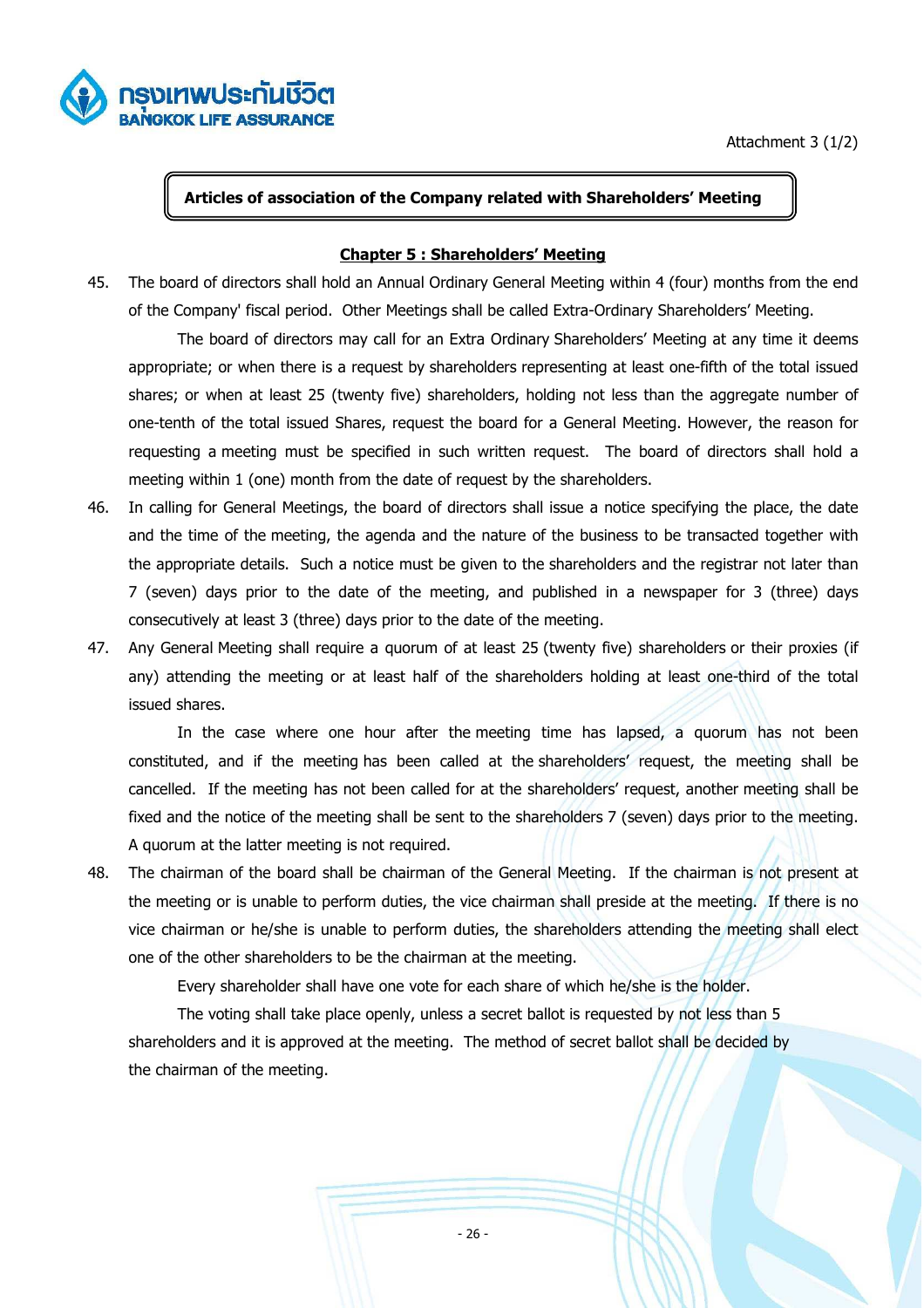

Attachment 3 (1/2)

# **Articles of association of the Company related with Shareholders' Meeting**

### **Chapter 5 : Shareholders' Meeting**

45. The board of directors shall hold an Annual Ordinary General Meeting within 4 (four) months from the end of the Company' fiscal period. Other Meetings shall be called Extra-Ordinary Shareholders' Meeting.

 The board of directors may call for an Extra Ordinary Shareholders' Meeting at any time it deems appropriate; or when there is a request by shareholders representing at least one-fifth of the total issued shares; or when at least 25 (twenty five) shareholders, holding not less than the aggregate number of one-tenth of the total issued Shares, request the board for a General Meeting. However, the reason for requesting a meeting must be specified in such written request. The board of directors shall hold a meeting within 1 (one) month from the date of request by the shareholders.

- 46. In calling for General Meetings, the board of directors shall issue a notice specifying the place, the date and the time of the meeting, the agenda and the nature of the business to be transacted together with the appropriate details. Such a notice must be given to the shareholders and the registrar not later than 7 (seven) days prior to the date of the meeting, and published in a newspaper for 3 (three) days consecutively at least 3 (three) days prior to the date of the meeting.
- 47. Any General Meeting shall require a quorum of at least 25 (twenty five) shareholders or their proxies (if any) attending the meeting or at least half of the shareholders holding at least one-third of the total issued shares.

 In the case where one hour after the meeting time has lapsed, a quorum has not been constituted, and if the meeting has been called at the shareholders' request, the meeting shall be cancelled. If the meeting has not been called for at the shareholders' request, another meeting shall be fixed and the notice of the meeting shall be sent to the shareholders 7 (seven) days prior to the meeting. A quorum at the latter meeting is not required.

48. The chairman of the board shall be chairman of the General Meeting. If the chairman is not present at the meeting or is unable to perform duties, the vice chairman shall preside at the meeting. If there is no vice chairman or he/she is unable to perform duties, the shareholders attending the meeting shall elect one of the other shareholders to be the chairman at the meeting.

Every shareholder shall have one vote for each share of which he/she is the holder.

 The voting shall take place openly, unless a secret ballot is requested by not less than 5 shareholders and it is approved at the meeting. The method of secret ballot shall be decided by the chairman of the meeting.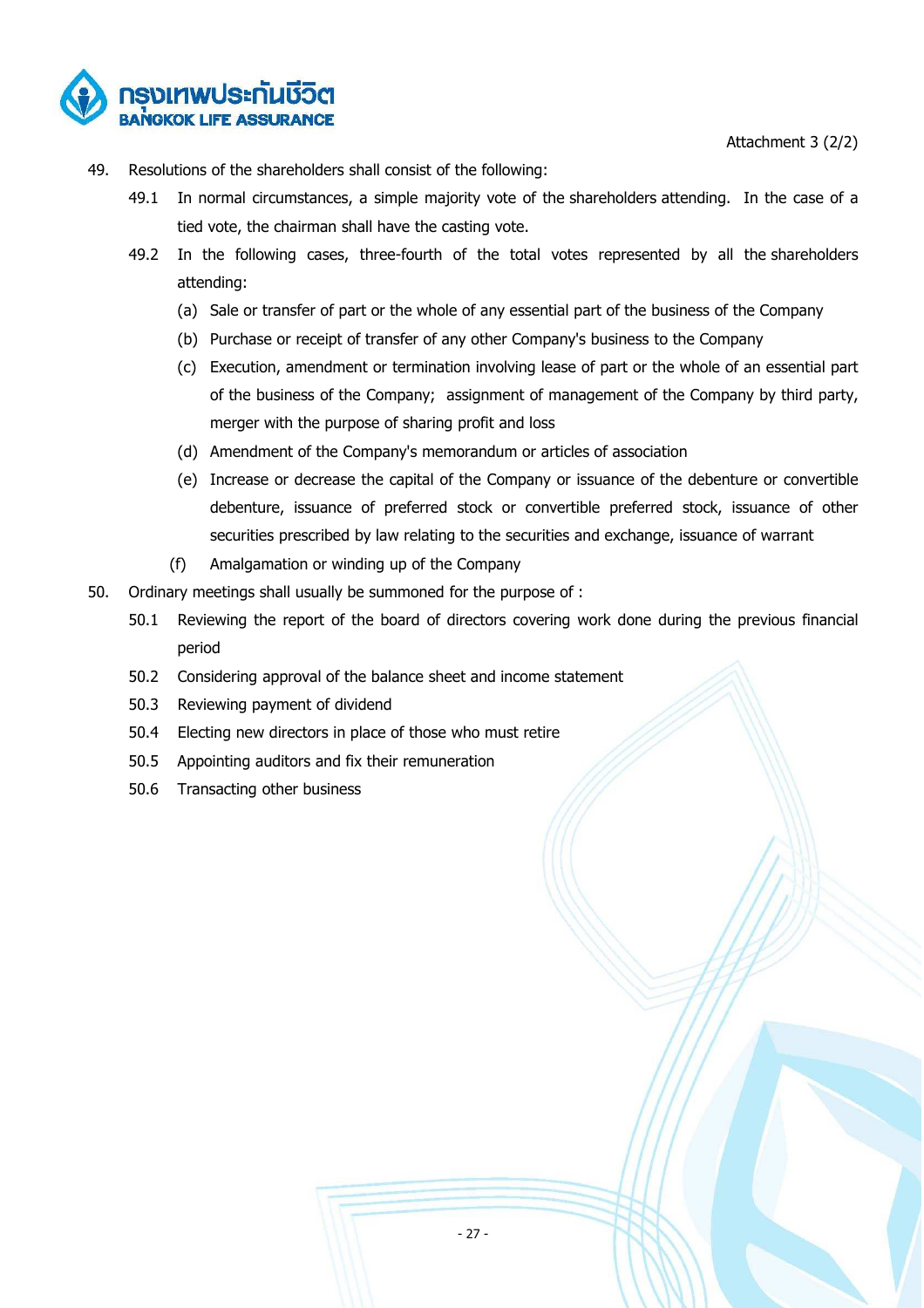Attachment 3 (2/2)



- 49. Resolutions of the shareholders shall consist of the following:
	- 49.1 In normal circumstances, a simple majority vote of the shareholders attending. In the case of a tied vote, the chairman shall have the casting vote.
	- 49.2 In the following cases, three-fourth of the total votes represented by all the shareholders attending:
		- (a) Sale or transfer of part or the whole of any essential part of the business of the Company
		- (b) Purchase or receipt of transfer of any other Company's business to the Company
		- (c) Execution, amendment or termination involving lease of part or the whole of an essential part of the business of the Company; assignment of management of the Company by third party, merger with the purpose of sharing profit and loss
		- (d) Amendment of the Company's memorandum or articles of association
		- (e) Increase or decrease the capital of the Company or issuance of the debenture or convertible debenture, issuance of preferred stock or convertible preferred stock, issuance of other securities prescribed by law relating to the securities and exchange, issuance of warrant
		- (f) Amalgamation or winding up of the Company
- 50. Ordinary meetings shall usually be summoned for the purpose of :
	- 50.1 Reviewing the report of the board of directors covering work done during the previous financial period
	- 50.2 Considering approval of the balance sheet and income statement
	- 50.3 Reviewing payment of dividend
	- 50.4 Electing new directors in place of those who must retire
	- 50.5 Appointing auditors and fix their remuneration
	- 50.6 Transacting other business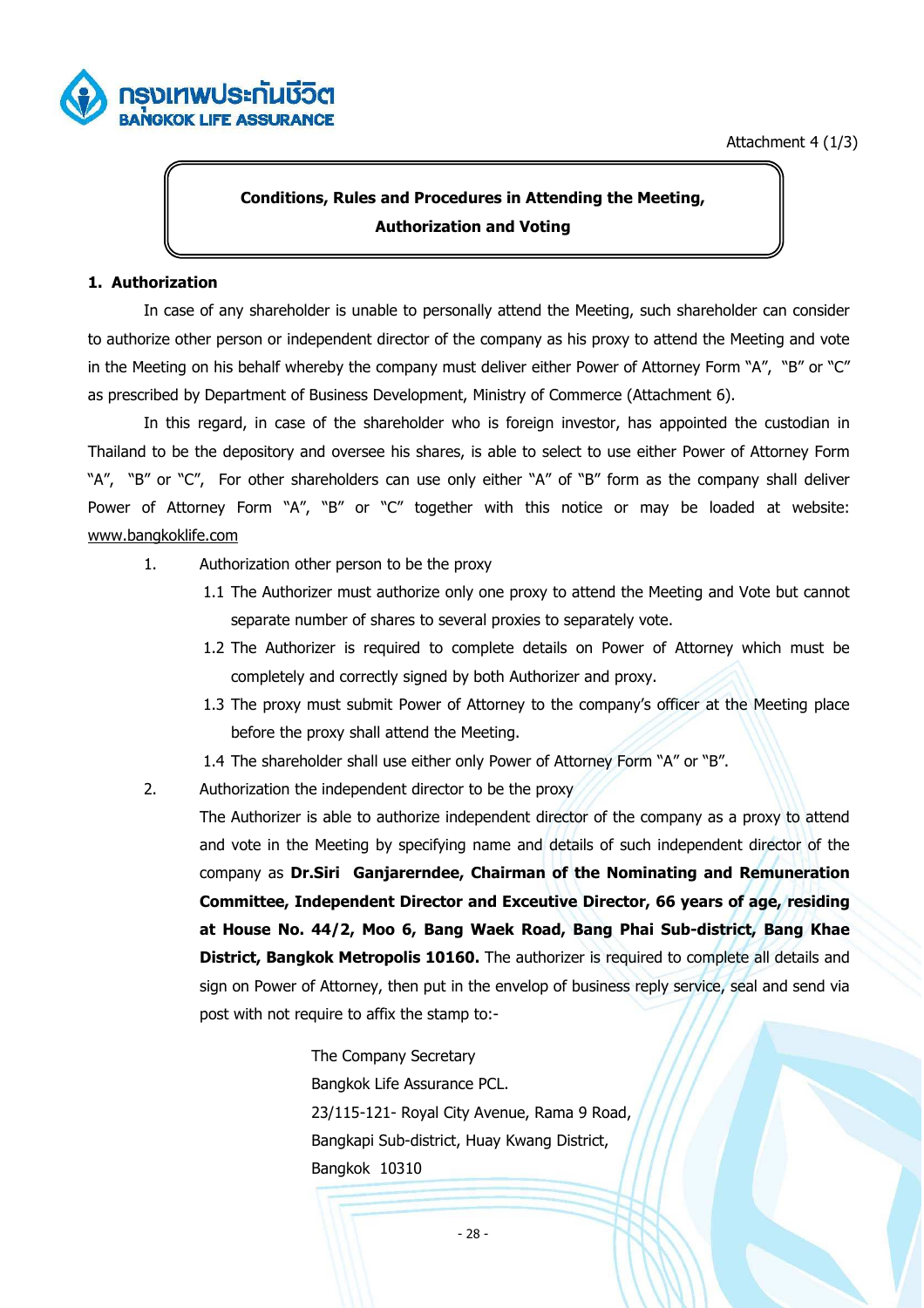



# **Conditions, Rules and Procedures in Attending the Meeting, Authorization and Voting**

# **1. Authorization**

 In case of any shareholder is unable to personally attend the Meeting, such shareholder can consider to authorize other person or independent director of the company as his proxy to attend the Meeting and vote in the Meeting on his behalf whereby the company must deliver either Power of Attorney Form "A", "B" or "C" as prescribed by Department of Business Development, Ministry of Commerce (Attachment 6).

 In this regard, in case of the shareholder who is foreign investor, has appointed the custodian in Thailand to be the depository and oversee his shares, is able to select to use either Power of Attorney Form "A", "B" or "C", For other shareholders can use only either "A" of "B" form as the company shall deliver Power of Attorney Form "A", "B" or "C" together with this notice or may be loaded at website: www.bangkoklife.com

- 1. Authorization other person to be the proxy
	- 1.1 The Authorizer must authorize only one proxy to attend the Meeting and Vote but cannot separate number of shares to several proxies to separately vote.
	- 1.2 The Authorizer is required to complete details on Power of Attorney which must be completely and correctly signed by both Authorizer and proxy.
	- 1.3 The proxy must submit Power of Attorney to the company's officer at the Meeting place before the proxy shall attend the Meeting.
	- 1.4 The shareholder shall use either only Power of Attorney Form "A" or "B".

2. Authorization the independent director to be the proxy

The Authorizer is able to authorize independent director of the company as a proxy to attend and vote in the Meeting by specifying name and details of such independent director of the company as **Dr.Siri Ganjarerndee, Chairman of the Nominating and Remuneration Committee, Independent Director and Exceutive Director, 66 years of age, residing at House No. 44/2, Moo 6, Bang Waek Road, Bang Phai Sub-district, Bang Khae District, Bangkok Metropolis 10160.** The authorizer is required to complete all details and sign on Power of Attorney, then put in the envelop of business reply service, seal and send via post with not require to affix the stamp to:-

> The Company Secretary Bangkok Life Assurance PCL. 23/115-121- Royal City Avenue, Rama 9 Road, Bangkapi Sub-district, Huay Kwang District, Bangkok 10310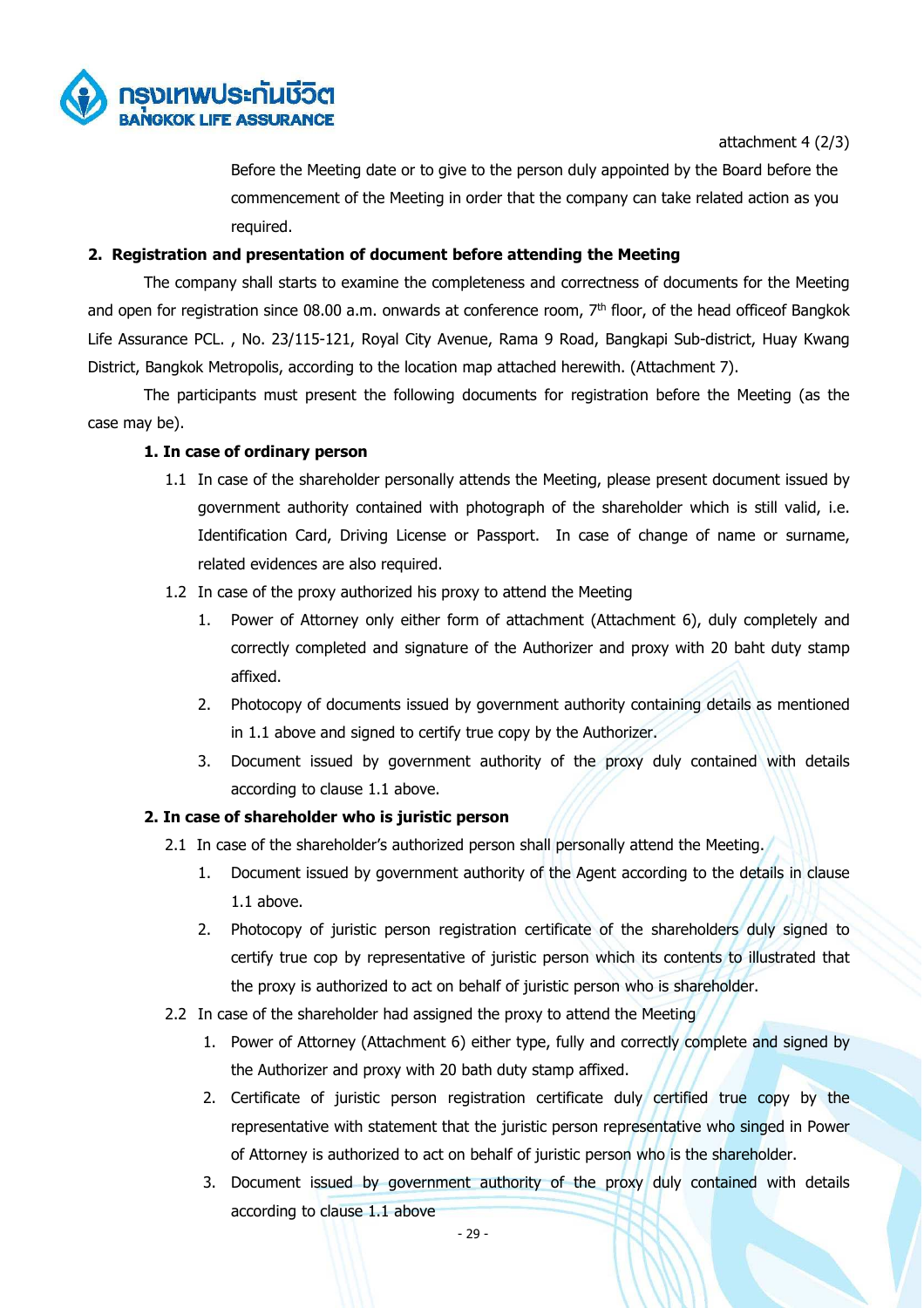

attachment 4 (2/3)

Before the Meeting date or to give to the person duly appointed by the Board before the commencement of the Meeting in order that the company can take related action as you required.

# **2. Registration and presentation of document before attending the Meeting**

 The company shall starts to examine the completeness and correctness of documents for the Meeting and open for registration since 08.00 a.m. onwards at conference room, 7<sup>th</sup> floor, of the head officeof Bangkok Life Assurance PCL. , No. 23/115-121, Royal City Avenue, Rama 9 Road, Bangkapi Sub-district, Huay Kwang District, Bangkok Metropolis, according to the location map attached herewith. (Attachment 7).

 The participants must present the following documents for registration before the Meeting (as the case may be).

# **1. In case of ordinary person**

- 1.1 In case of the shareholder personally attends the Meeting, please present document issued by government authority contained with photograph of the shareholder which is still valid, i.e. Identification Card, Driving License or Passport. In case of change of name or surname, related evidences are also required.
- 1.2 In case of the proxy authorized his proxy to attend the Meeting
	- 1. Power of Attorney only either form of attachment (Attachment 6), duly completely and correctly completed and signature of the Authorizer and proxy with 20 baht duty stamp affixed.
	- 2. Photocopy of documents issued by government authority containing details as mentioned in 1.1 above and signed to certify true copy by the Authorizer.
	- 3. Document issued by government authority of the proxy duly contained with details according to clause 1.1 above.

# **2. In case of shareholder who is juristic person**

- 2.1 In case of the shareholder's authorized person shall personally attend the Meeting.
	- 1. Document issued by government authority of the Agent according to the details in clause 1.1 above.
	- 2. Photocopy of juristic person registration certificate of the shareholders duly signed to certify true cop by representative of juristic person which its contents to illustrated that the proxy is authorized to act on behalf of juristic person who is shareholder.
- 2.2 In case of the shareholder had assigned the proxy to attend the Meeting
	- 1. Power of Attorney (Attachment 6) either type, fully and correctly complete and signed by the Authorizer and proxy with 20 bath duty stamp affixed.
	- 2. Certificate of juristic person registration certificate duly certified true copy by the representative with statement that the juristic person representative who singed in Power of Attorney is authorized to act on behalf of juristic person who is the shareholder.
	- 3. Document issued by government authority of the proxy duly contained with details according to clause 1.1 above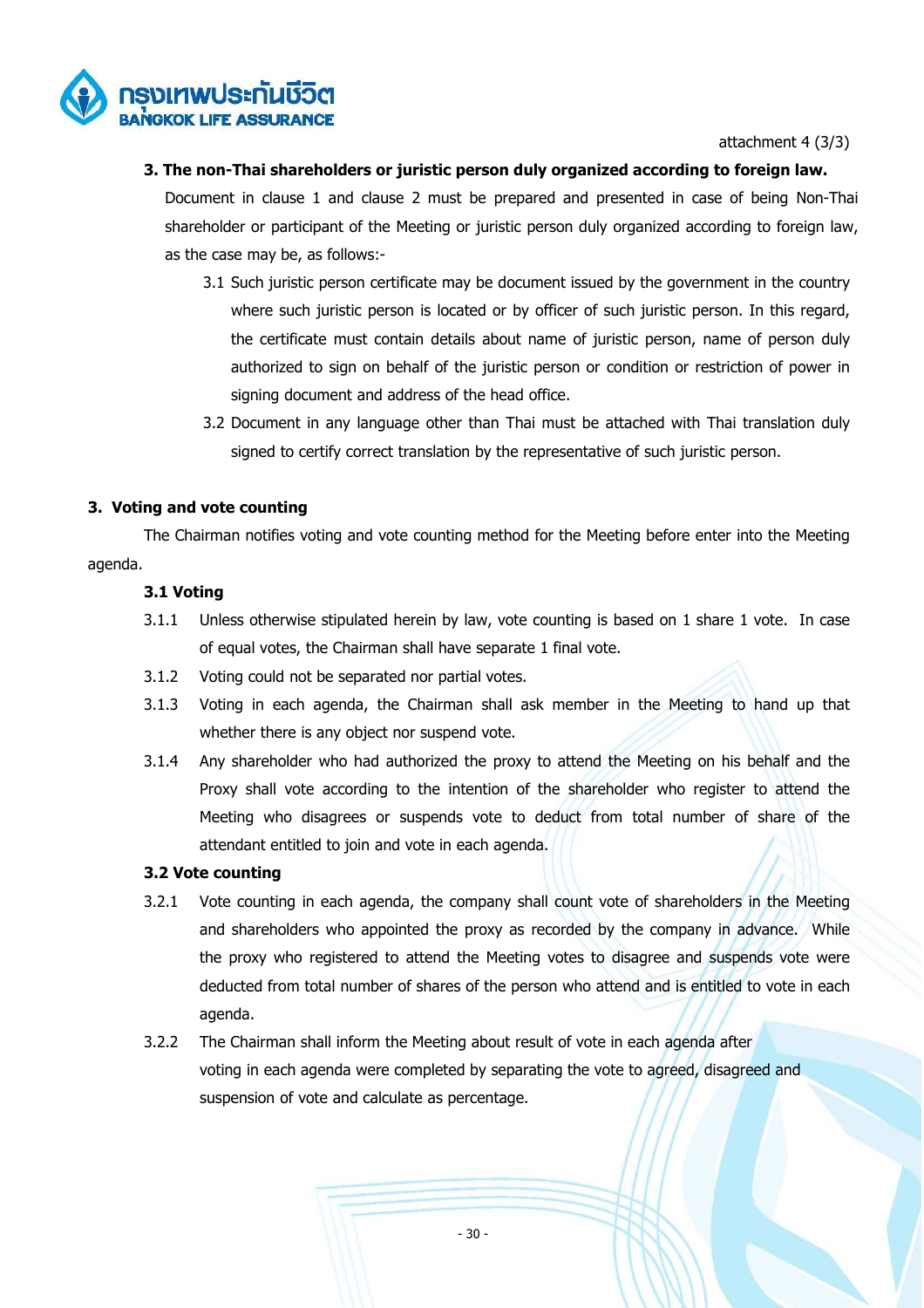

attachment 4 (3/3)

# **3. The non-Thai shareholders or juristic person duly organized according to foreign law.**

Document in clause 1 and clause 2 must be prepared and presented in case of being Non-Thai shareholder or participant of the Meeting or juristic person duly organized according to foreign law, as the case may be, as follows:-

- 3.1 Such juristic person certificate may be document issued by the government in the country where such juristic person is located or by officer of such juristic person. In this regard, the certificate must contain details about name of juristic person, name of person duly authorized to sign on behalf of the juristic person or condition or restriction of power in signing document and address of the head office.
- 3.2 Document in any language other than Thai must be attached with Thai translation duly signed to certify correct translation by the representative of such juristic person.

# **3. Voting and vote counting**

 The Chairman notifies voting and vote counting method for the Meeting before enter into the Meeting agenda.

# **3.1 Voting**

- 3.1.1 Unless otherwise stipulated herein by law, vote counting is based on 1 share 1 vote. In case of equal votes, the Chairman shall have separate 1 final vote.
- 3.1.2 Voting could not be separated nor partial votes.
- 3.1.3 Voting in each agenda, the Chairman shall ask member in the Meeting to hand up that whether there is any object nor suspend vote.
- 3.1.4 Any shareholder who had authorized the proxy to attend the Meeting on his behalf and the Proxy shall vote according to the intention of the shareholder who register to attend the Meeting who disagrees or suspends vote to deduct from total number of share of the attendant entitled to join and vote in each agenda.

# **3.2 Vote counting**

- 3.2.1 Vote counting in each agenda, the company shall count vote of shareholders in the Meeting and shareholders who appointed the proxy as recorded by the company in advance. While the proxy who registered to attend the Meeting votes to disagree and suspends vote were deducted from total number of shares of the person who attend and is entitled to vote in each agenda.
- 3.2.2 The Chairman shall inform the Meeting about result of vote in each agenda after voting in each agenda were completed by separating the vote to agreed, disagreed and suspension of vote and calculate as percentage.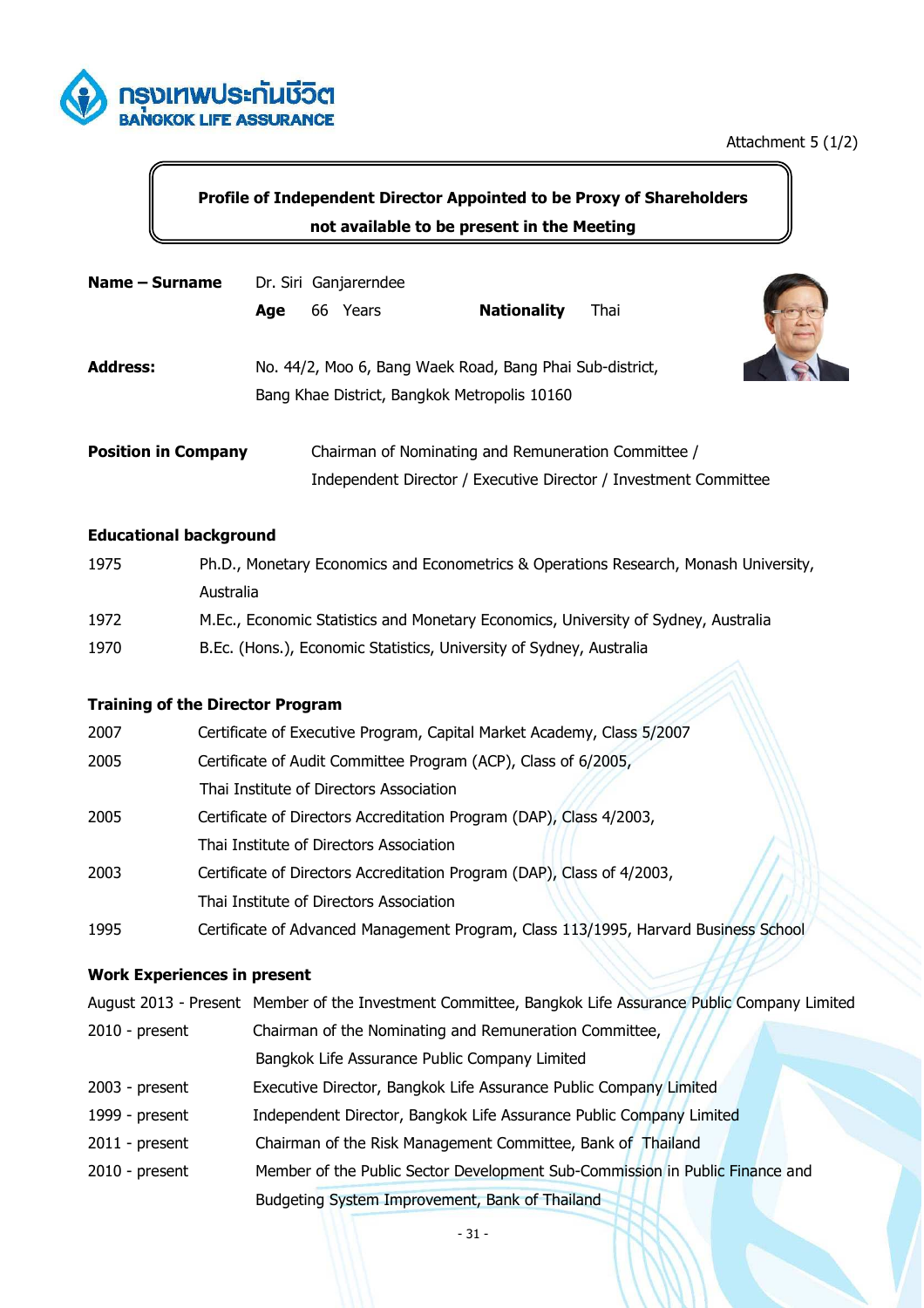

# **Profile of Independent Director Appointed to be Proxy of Shareholders not available to be present in the Meeting**

| Name – Surname             | Dr. Siri Ganjarerndee |                                                                                                          |                    |                                                                  |  |
|----------------------------|-----------------------|----------------------------------------------------------------------------------------------------------|--------------------|------------------------------------------------------------------|--|
|                            | Age                   | Years<br>66                                                                                              | <b>Nationality</b> | Thai                                                             |  |
| <b>Address:</b>            |                       | No. 44/2, Moo 6, Bang Waek Road, Bang Phai Sub-district,<br>Bang Khae District, Bangkok Metropolis 10160 |                    |                                                                  |  |
| <b>Position in Company</b> |                       | Chairman of Nominating and Remuneration Committee /                                                      |                    |                                                                  |  |
|                            |                       |                                                                                                          |                    | Independent Director / Executive Director / Investment Committee |  |

# **Educational background**

| 1975 | Ph.D., Monetary Economics and Econometrics & Operations Research, Monash University, |
|------|--------------------------------------------------------------------------------------|
|      | Australia                                                                            |
| 1972 | M.Ec., Economic Statistics and Monetary Economics, University of Sydney, Australia   |
| 1970 | B.Ec. (Hons.), Economic Statistics, University of Sydney, Australia                  |

# **Training of the Director Program**

| 2007 | Certificate of Executive Program, Capital Market Academy, Class 5/2007              |
|------|-------------------------------------------------------------------------------------|
| 2005 | Certificate of Audit Committee Program (ACP), Class of 6/2005,                      |
|      | Thai Institute of Directors Association                                             |
| 2005 | Certificate of Directors Accreditation Program (DAP), Class 4/2003,                 |
|      | Thai Institute of Directors Association                                             |
| 2003 | Certificate of Directors Accreditation Program (DAP), Class of 4/2003,              |
|      | Thai Institute of Directors Association                                             |
| 1995 | Certificate of Advanced Management Program, Class 113/1995, Harvard Business School |

# **Work Experiences in present**

|                  | August 2013 - Present Member of the Investment Committee, Bangkok Life Assurance Public Company Limited |  |  |  |  |
|------------------|---------------------------------------------------------------------------------------------------------|--|--|--|--|
| $2010$ - present | Chairman of the Nominating and Remuneration Committee,                                                  |  |  |  |  |
|                  | Bangkok Life Assurance Public Company Limited                                                           |  |  |  |  |
| $2003$ - present | Executive Director, Bangkok Life Assurance Public Company Limited                                       |  |  |  |  |
| 1999 - present   | Independent Director, Bangkok Life Assurance Public Company Limited                                     |  |  |  |  |
| $2011$ - present | Chairman of the Risk Management Committee, Bank of Thailand                                             |  |  |  |  |
| $2010$ - present | Member of the Public Sector Development Sub-Commission in Public Finance and                            |  |  |  |  |
|                  | Budgeting System Improvement, Bank of Thailand                                                          |  |  |  |  |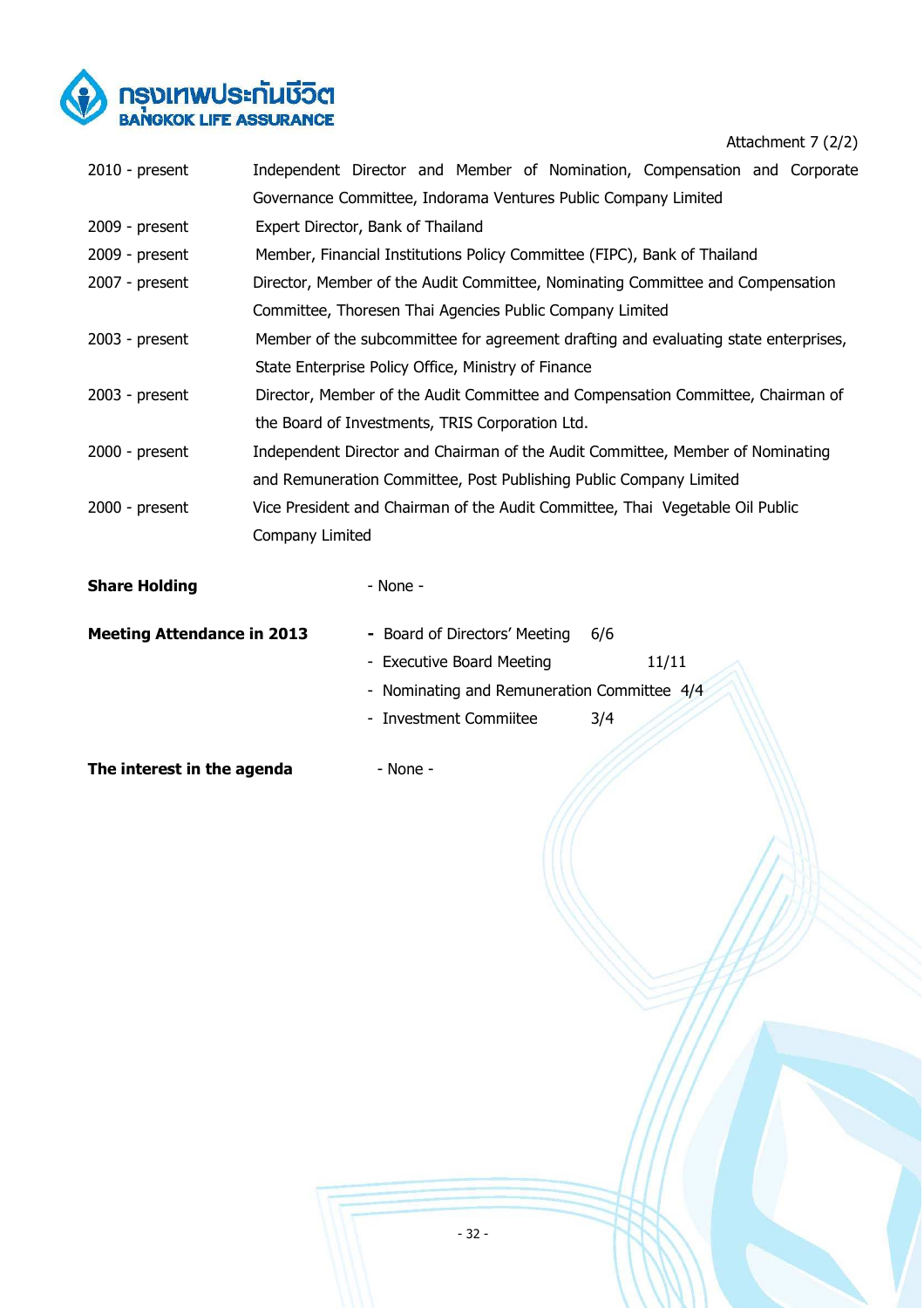

Attachment 7 (2/2)

| $2010$ - present                  |                                                                                 |                               |                             |  |                                             | Independent Director and Member of Nomination, Compensation and Corporate           |  |
|-----------------------------------|---------------------------------------------------------------------------------|-------------------------------|-----------------------------|--|---------------------------------------------|-------------------------------------------------------------------------------------|--|
|                                   | Governance Committee, Indorama Ventures Public Company Limited                  |                               |                             |  |                                             |                                                                                     |  |
| $2009$ - present                  | Expert Director, Bank of Thailand                                               |                               |                             |  |                                             |                                                                                     |  |
| $2009$ - present                  |                                                                                 |                               |                             |  |                                             | Member, Financial Institutions Policy Committee (FIPC), Bank of Thailand            |  |
| 2007 - present                    |                                                                                 |                               |                             |  |                                             | Director, Member of the Audit Committee, Nominating Committee and Compensation      |  |
|                                   | Committee, Thoresen Thai Agencies Public Company Limited                        |                               |                             |  |                                             |                                                                                     |  |
| $2003$ - present                  |                                                                                 |                               |                             |  |                                             | Member of the subcommittee for agreement drafting and evaluating state enterprises, |  |
|                                   | State Enterprise Policy Office, Ministry of Finance                             |                               |                             |  |                                             |                                                                                     |  |
| $2003$ - present                  | Director, Member of the Audit Committee and Compensation Committee, Chairman of |                               |                             |  |                                             |                                                                                     |  |
|                                   | the Board of Investments, TRIS Corporation Ltd.                                 |                               |                             |  |                                             |                                                                                     |  |
| $2000 - present$                  | Independent Director and Chairman of the Audit Committee, Member of Nominating  |                               |                             |  |                                             |                                                                                     |  |
|                                   | and Remuneration Committee, Post Publishing Public Company Limited              |                               |                             |  |                                             |                                                                                     |  |
| $2000 - present$                  |                                                                                 |                               |                             |  |                                             | Vice President and Chairman of the Audit Committee, Thai Vegetable Oil Public       |  |
|                                   | Company Limited                                                                 |                               |                             |  |                                             |                                                                                     |  |
| <b>Share Holding</b>              |                                                                                 | $-$ None $-$                  |                             |  |                                             |                                                                                     |  |
| <b>Meeting Attendance in 2013</b> |                                                                                 | - Board of Directors' Meeting |                             |  | 6/6                                         |                                                                                     |  |
|                                   |                                                                                 | - Executive Board Meeting     |                             |  |                                             | 11/11                                                                               |  |
|                                   |                                                                                 |                               |                             |  | - Nominating and Remuneration Committee 4/4 |                                                                                     |  |
|                                   |                                                                                 |                               | <b>Investment Commiitee</b> |  | 3/4                                         |                                                                                     |  |
|                                   |                                                                                 |                               |                             |  |                                             |                                                                                     |  |

**The interest in the agenda** - None -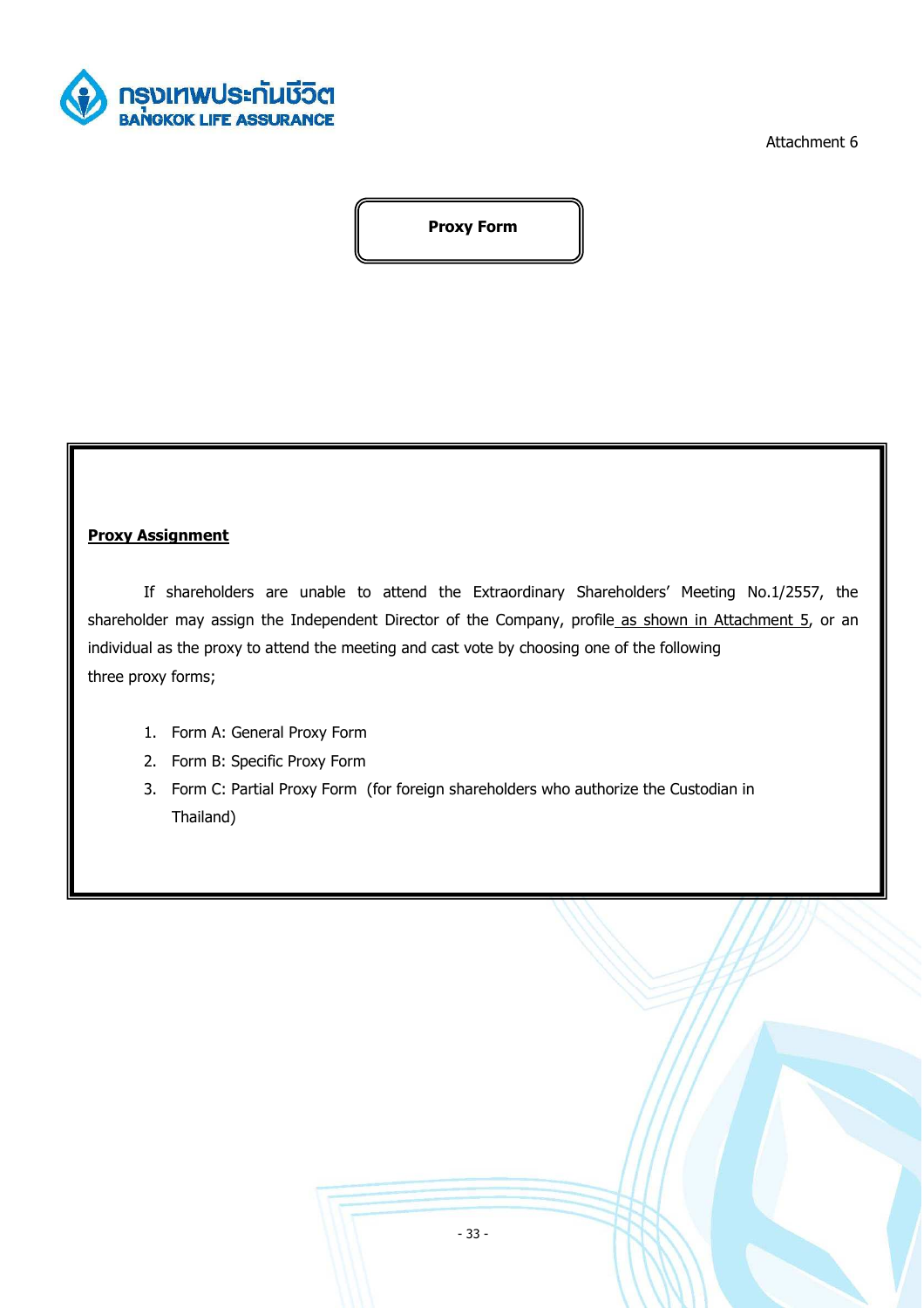

Attachment 6

**Proxy Form** 

# **Proxy Assignment**

If shareholders are unable to attend the Extraordinary Shareholders' Meeting No.1/2557, the shareholder may assign the Independent Director of the Company, profile as shown in Attachment 5, or an individual as the proxy to attend the meeting and cast vote by choosing one of the following three proxy forms;

- 1. Form A: General Proxy Form
- 2. Form B: Specific Proxy Form
- 3. Form C: Partial Proxy Form (for foreign shareholders who authorize the Custodian in Thailand)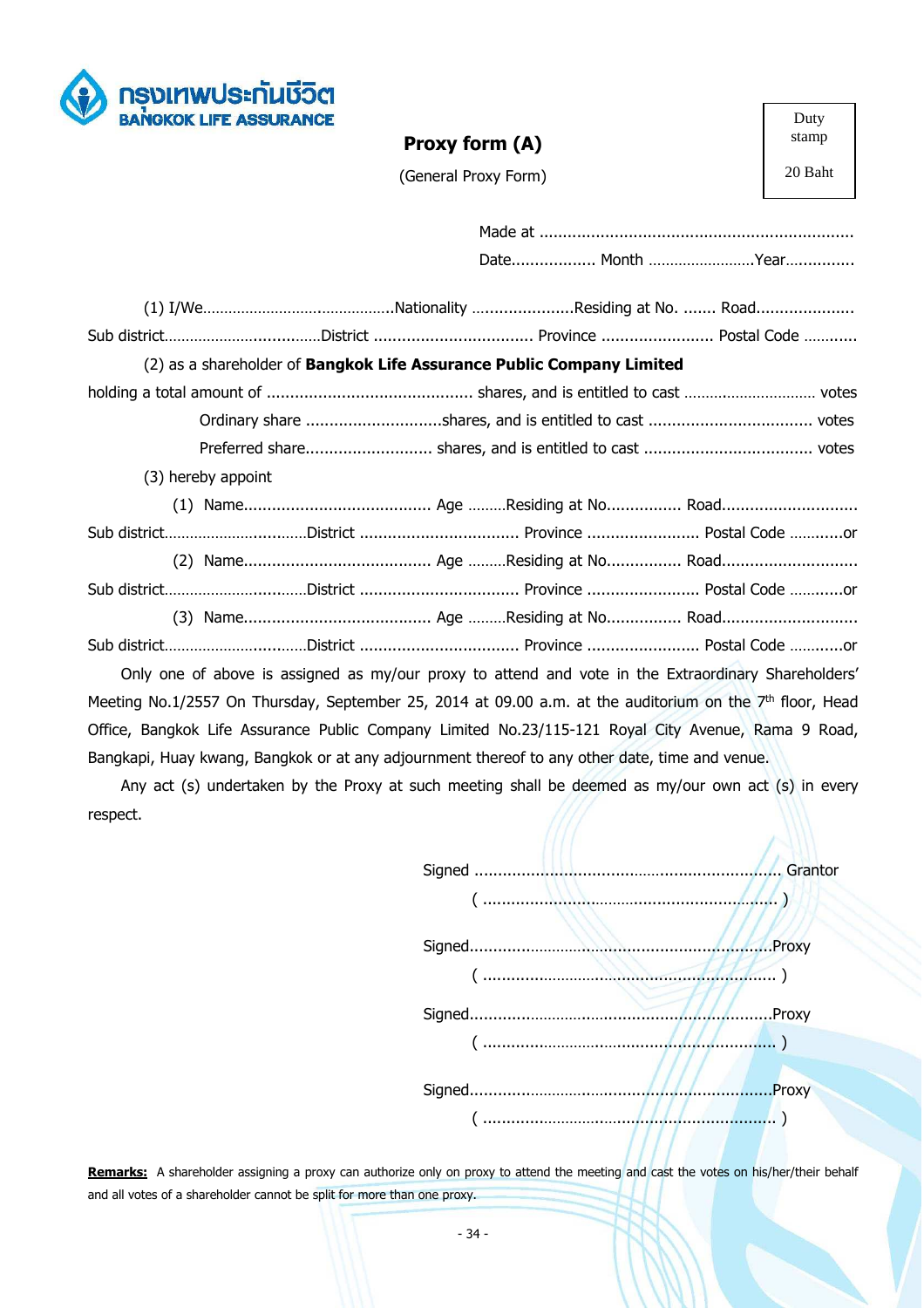

# **Proxy form (A)**

Duty stamp

20 Baht

(General Proxy Form)

| (2) as a shareholder of <b>Bangkok Life Assurance Public Company Limited</b> |  |                                                |
|------------------------------------------------------------------------------|--|------------------------------------------------|
|                                                                              |  |                                                |
|                                                                              |  |                                                |
|                                                                              |  |                                                |
| (3) hereby appoint                                                           |  |                                                |
|                                                                              |  |                                                |
|                                                                              |  | Sub districtDistrict  Province  Postal Code or |
|                                                                              |  |                                                |
|                                                                              |  | Sub districtDistrict  Province  Postal Code or |
|                                                                              |  |                                                |
|                                                                              |  | Sub districtDistrict  Province  Postal Code or |

Only one of above is assigned as my/our proxy to attend and vote in the Extraordinary Shareholders' Meeting No.1/2557 On Thursday, September 25, 2014 at 09.00 a.m. at the auditorium on the 7<sup>th</sup> floor, Head Office, Bangkok Life Assurance Public Company Limited No.23/115-121 Royal City Avenue, Rama 9 Road, Bangkapi, Huay kwang, Bangkok or at any adjournment thereof to any other date, time and venue.

Any act (s) undertaken by the Proxy at such meeting shall be deemed as my/our own act (s) in every respect.

|  | $\frac{1}{2}$                                                                                 | .Proxy |
|--|-----------------------------------------------------------------------------------------------|--------|
|  | $(\dots, \dots, \dots, \dots, \dots, \dots, \dots, \dots, \dots, \dots, \dots, \dots, \dots)$ | .Proxy |
|  |                                                                                               | .Proxy |
|  |                                                                                               |        |

**Remarks:** A shareholder assigning a proxy can authorize only on proxy to attend the meeting and cast the votes on his/her/their behalf and all votes of a shareholder cannot be split for more than one proxy.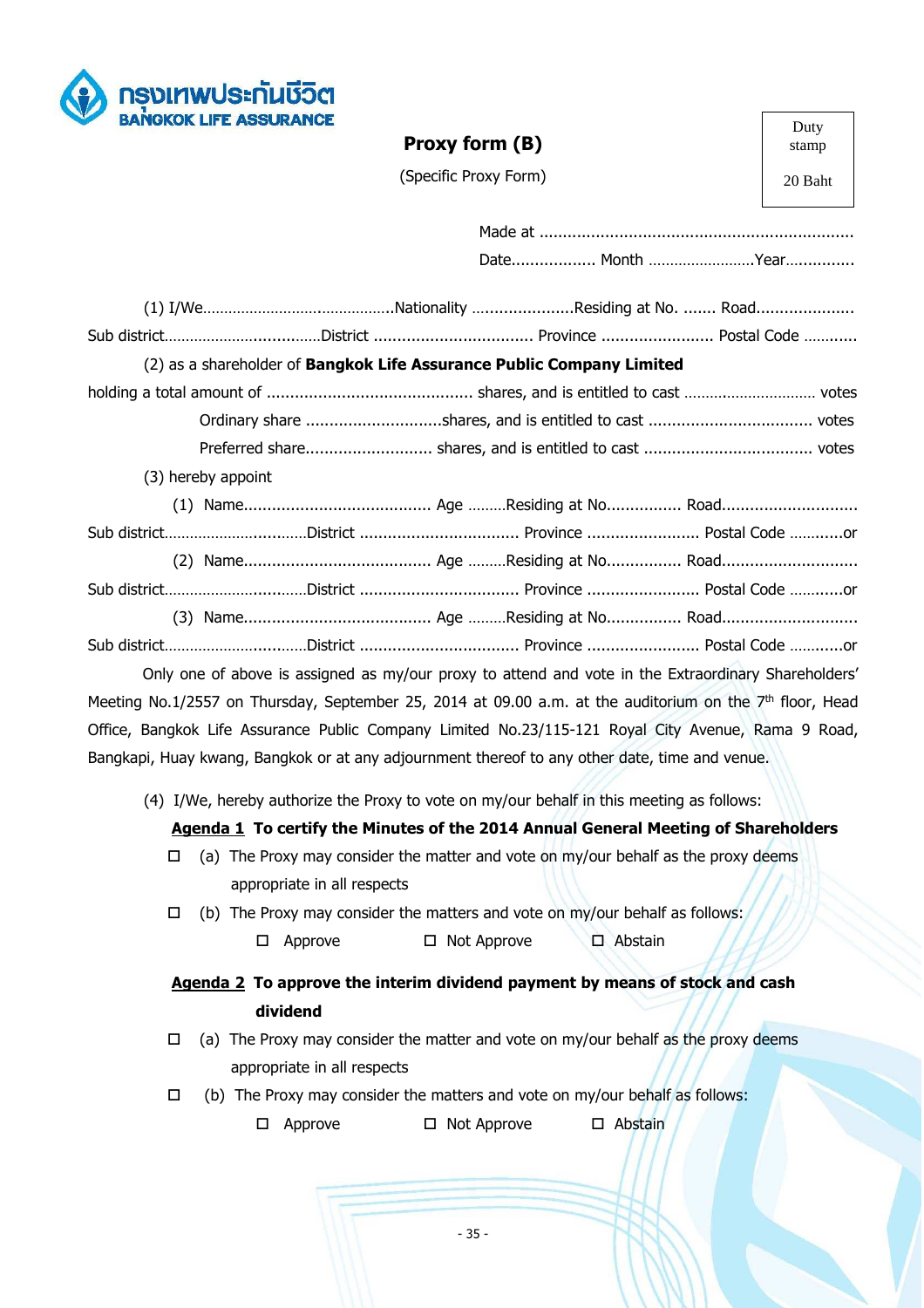

# **Proxy form (B)**

Duty stamp

20 Baht

(Specific Proxy Form)

|        |                    |                             |               | (2) as a shareholder of Bangkok Life Assurance Public Company Limited                     |                                                                                                                      |
|--------|--------------------|-----------------------------|---------------|-------------------------------------------------------------------------------------------|----------------------------------------------------------------------------------------------------------------------|
|        |                    |                             |               |                                                                                           |                                                                                                                      |
|        |                    |                             |               |                                                                                           |                                                                                                                      |
|        |                    |                             |               |                                                                                           |                                                                                                                      |
|        | (3) hereby appoint |                             |               |                                                                                           |                                                                                                                      |
|        |                    |                             |               |                                                                                           |                                                                                                                      |
|        |                    |                             |               |                                                                                           | Sub district……………………………District ……………………………… Province …………………… Postal Code …………or                                    |
|        |                    |                             |               |                                                                                           |                                                                                                                      |
|        |                    |                             |               |                                                                                           |                                                                                                                      |
|        |                    |                             |               |                                                                                           |                                                                                                                      |
|        |                    |                             |               |                                                                                           | Sub districtDistrict  Province  Postal Code or                                                                       |
|        |                    |                             |               |                                                                                           | Only one of above is assigned as my/our proxy to attend and vote in the Extraordinary Shareholders'                  |
|        |                    |                             |               |                                                                                           | Meeting No.1/2557 on Thursday, September 25, 2014 at 09.00 a.m. at the auditorium on the 7 <sup>th</sup> floor, Head |
|        |                    |                             |               |                                                                                           | Office, Bangkok Life Assurance Public Company Limited No.23/115-121 Royal City Avenue, Rama 9 Road,                  |
|        |                    |                             |               |                                                                                           | Bangkapi, Huay kwang, Bangkok or at any adjournment thereof to any other date, time and venue.                       |
|        |                    |                             |               | (4) I/We, hereby authorize the Proxy to vote on my/our behalf in this meeting as follows: |                                                                                                                      |
|        |                    |                             |               |                                                                                           | Agenda 1 To certify the Minutes of the 2014 Annual General Meeting of Shareholders                                   |
| □      |                    |                             |               |                                                                                           | (a) The Proxy may consider the matter and vote on my/our behalf as the proxy deems                                   |
|        |                    |                             |               |                                                                                           |                                                                                                                      |
|        |                    | appropriate in all respects |               |                                                                                           |                                                                                                                      |
| $\Box$ |                    |                             |               | (b) The Proxy may consider the matters and vote on my/our behalf as follows:              |                                                                                                                      |
|        | □                  | Approve                     | □ Not Approve | $\square$ Abstain                                                                         |                                                                                                                      |
|        |                    |                             |               |                                                                                           | Agenda 2 To approve the interim dividend payment by means of stock and cash                                          |
|        |                    | dividend                    |               |                                                                                           |                                                                                                                      |
| □      |                    |                             |               |                                                                                           | (a) The Proxy may consider the matter and vote on my/our behalf as the proxy deems                                   |
|        |                    | appropriate in all respects |               |                                                                                           |                                                                                                                      |
| □      |                    |                             |               | (b) The Proxy may consider the matters and vote on my/our behalf as follows:              |                                                                                                                      |
|        | □                  | Approve                     | □ Not Approve | $\square$ Abstain                                                                         |                                                                                                                      |
|        |                    |                             |               |                                                                                           |                                                                                                                      |
|        |                    |                             |               |                                                                                           |                                                                                                                      |
|        |                    |                             |               |                                                                                           |                                                                                                                      |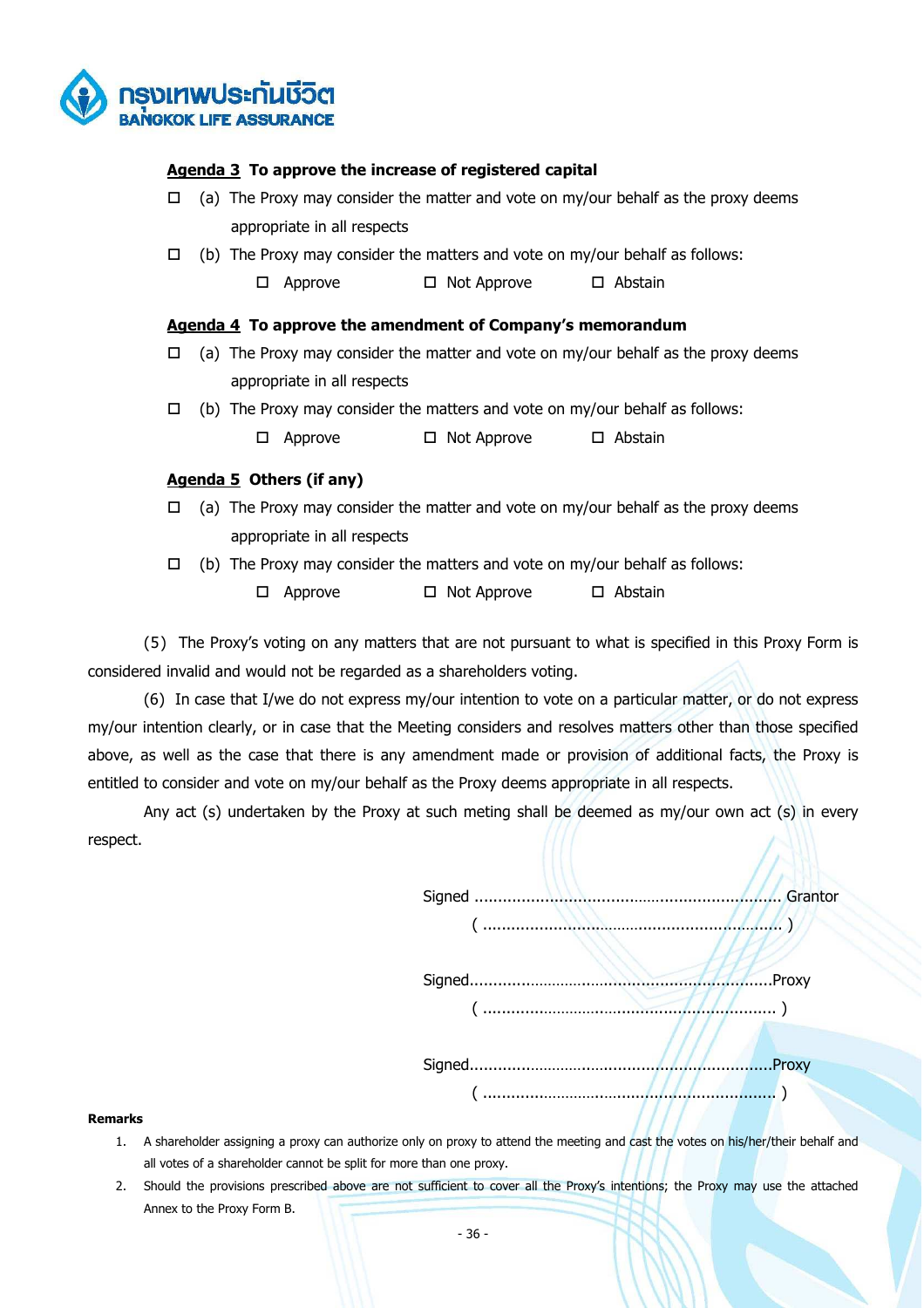

# **Agenda 3 To approve the increase of registered capital**

- $\Box$  (a) The Proxy may consider the matter and vote on my/our behalf as the proxy deems appropriate in all respects
- $\Box$  (b) The Proxy may consider the matters and vote on my/our behalf as follows:
	- $\Box$  Approve  $\Box$  Not Approve  $\Box$  Abstain

# **Agenda 4 To approve the amendment of Company's memorandum**

- $\Box$  (a) The Proxy may consider the matter and vote on my/our behalf as the proxy deems appropriate in all respects
- $\Box$  (b) The Proxy may consider the matters and vote on my/our behalf as follows:

 $\Box$  Approve  $\Box$  Not Approve  $\Box$  Abstain

# **Agenda 5 Others (if any)**

- $\Box$  (a) The Proxy may consider the matter and vote on my/our behalf as the proxy deems appropriate in all respects
- $\Box$  (b) The Proxy may consider the matters and vote on my/our behalf as follows:
	- $\Box$  Approve  $\Box$  Not Approve  $\Box$  Abstain

(5) The Proxy's voting on any matters that are not pursuant to what is specified in this Proxy Form is considered invalid and would not be regarded as a shareholders voting.

 (6) In case that I/we do not express my/our intention to vote on a particular matter, or do not express my/our intention clearly, or in case that the Meeting considers and resolves matters other than those specified above, as well as the case that there is any amendment made or provision of additional facts, the Proxy is entitled to consider and vote on my/our behalf as the Proxy deems appropriate in all respects.

 Any act (s) undertaken by the Proxy at such meting shall be deemed as my/our own act (s) in every respect.

> Signed ..................................…….......................... Grantor  $\sum_{i=1}^{n}$

 Signed.............…………..…....................................Proxy ( .............…………..….................................. )

 Signed.............…………..…....................................Proxy ( .............…………..….................................. )

**Remarks** 

- 1. A shareholder assigning a proxy can authorize only on proxy to attend the meeting and cast the votes on his/her/their behalf and all votes of a shareholder cannot be split for more than one proxy.
- 2. Should the provisions prescribed above are not sufficient to cover all the Proxy's intentions; the Proxy may use the attached Annex to the Proxy Form B.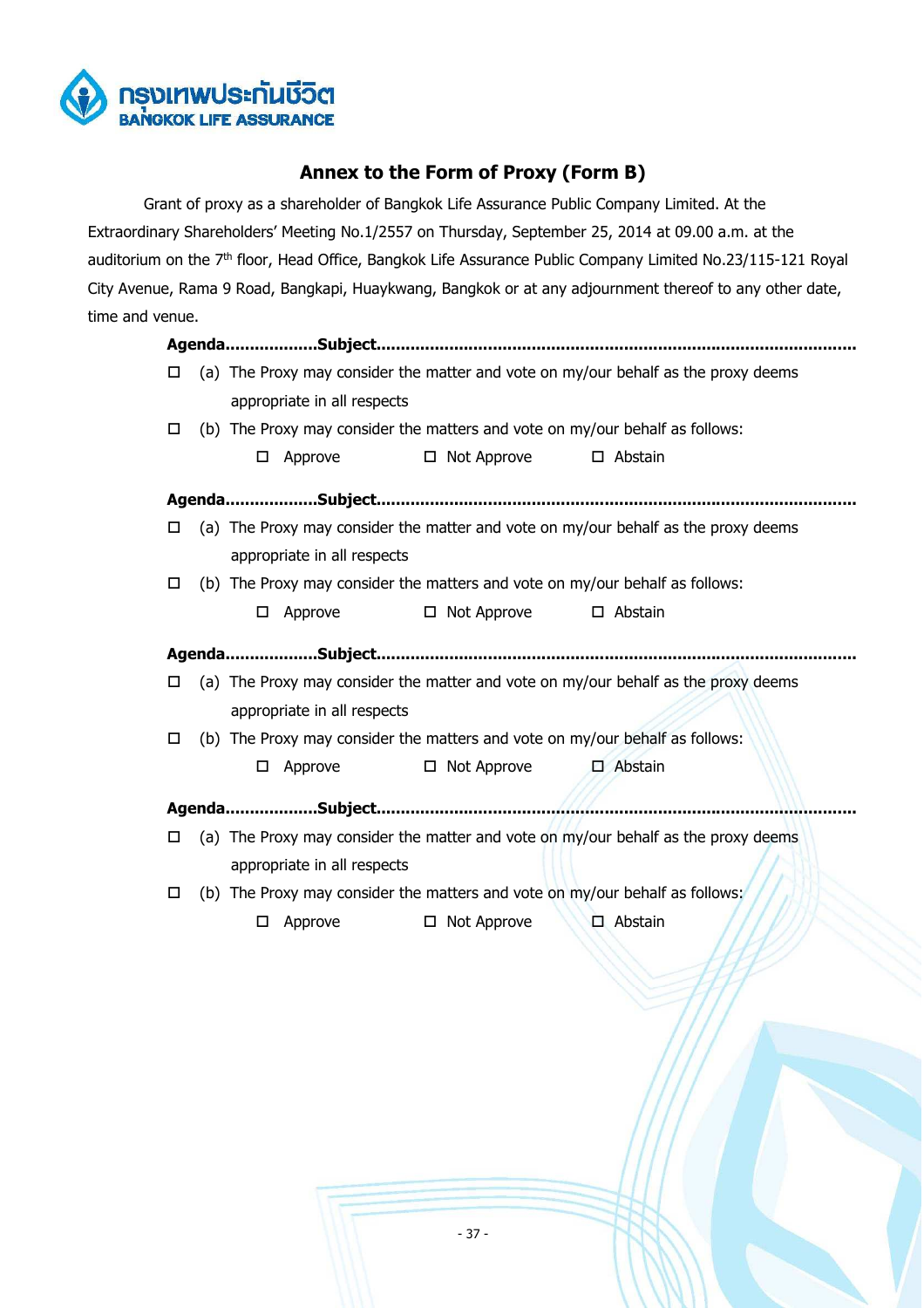

# **Annex to the Form of Proxy (Form B)**

 Grant of proxy as a shareholder of Bangkok Life Assurance Public Company Limited. At the Extraordinary Shareholders' Meeting No.1/2557 on Thursday, September 25, 2014 at 09.00 a.m. at the auditorium on the 7<sup>th</sup> floor, Head Office, Bangkok Life Assurance Public Company Limited No.23/115-121 Royal City Avenue, Rama 9 Road, Bangkapi, Huaykwang, Bangkok or at any adjournment thereof to any other date, time and venue.

| □      |   |                             |                                                                              | (a) The Proxy may consider the matter and vote on my/our behalf as the proxy deems |
|--------|---|-----------------------------|------------------------------------------------------------------------------|------------------------------------------------------------------------------------|
|        |   | appropriate in all respects |                                                                              |                                                                                    |
| □      |   |                             | (b) The Proxy may consider the matters and vote on my/our behalf as follows: |                                                                                    |
|        | □ | Approve                     | $\Box$ Not Approve                                                           | $\Box$ Abstain                                                                     |
|        |   |                             |                                                                              |                                                                                    |
| □      |   |                             |                                                                              | (a) The Proxy may consider the matter and vote on my/our behalf as the proxy deems |
|        |   | appropriate in all respects |                                                                              |                                                                                    |
| □      |   |                             | (b) The Proxy may consider the matters and vote on my/our behalf as follows: |                                                                                    |
|        | □ | Approve                     | $\Box$ Not Approve                                                           | $\square$ Abstain                                                                  |
|        |   |                             |                                                                              |                                                                                    |
| □      |   |                             |                                                                              | (a) The Proxy may consider the matter and vote on my/our behalf as the proxy deems |
|        |   | appropriate in all respects |                                                                              |                                                                                    |
| □      |   |                             | (b) The Proxy may consider the matters and vote on my/our behalf as follows: |                                                                                    |
|        | □ | Approve                     | $\Box$ Not Approve                                                           | $\square$ Abstain                                                                  |
|        |   |                             |                                                                              |                                                                                    |
| $\Box$ |   |                             |                                                                              | (a) The Proxy may consider the matter and vote on my/our behalf as the proxy deems |
|        |   | appropriate in all respects |                                                                              |                                                                                    |
| □      |   |                             | (b) The Proxy may consider the matters and vote on my/our behalf as follows: |                                                                                    |
|        | □ | Approve                     | □ Not Approve                                                                | $\Box$ Abstain                                                                     |
|        |   |                             |                                                                              |                                                                                    |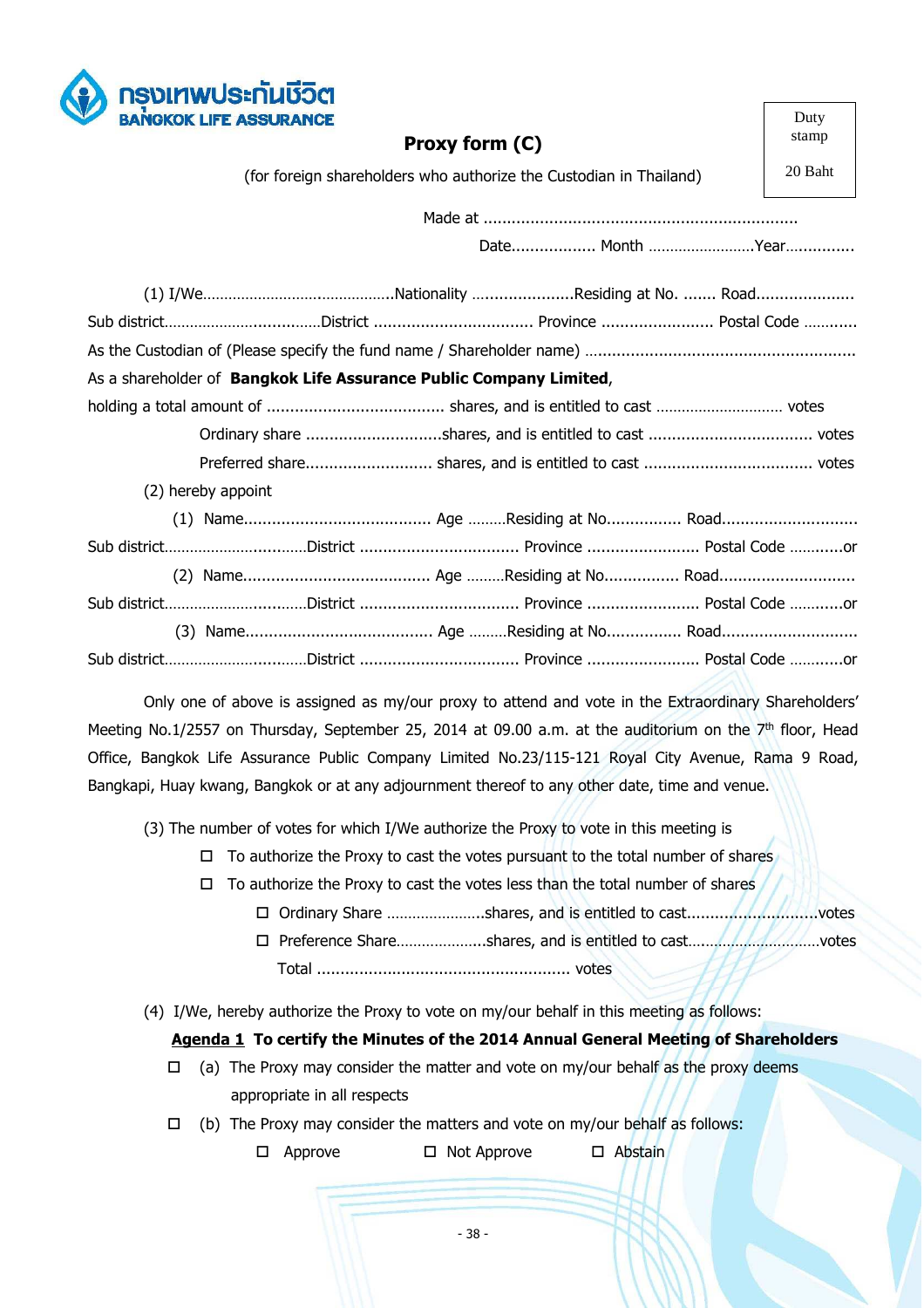

|                                                                    | Proxy form (C)                                                     | машр    |
|--------------------------------------------------------------------|--------------------------------------------------------------------|---------|
|                                                                    | (for foreign shareholders who authorize the Custodian in Thailand) | 20 Baht |
|                                                                    |                                                                    |         |
|                                                                    |                                                                    |         |
|                                                                    |                                                                    |         |
| Sub districtDistrict  Province  Postal Code                        |                                                                    |         |
|                                                                    |                                                                    |         |
| As a shareholder of Bangkok Life Assurance Public Company Limited, |                                                                    |         |
|                                                                    |                                                                    |         |
|                                                                    |                                                                    |         |
|                                                                    |                                                                    |         |
| (2) hereby appoint                                                 |                                                                    |         |
|                                                                    |                                                                    |         |
| Sub districtDistrict  Province  Postal Code or                     |                                                                    |         |
|                                                                    |                                                                    |         |
| Sub districtDistrict  Province  Postal Code or                     |                                                                    |         |
|                                                                    |                                                                    |         |
| Sub districtDistrict  Province  Postal Code or                     |                                                                    |         |

Duty stamp

Only one of above is assigned as my/our proxy to attend and vote in the Extraordinary Shareholders' Meeting No.1/2557 on Thursday, September 25, 2014 at 09.00 a.m. at the auditorium on the 7<sup>th</sup> floor, Head Office, Bangkok Life Assurance Public Company Limited No.23/115-121 Royal City Avenue, Rama 9 Road, Bangkapi, Huay kwang, Bangkok or at any adjournment thereof to any other date, time and venue.

(3) The number of votes for which I/We authorize the Proxy to vote in this meeting is

- $\Box$  To authorize the Proxy to cast the votes pursuant to the total number of shares
- $\Box$  To authorize the Proxy to cast the votes less than the total number of shares
	- □ Ordinary Share .......................shares, and is entitled to cast............................votes
		- □ Preference Share…………………shares, and is entitled to cast………………………votes Total ...................................................... votes
- (4) I/We, hereby authorize the Proxy to vote on my/our behalf in this meeting as follows:

# **Agenda 1 To certify the Minutes of the 2014 Annual General Meeting of Shareholders**

- $\Box$  (a) The Proxy may consider the matter and vote on my/our behalf as the proxy deems appropriate in all respects
- $\Box$  (b) The Proxy may consider the matters and vote on my/our behalf as follows:
	- $\Box$  Approve  $\Box$  Not Approve  $\Box$  Abstain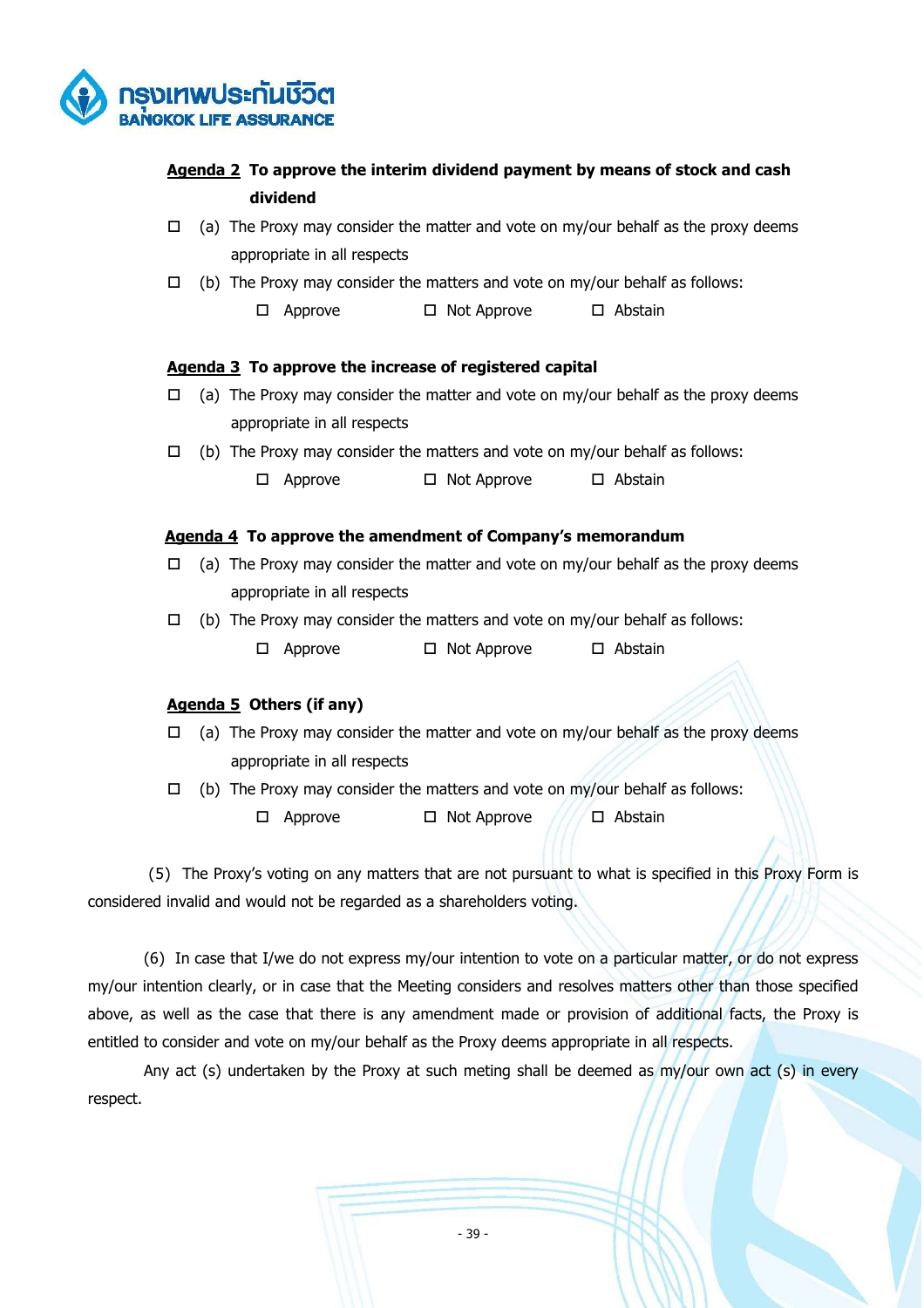

# **Agenda 2 To approve the interim dividend payment by means of stock and cash dividend**

- $\Box$  (a) The Proxy may consider the matter and vote on my/our behalf as the proxy deems appropriate in all respects
- $\Box$  (b) The Proxy may consider the matters and vote on my/our behalf as follows:
	- $\Box$  Approve  $\Box$  Not Approve  $\Box$  Abstain

### **Agenda 3 To approve the increase of registered capital**

- $\Box$  (a) The Proxy may consider the matter and vote on my/our behalf as the proxy deems appropriate in all respects
- $\Box$  (b) The Proxy may consider the matters and vote on my/our behalf as follows:
	- $\Box$  Approve  $\Box$  Not Approve  $\Box$  Abstain

# **Agenda 4 To approve the amendment of Company's memorandum**

- $\Box$  (a) The Proxy may consider the matter and vote on my/our behalf as the proxy deems appropriate in all respects
- $\Box$  (b) The Proxy may consider the matters and vote on my/our behalf as follows:
	- $\Box$  Approve  $\Box$  Not Approve  $\Box$  Abstain

# **Agenda 5 Others (if any)**

- $\Box$  (a) The Proxy may consider the matter and vote on my/our behalf as the proxy deems appropriate in all respects
- $\Box$  (b) The Proxy may consider the matters and vote on my/our behalf as follows:

 $\Box$  Approve  $\Box$  Not Approve  $\Box$  Abstain

 (5) The Proxy's voting on any matters that are not pursuant to what is specified in this Proxy Form is considered invalid and would not be regarded as a shareholders voting.

 (6) In case that I/we do not express my/our intention to vote on a particular matter, or do not express my/our intention clearly, or in case that the Meeting considers and resolves matters other than those specified above, as well as the case that there is any amendment made or provision of additional facts, the Proxy is entitled to consider and vote on my/our behalf as the Proxy deems appropriate in all respects.

Any act (s) undertaken by the Proxy at such meting shall be deemed as my/our own act (s) in every respect.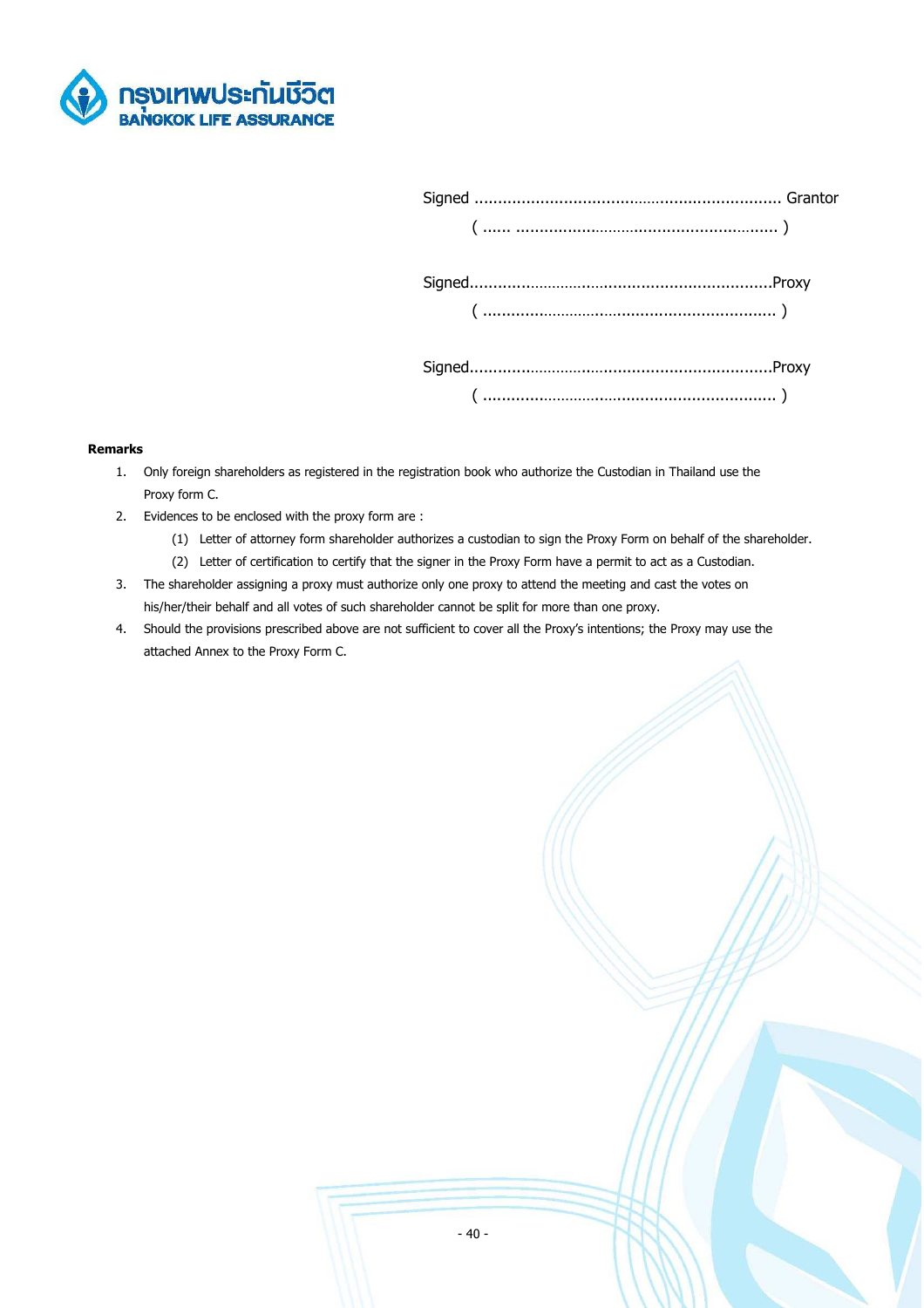

#### **Remarks**

- 1. Only foreign shareholders as registered in the registration book who authorize the Custodian in Thailand use the Proxy form C.
- 2. Evidences to be enclosed with the proxy form are :
	- (1) Letter of attorney form shareholder authorizes a custodian to sign the Proxy Form on behalf of the shareholder.
	- (2) Letter of certification to certify that the signer in the Proxy Form have a permit to act as a Custodian.
- 3. The shareholder assigning a proxy must authorize only one proxy to attend the meeting and cast the votes on his/her/their behalf and all votes of such shareholder cannot be split for more than one proxy.
- 4. Should the provisions prescribed above are not sufficient to cover all the Proxy's intentions; the Proxy may use the attached Annex to the Proxy Form C.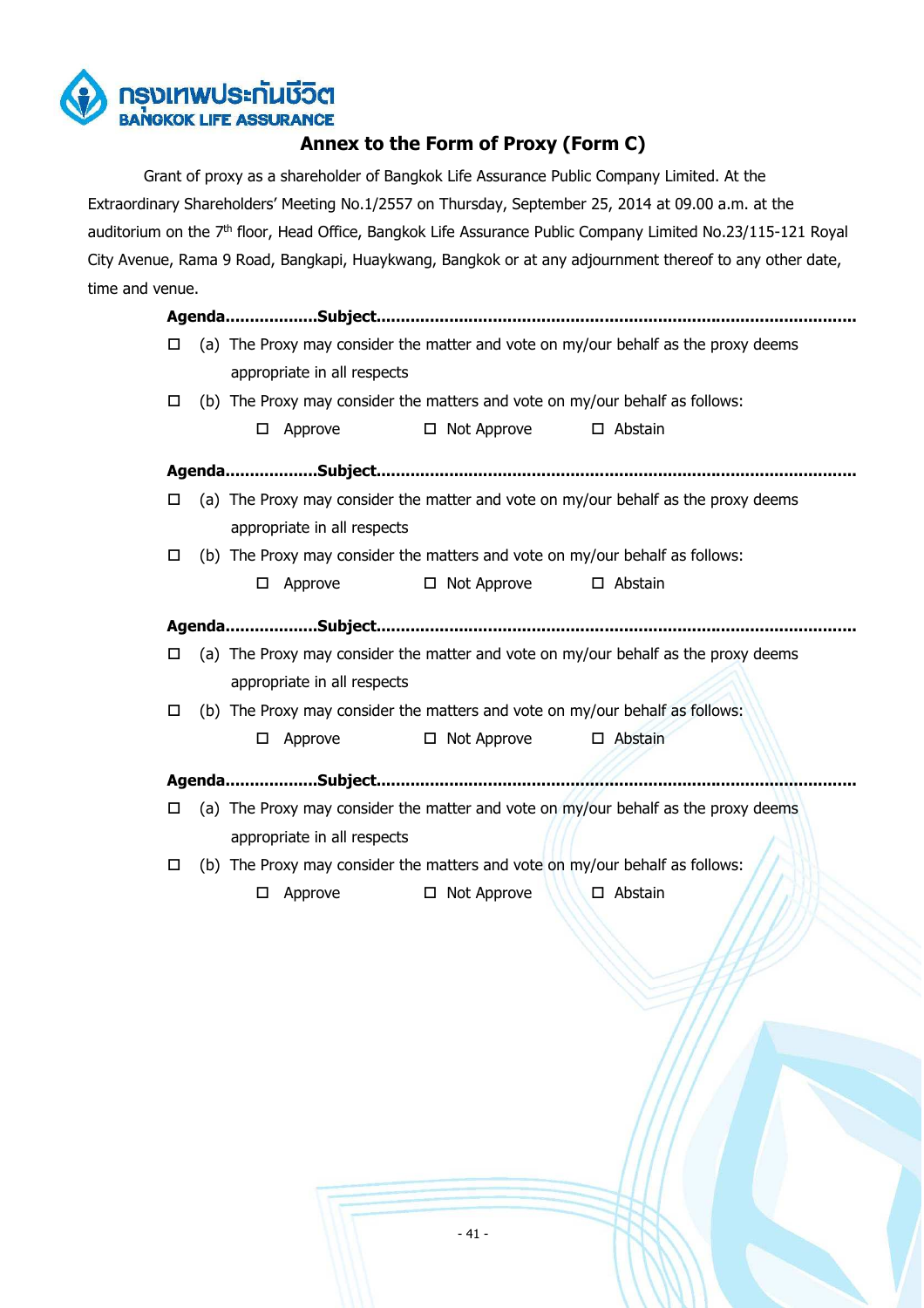

# **Annex to the Form of Proxy (Form C)**

 Grant of proxy as a shareholder of Bangkok Life Assurance Public Company Limited. At the Extraordinary Shareholders' Meeting No.1/2557 on Thursday, September 25, 2014 at 09.00 a.m. at the auditorium on the 7<sup>th</sup> floor, Head Office, Bangkok Life Assurance Public Company Limited No.23/115-121 Royal City Avenue, Rama 9 Road, Bangkapi, Huaykwang, Bangkok or at any adjournment thereof to any other date, time and venue.

|   |   |                             | AgendaSubject                                                                |                                                                                    |  |
|---|---|-----------------------------|------------------------------------------------------------------------------|------------------------------------------------------------------------------------|--|
| □ |   |                             |                                                                              | (a) The Proxy may consider the matter and vote on my/our behalf as the proxy deems |  |
|   |   | appropriate in all respects |                                                                              |                                                                                    |  |
| □ |   |                             | (b) The Proxy may consider the matters and vote on my/our behalf as follows: |                                                                                    |  |
|   | □ | Approve                     | □ Not Approve                                                                | $\square$ Abstain                                                                  |  |
|   |   |                             |                                                                              |                                                                                    |  |
| □ |   |                             |                                                                              | (a) The Proxy may consider the matter and vote on my/our behalf as the proxy deems |  |
|   |   | appropriate in all respects |                                                                              |                                                                                    |  |
| □ |   |                             | (b) The Proxy may consider the matters and vote on my/our behalf as follows: |                                                                                    |  |
|   | □ | Approve                     | □ Not Approve                                                                | $\Box$ Abstain                                                                     |  |
|   |   |                             |                                                                              |                                                                                    |  |
| □ |   |                             |                                                                              | (a) The Proxy may consider the matter and vote on my/our behalf as the proxy deems |  |
|   |   | appropriate in all respects |                                                                              |                                                                                    |  |
| □ |   |                             | (b) The Proxy may consider the matters and vote on my/our behalf as follows: |                                                                                    |  |
|   | □ | Approve                     | □ Not Approve                                                                | □ Abstain                                                                          |  |
|   |   |                             |                                                                              |                                                                                    |  |
| □ |   |                             |                                                                              | (a) The Proxy may consider the matter and vote on my/our behalf as the proxy deems |  |
|   |   | appropriate in all respects |                                                                              |                                                                                    |  |
| □ |   |                             | (b) The Proxy may consider the matters and vote on my/our behalf as follows: |                                                                                    |  |
|   | □ | Approve                     | Not Approve                                                                  | $\square$ Abstain                                                                  |  |
|   |   |                             |                                                                              |                                                                                    |  |